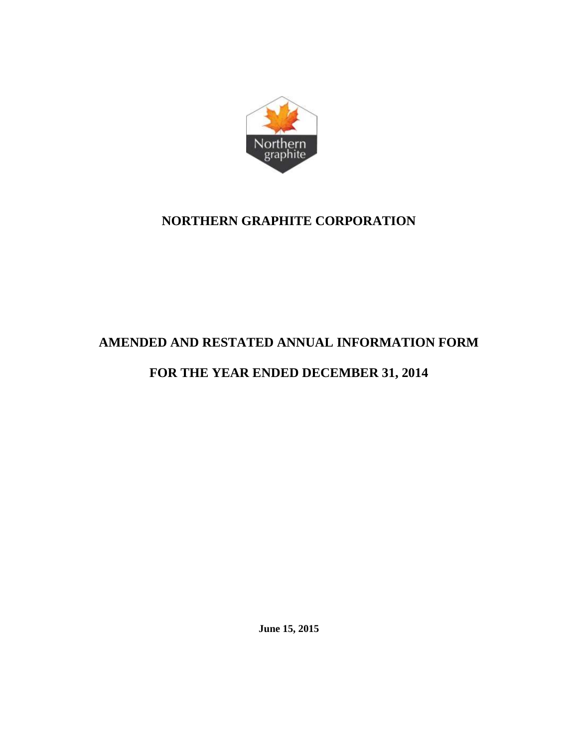

# **NORTHERN GRAPHITE CORPORATION**

# **AMENDED AND RESTATED ANNUAL INFORMATION FORM**

# **FOR THE YEAR ENDED DECEMBER 31, 2014**

**June 15, 2015**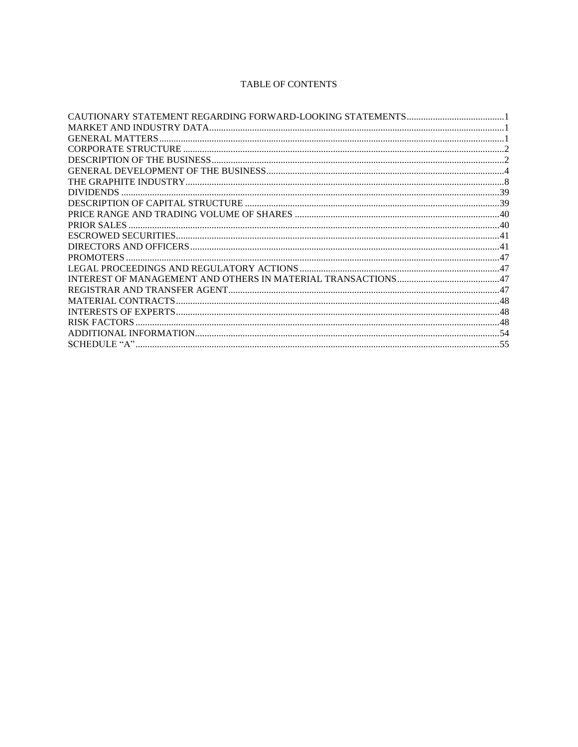# **TABLE OF CONTENTS**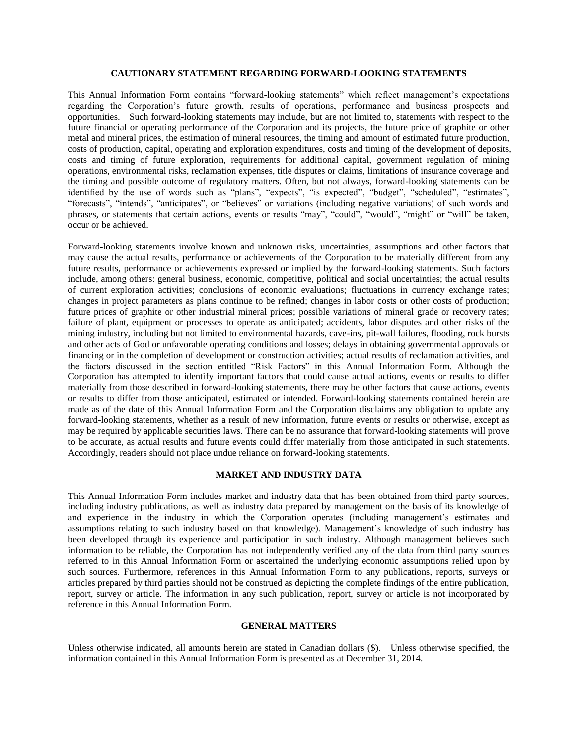### **CAUTIONARY STATEMENT REGARDING FORWARD-LOOKING STATEMENTS**

<span id="page-2-0"></span>This Annual Information Form contains "forward-looking statements" which reflect management's expectations regarding the Corporation's future growth, results of operations, performance and business prospects and opportunities. Such forward-looking statements may include, but are not limited to, statements with respect to the future financial or operating performance of the Corporation and its projects, the future price of graphite or other metal and mineral prices, the estimation of mineral resources, the timing and amount of estimated future production, costs of production, capital, operating and exploration expenditures, costs and timing of the development of deposits, costs and timing of future exploration, requirements for additional capital, government regulation of mining operations, environmental risks, reclamation expenses, title disputes or claims, limitations of insurance coverage and the timing and possible outcome of regulatory matters. Often, but not always, forward-looking statements can be identified by the use of words such as "plans", "expects", "is expected", "budget", "scheduled", "estimates", "forecasts", "intends", "anticipates", or "believes" or variations (including negative variations) of such words and phrases, or statements that certain actions, events or results "may", "could", "would", "might" or "will" be taken, occur or be achieved.

Forward-looking statements involve known and unknown risks, uncertainties, assumptions and other factors that may cause the actual results, performance or achievements of the Corporation to be materially different from any future results, performance or achievements expressed or implied by the forward-looking statements. Such factors include, among others: general business, economic, competitive, political and social uncertainties; the actual results of current exploration activities; conclusions of economic evaluations; fluctuations in currency exchange rates; changes in project parameters as plans continue to be refined; changes in labor costs or other costs of production; future prices of graphite or other industrial mineral prices; possible variations of mineral grade or recovery rates; failure of plant, equipment or processes to operate as anticipated; accidents, labor disputes and other risks of the mining industry, including but not limited to environmental hazards, cave-ins, pit-wall failures, flooding, rock bursts and other acts of God or unfavorable operating conditions and losses; delays in obtaining governmental approvals or financing or in the completion of development or construction activities; actual results of reclamation activities, and the factors discussed in the section entitled "Risk Factors" in this Annual Information Form. Although the Corporation has attempted to identify important factors that could cause actual actions, events or results to differ materially from those described in forward-looking statements, there may be other factors that cause actions, events or results to differ from those anticipated, estimated or intended. Forward-looking statements contained herein are made as of the date of this Annual Information Form and the Corporation disclaims any obligation to update any forward-looking statements, whether as a result of new information, future events or results or otherwise, except as may be required by applicable securities laws. There can be no assurance that forward-looking statements will prove to be accurate, as actual results and future events could differ materially from those anticipated in such statements. Accordingly, readers should not place undue reliance on forward-looking statements.

#### **MARKET AND INDUSTRY DATA**

<span id="page-2-1"></span>This Annual Information Form includes market and industry data that has been obtained from third party sources, including industry publications, as well as industry data prepared by management on the basis of its knowledge of and experience in the industry in which the Corporation operates (including management's estimates and assumptions relating to such industry based on that knowledge). Management's knowledge of such industry has been developed through its experience and participation in such industry. Although management believes such information to be reliable, the Corporation has not independently verified any of the data from third party sources referred to in this Annual Information Form or ascertained the underlying economic assumptions relied upon by such sources. Furthermore, references in this Annual Information Form to any publications, reports, surveys or articles prepared by third parties should not be construed as depicting the complete findings of the entire publication, report, survey or article. The information in any such publication, report, survey or article is not incorporated by reference in this Annual Information Form.

#### **GENERAL MATTERS**

<span id="page-2-2"></span>Unless otherwise indicated, all amounts herein are stated in Canadian dollars (\$). Unless otherwise specified, the information contained in this Annual Information Form is presented as at December 31, 2014.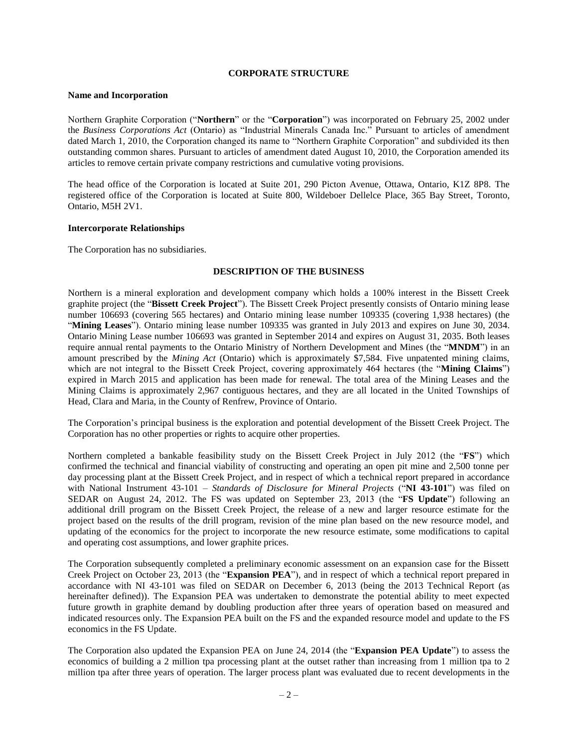#### **CORPORATE STRUCTURE**

#### <span id="page-3-0"></span>**Name and Incorporation**

Northern Graphite Corporation ("**Northern**" or the "**Corporation**") was incorporated on February 25, 2002 under the *Business Corporations Act* (Ontario) as "Industrial Minerals Canada Inc." Pursuant to articles of amendment dated March 1, 2010, the Corporation changed its name to "Northern Graphite Corporation" and subdivided its then outstanding common shares. Pursuant to articles of amendment dated August 10, 2010, the Corporation amended its articles to remove certain private company restrictions and cumulative voting provisions.

The head office of the Corporation is located at Suite 201, 290 Picton Avenue, Ottawa, Ontario, K1Z 8P8. The registered office of the Corporation is located at Suite 800, Wildeboer Dellelce Place, 365 Bay Street, Toronto, Ontario, M5H 2V1.

## **Intercorporate Relationships**

<span id="page-3-1"></span>The Corporation has no subsidiaries.

## **DESCRIPTION OF THE BUSINESS**

Northern is a mineral exploration and development company which holds a 100% interest in the Bissett Creek graphite project (the "**Bissett Creek Project**"). The Bissett Creek Project presently consists of Ontario mining lease number 106693 (covering 565 hectares) and Ontario mining lease number 109335 (covering 1,938 hectares) (the "**Mining Leases**"). Ontario mining lease number 109335 was granted in July 2013 and expires on June 30, 2034. Ontario Mining Lease number 106693 was granted in September 2014 and expires on August 31, 2035. Both leases require annual rental payments to the Ontario Ministry of Northern Development and Mines (the "**MNDM**") in an amount prescribed by the *Mining Act* (Ontario) which is approximately \$7,584. Five unpatented mining claims, which are not integral to the Bissett Creek Project, covering approximately 464 hectares (the "**Mining Claims**") expired in March 2015 and application has been made for renewal. The total area of the Mining Leases and the Mining Claims is approximately 2,967 contiguous hectares, and they are all located in the United Townships of Head, Clara and Maria, in the County of Renfrew, Province of Ontario.

The Corporation's principal business is the exploration and potential development of the Bissett Creek Project. The Corporation has no other properties or rights to acquire other properties.

Northern completed a bankable feasibility study on the Bissett Creek Project in July 2012 (the "**FS**") which confirmed the technical and financial viability of constructing and operating an open pit mine and 2,500 tonne per day processing plant at the Bissett Creek Project, and in respect of which a technical report prepared in accordance with National Instrument 43-101 – *Standards of Disclosure for Mineral Projects* ("**NI 43-101**") was filed on SEDAR on August 24, 2012. The FS was updated on September 23, 2013 (the "**FS Update**") following an additional drill program on the Bissett Creek Project, the release of a new and larger resource estimate for the project based on the results of the drill program, revision of the mine plan based on the new resource model, and updating of the economics for the project to incorporate the new resource estimate, some modifications to capital and operating cost assumptions, and lower graphite prices.

The Corporation subsequently completed a preliminary economic assessment on an expansion case for the Bissett Creek Project on October 23, 2013 (the "**Expansion PEA**"), and in respect of which a technical report prepared in accordance with NI 43-101 was filed on SEDAR on December 6, 2013 (being the 2013 Technical Report (as hereinafter defined)). The Expansion PEA was undertaken to demonstrate the potential ability to meet expected future growth in graphite demand by doubling production after three years of operation based on measured and indicated resources only. The Expansion PEA built on the FS and the expanded resource model and update to the FS economics in the FS Update.

The Corporation also updated the Expansion PEA on June 24, 2014 (the "**Expansion PEA Update**") to assess the economics of building a 2 million tpa processing plant at the outset rather than increasing from 1 million tpa to 2 million tpa after three years of operation. The larger process plant was evaluated due to recent developments in the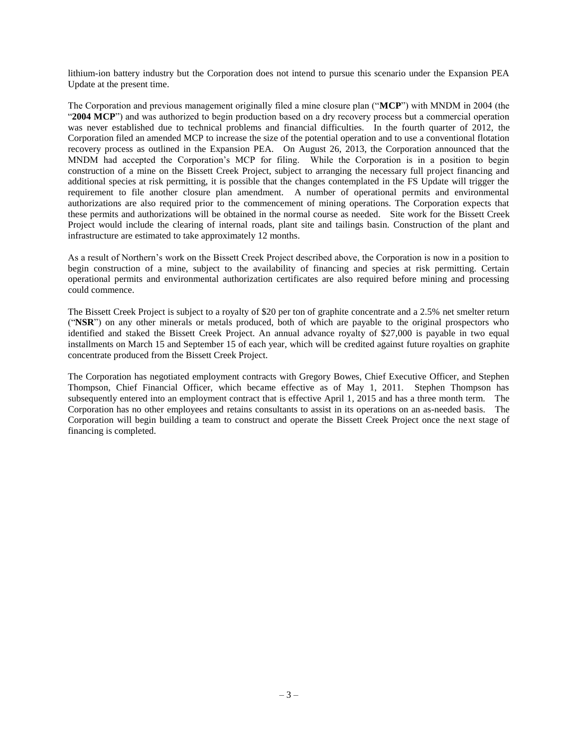lithium-ion battery industry but the Corporation does not intend to pursue this scenario under the Expansion PEA Update at the present time.

The Corporation and previous management originally filed a mine closure plan ("**MCP**") with MNDM in 2004 (the "**2004 MCP**") and was authorized to begin production based on a dry recovery process but a commercial operation was never established due to technical problems and financial difficulties. In the fourth quarter of 2012, the Corporation filed an amended MCP to increase the size of the potential operation and to use a conventional flotation recovery process as outlined in the Expansion PEA. On August 26, 2013, the Corporation announced that the MNDM had accepted the Corporation's MCP for filing. While the Corporation is in a position to begin construction of a mine on the Bissett Creek Project, subject to arranging the necessary full project financing and additional species at risk permitting, it is possible that the changes contemplated in the FS Update will trigger the requirement to file another closure plan amendment. A number of operational permits and environmental authorizations are also required prior to the commencement of mining operations. The Corporation expects that these permits and authorizations will be obtained in the normal course as needed. Site work for the Bissett Creek Project would include the clearing of internal roads, plant site and tailings basin. Construction of the plant and infrastructure are estimated to take approximately 12 months.

As a result of Northern's work on the Bissett Creek Project described above, the Corporation is now in a position to begin construction of a mine, subject to the availability of financing and species at risk permitting. Certain operational permits and environmental authorization certificates are also required before mining and processing could commence.

The Bissett Creek Project is subject to a royalty of \$20 per ton of graphite concentrate and a 2.5% net smelter return ("**NSR**") on any other minerals or metals produced, both of which are payable to the original prospectors who identified and staked the Bissett Creek Project. An annual advance royalty of \$27,000 is payable in two equal installments on March 15 and September 15 of each year, which will be credited against future royalties on graphite concentrate produced from the Bissett Creek Project.

The Corporation has negotiated employment contracts with Gregory Bowes, Chief Executive Officer, and Stephen Thompson, Chief Financial Officer, which became effective as of May 1, 2011. Stephen Thompson has subsequently entered into an employment contract that is effective April 1, 2015 and has a three month term. The Corporation has no other employees and retains consultants to assist in its operations on an as-needed basis. The Corporation will begin building a team to construct and operate the Bissett Creek Project once the next stage of financing is completed.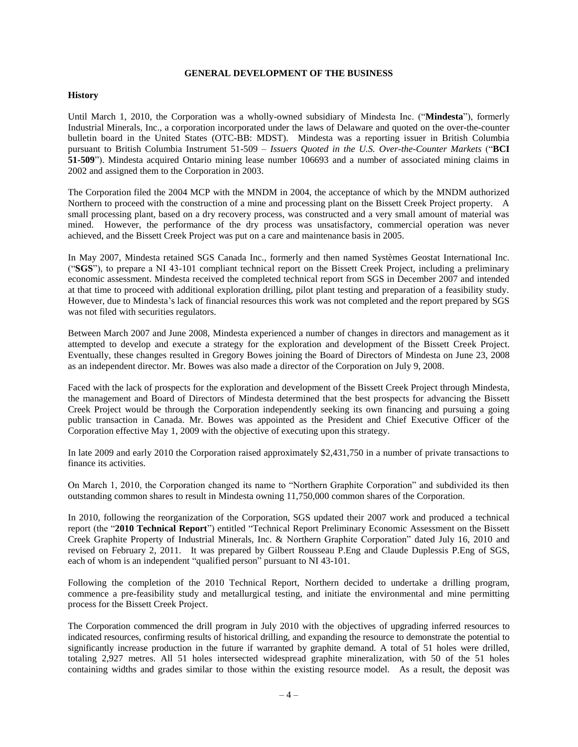#### **GENERAL DEVELOPMENT OF THE BUSINESS**

## <span id="page-5-0"></span>**History**

Until March 1, 2010, the Corporation was a wholly-owned subsidiary of Mindesta Inc. ("**Mindesta**"), formerly Industrial Minerals, Inc., a corporation incorporated under the laws of Delaware and quoted on the over-the-counter bulletin board in the United States (OTC-BB: MDST). Mindesta was a reporting issuer in British Columbia pursuant to British Columbia Instrument 51-509 – *Issuers Quoted in the U.S. Over-the-Counter Markets* ("**BCI 51-509**"). Mindesta acquired Ontario mining lease number 106693 and a number of associated mining claims in 2002 and assigned them to the Corporation in 2003.

The Corporation filed the 2004 MCP with the MNDM in 2004, the acceptance of which by the MNDM authorized Northern to proceed with the construction of a mine and processing plant on the Bissett Creek Project property. A small processing plant, based on a dry recovery process, was constructed and a very small amount of material was mined. However, the performance of the dry process was unsatisfactory, commercial operation was never achieved, and the Bissett Creek Project was put on a care and maintenance basis in 2005.

In May 2007, Mindesta retained SGS Canada Inc., formerly and then named Systèmes Geostat International Inc. ("**SGS**"), to prepare a NI 43-101 compliant technical report on the Bissett Creek Project, including a preliminary economic assessment. Mindesta received the completed technical report from SGS in December 2007 and intended at that time to proceed with additional exploration drilling, pilot plant testing and preparation of a feasibility study. However, due to Mindesta's lack of financial resources this work was not completed and the report prepared by SGS was not filed with securities regulators.

Between March 2007 and June 2008, Mindesta experienced a number of changes in directors and management as it attempted to develop and execute a strategy for the exploration and development of the Bissett Creek Project. Eventually, these changes resulted in Gregory Bowes joining the Board of Directors of Mindesta on June 23, 2008 as an independent director. Mr. Bowes was also made a director of the Corporation on July 9, 2008.

Faced with the lack of prospects for the exploration and development of the Bissett Creek Project through Mindesta, the management and Board of Directors of Mindesta determined that the best prospects for advancing the Bissett Creek Project would be through the Corporation independently seeking its own financing and pursuing a going public transaction in Canada. Mr. Bowes was appointed as the President and Chief Executive Officer of the Corporation effective May 1, 2009 with the objective of executing upon this strategy.

In late 2009 and early 2010 the Corporation raised approximately \$2,431,750 in a number of private transactions to finance its activities.

On March 1, 2010, the Corporation changed its name to "Northern Graphite Corporation" and subdivided its then outstanding common shares to result in Mindesta owning 11,750,000 common shares of the Corporation.

In 2010, following the reorganization of the Corporation, SGS updated their 2007 work and produced a technical report (the "**2010 Technical Report**") entitled "Technical Report Preliminary Economic Assessment on the Bissett Creek Graphite Property of Industrial Minerals, Inc. & Northern Graphite Corporation" dated July 16, 2010 and revised on February 2, 2011. It was prepared by Gilbert Rousseau P.Eng and Claude Duplessis P.Eng of SGS, each of whom is an independent "qualified person" pursuant to NI 43-101.

Following the completion of the 2010 Technical Report, Northern decided to undertake a drilling program, commence a pre-feasibility study and metallurgical testing, and initiate the environmental and mine permitting process for the Bissett Creek Project.

The Corporation commenced the drill program in July 2010 with the objectives of upgrading inferred resources to indicated resources, confirming results of historical drilling, and expanding the resource to demonstrate the potential to significantly increase production in the future if warranted by graphite demand. A total of 51 holes were drilled, totaling 2,927 metres. All 51 holes intersected widespread graphite mineralization, with 50 of the 51 holes containing widths and grades similar to those within the existing resource model. As a result, the deposit was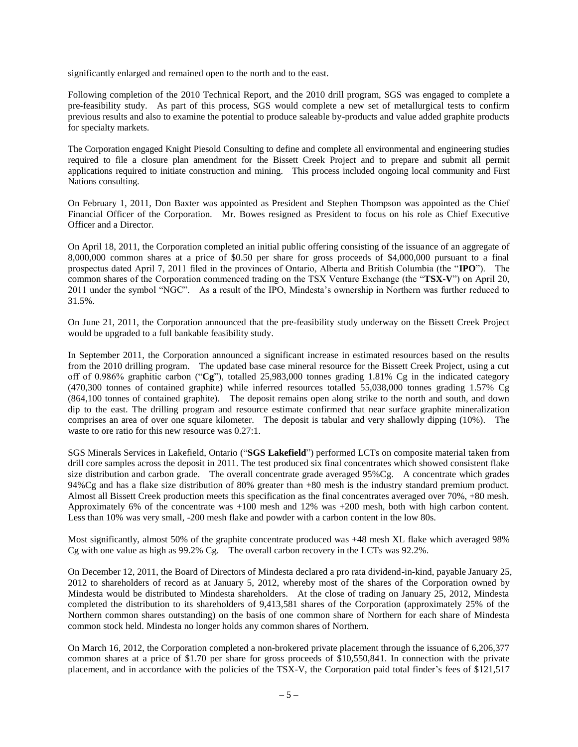significantly enlarged and remained open to the north and to the east.

Following completion of the 2010 Technical Report, and the 2010 drill program, SGS was engaged to complete a pre-feasibility study. As part of this process, SGS would complete a new set of metallurgical tests to confirm previous results and also to examine the potential to produce saleable by-products and value added graphite products for specialty markets.

The Corporation engaged Knight Piesold Consulting to define and complete all environmental and engineering studies required to file a closure plan amendment for the Bissett Creek Project and to prepare and submit all permit applications required to initiate construction and mining. This process included ongoing local community and First Nations consulting.

On February 1, 2011, Don Baxter was appointed as President and Stephen Thompson was appointed as the Chief Financial Officer of the Corporation. Mr. Bowes resigned as President to focus on his role as Chief Executive Officer and a Director.

On April 18, 2011, the Corporation completed an initial public offering consisting of the issuance of an aggregate of 8,000,000 common shares at a price of \$0.50 per share for gross proceeds of \$4,000,000 pursuant to a final prospectus dated April 7, 2011 filed in the provinces of Ontario, Alberta and British Columbia (the "**IPO**"). The common shares of the Corporation commenced trading on the TSX Venture Exchange (the "**TSX-V**") on April 20, 2011 under the symbol "NGC". As a result of the IPO, Mindesta's ownership in Northern was further reduced to 31.5%.

On June 21, 2011, the Corporation announced that the pre-feasibility study underway on the Bissett Creek Project would be upgraded to a full bankable feasibility study.

In September 2011, the Corporation announced a significant increase in estimated resources based on the results from the 2010 drilling program. The updated base case mineral resource for the Bissett Creek Project, using a cut off of 0.986% graphitic carbon ("**Cg**"), totalled 25,983,000 tonnes grading 1.81% Cg in the indicated category (470,300 tonnes of contained graphite) while inferred resources totalled 55,038,000 tonnes grading 1.57% Cg (864,100 tonnes of contained graphite). The deposit remains open along strike to the north and south, and down dip to the east. The drilling program and resource estimate confirmed that near surface graphite mineralization comprises an area of over one square kilometer. The deposit is tabular and very shallowly dipping (10%). The waste to ore ratio for this new resource was  $0.27:1$ .

SGS Minerals Services in Lakefield, Ontario ("**SGS Lakefield**") performed LCTs on composite material taken from drill core samples across the deposit in 2011. The test produced six final concentrates which showed consistent flake size distribution and carbon grade. The overall concentrate grade averaged 95%Cg. A concentrate which grades 94%Cg and has a flake size distribution of 80% greater than +80 mesh is the industry standard premium product. Almost all Bissett Creek production meets this specification as the final concentrates averaged over 70%, +80 mesh. Approximately 6% of the concentrate was +100 mesh and 12% was +200 mesh, both with high carbon content. Less than 10% was very small, -200 mesh flake and powder with a carbon content in the low 80s.

Most significantly, almost 50% of the graphite concentrate produced was +48 mesh XL flake which averaged 98% Cg with one value as high as 99.2% Cg. The overall carbon recovery in the LCTs was 92.2%.

On December 12, 2011, the Board of Directors of Mindesta declared a pro rata dividend-in-kind, payable January 25, 2012 to shareholders of record as at January 5, 2012, whereby most of the shares of the Corporation owned by Mindesta would be distributed to Mindesta shareholders. At the close of trading on January 25, 2012, Mindesta completed the distribution to its shareholders of 9,413,581 shares of the Corporation (approximately 25% of the Northern common shares outstanding) on the basis of one common share of Northern for each share of Mindesta common stock held. Mindesta no longer holds any common shares of Northern.

On March 16, 2012, the Corporation completed a non-brokered private placement through the issuance of 6,206,377 common shares at a price of \$1.70 per share for gross proceeds of \$10,550,841. In connection with the private placement, and in accordance with the policies of the TSX-V, the Corporation paid total finder's fees of \$121,517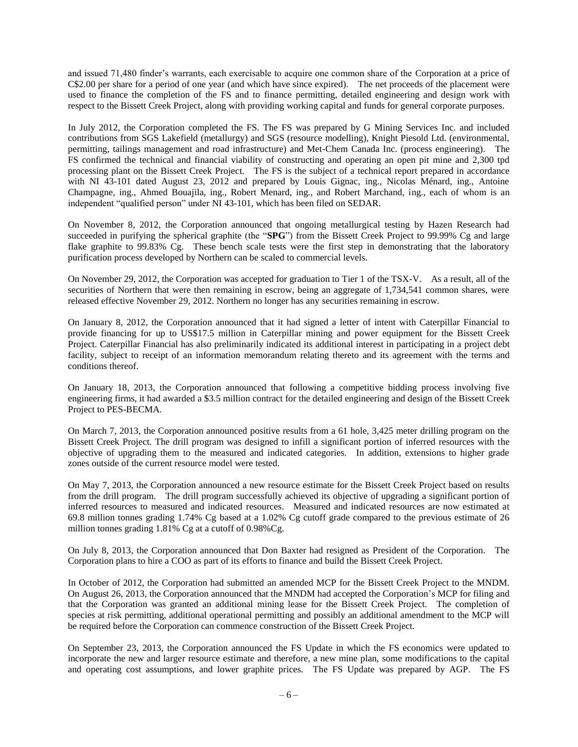and issued 71,480 finder's warrants, each exercisable to acquire one common share of the Corporation at a price of C\$2.00 per share for a period of one year (and which have since expired). The net proceeds of the placement were used to finance the completion of the FS and to finance permitting, detailed engineering and design work with respect to the Bissett Creek Project, along with providing working capital and funds for general corporate purposes.

In July 2012, the Corporation completed the FS. The FS was prepared by G Mining Services Inc. and included contributions from SGS Lakefield (metallurgy) and SGS (resource modelling), Knight Piesold Ltd. (environmental, permitting, tailings management and road infrastructure) and Met-Chem Canada Inc. (process engineering). The FS confirmed the technical and financial viability of constructing and operating an open pit mine and 2,300 tpd processing plant on the Bissett Creek Project.The FS is the subject of a technical report prepared in accordance with NI 43-101 dated August 23, 2012 and prepared by Louis Gignac, ing., Nicolas Ménard, ing., Antoine Champagne, ing., Ahmed Bouajila, ing., Robert Menard, ing., and Robert Marchand, ing., each of whom is an independent "qualified person" under NI 43-101, which has been filed on SEDAR.

On November 8, 2012, the Corporation announced that ongoing metallurgical testing by Hazen Research had succeeded in purifying the spherical graphite (the "**SPG**") from the Bissett Creek Project to 99.99% Cg and large flake graphite to 99.83% Cg. These bench scale tests were the first step in demonstrating that the laboratory purification process developed by Northern can be scaled to commercial levels.

On November 29, 2012, the Corporation was accepted for graduation to Tier 1 of the TSX-V. As a result, all of the securities of Northern that were then remaining in escrow, being an aggregate of 1,734,541 common shares, were released effective November 29, 2012. Northern no longer has any securities remaining in escrow.

On January 8, 2012, the Corporation announced that it had signed a letter of intent with Caterpillar Financial to provide financing for up to US\$17.5 million in Caterpillar mining and power equipment for the Bissett Creek Project. Caterpillar Financial has also preliminarily indicated its additional interest in participating in a project debt facility, subject to receipt of an information memorandum relating thereto and its agreement with the terms and conditions thereof.

On January 18, 2013, the Corporation announced that following a competitive bidding process involving five engineering firms, it had awarded a \$3.5 million contract for the detailed engineering and design of the Bissett Creek Project to PES-BECMA.

On March 7, 2013, the Corporation announced positive results from a 61 hole, 3,425 meter drilling program on the Bissett Creek Project. The drill program was designed to infill a significant portion of inferred resources with the objective of upgrading them to the measured and indicated categories. In addition, extensions to higher grade zones outside of the current resource model were tested.

On May 7, 2013, the Corporation announced a new resource estimate for the Bissett Creek Project based on results from the drill program. The drill program successfully achieved its objective of upgrading a significant portion of inferred resources to measured and indicated resources. Measured and indicated resources are now estimated at 69.8 million tonnes grading 1.74% Cg based at a 1.02% Cg cutoff grade compared to the previous estimate of 26 million tonnes grading 1.81% Cg at a cutoff of 0.98%Cg.

On July 8, 2013, the Corporation announced that Don Baxter had resigned as President of the Corporation. The Corporation plans to hire a COO as part of its efforts to finance and build the Bissett Creek Project.

In October of 2012, the Corporation had submitted an amended MCP for the Bissett Creek Project to the MNDM. On August 26, 2013, the Corporation announced that the MNDM had accepted the Corporation's MCP for filing and that the Corporation was granted an additional mining lease for the Bissett Creek Project. The completion of species at risk permitting, additional operational permitting and possibly an additional amendment to the MCP will be required before the Corporation can commence construction of the Bissett Creek Project.

On September 23, 2013, the Corporation announced the FS Update in which the FS economics were updated to incorporate the new and larger resource estimate and therefore, a new mine plan, some modifications to the capital and operating cost assumptions, and lower graphite prices. The FS Update was prepared by AGP. The FS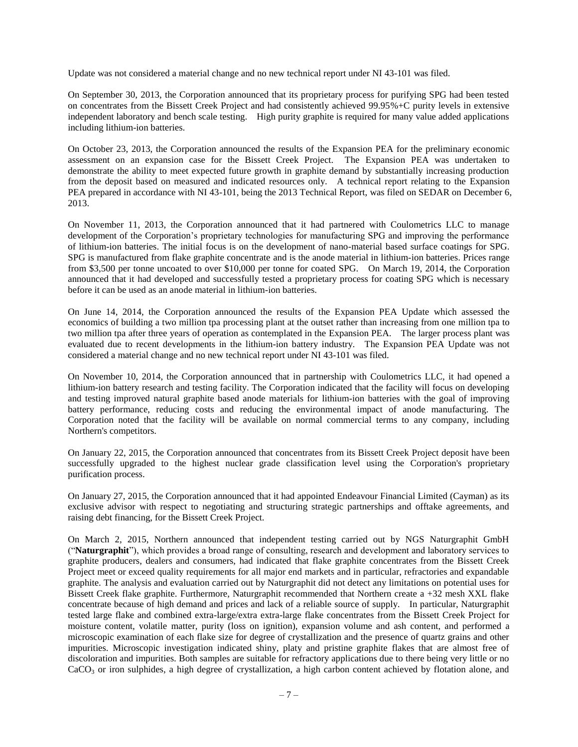Update was not considered a material change and no new technical report under NI 43-101 was filed.

On September 30, 2013, the Corporation announced that its proprietary process for purifying SPG had been tested on concentrates from the Bissett Creek Project and had consistently achieved 99.95%+C purity levels in extensive independent laboratory and bench scale testing. High purity graphite is required for many value added applications including lithium-ion batteries.

On October 23, 2013, the Corporation announced the results of the Expansion PEA for the preliminary economic assessment on an expansion case for the Bissett Creek Project. The Expansion PEA was undertaken to demonstrate the ability to meet expected future growth in graphite demand by substantially increasing production from the deposit based on measured and indicated resources only. A technical report relating to the Expansion PEA prepared in accordance with NI 43-101, being the 2013 Technical Report, was filed on SEDAR on December 6, 2013.

On November 11, 2013, the Corporation announced that it had partnered with Coulometrics LLC to manage development of the Corporation's proprietary technologies for manufacturing SPG and improving the performance of lithium-ion batteries. The initial focus is on the development of nano-material based surface coatings for SPG. SPG is manufactured from flake graphite concentrate and is the anode material in lithium-ion batteries. Prices range from \$3,500 per tonne uncoated to over \$10,000 per tonne for coated SPG. On March 19, 2014, the Corporation announced that it had developed and successfully tested a proprietary process for coating SPG which is necessary before it can be used as an anode material in lithium-ion batteries.

On June 14, 2014, the Corporation announced the results of the Expansion PEA Update which assessed the economics of building a two million tpa processing plant at the outset rather than increasing from one million tpa to two million tpa after three years of operation as contemplated in the Expansion PEA. The larger process plant was evaluated due to recent developments in the lithium-ion battery industry. The Expansion PEA Update was not considered a material change and no new technical report under NI 43-101 was filed.

On November 10, 2014, the Corporation announced that in partnership with Coulometrics LLC, it had opened a lithium-ion battery research and testing facility. The Corporation indicated that the facility will focus on developing and testing improved natural graphite based anode materials for lithium-ion batteries with the goal of improving battery performance, reducing costs and reducing the environmental impact of anode manufacturing. The Corporation noted that the facility will be available on normal commercial terms to any company, including Northern's competitors.

On January 22, 2015, the Corporation announced that concentrates from its Bissett Creek Project deposit have been successfully upgraded to the highest nuclear grade classification level using the Corporation's proprietary purification process.

On January 27, 2015, the Corporation announced that it had appointed Endeavour Financial Limited (Cayman) as its exclusive advisor with respect to negotiating and structuring strategic partnerships and offtake agreements, and raising debt financing, for the Bissett Creek Project.

On March 2, 2015, Northern announced that independent testing carried out by NGS Naturgraphit GmbH ("**Naturgraphit**"), which provides a broad range of consulting, research and development and laboratory services to graphite producers, dealers and consumers, had indicated that flake graphite concentrates from the Bissett Creek Project meet or exceed quality requirements for all major end markets and in particular, refractories and expandable graphite. The analysis and evaluation carried out by Naturgraphit did not detect any limitations on potential uses for Bissett Creek flake graphite. Furthermore, Naturgraphit recommended that Northern create a +32 mesh XXL flake concentrate because of high demand and prices and lack of a reliable source of supply. In particular, Naturgraphit tested large flake and combined extra-large/extra extra-large flake concentrates from the Bissett Creek Project for moisture content, volatile matter, purity (loss on ignition), expansion volume and ash content, and performed a microscopic examination of each flake size for degree of crystallization and the presence of quartz grains and other impurities. Microscopic investigation indicated shiny, platy and pristine graphite flakes that are almost free of discoloration and impurities. Both samples are suitable for refractory applications due to there being very little or no  $CaCO<sub>3</sub>$  or iron sulphides, a high degree of crystallization, a high carbon content achieved by flotation alone, and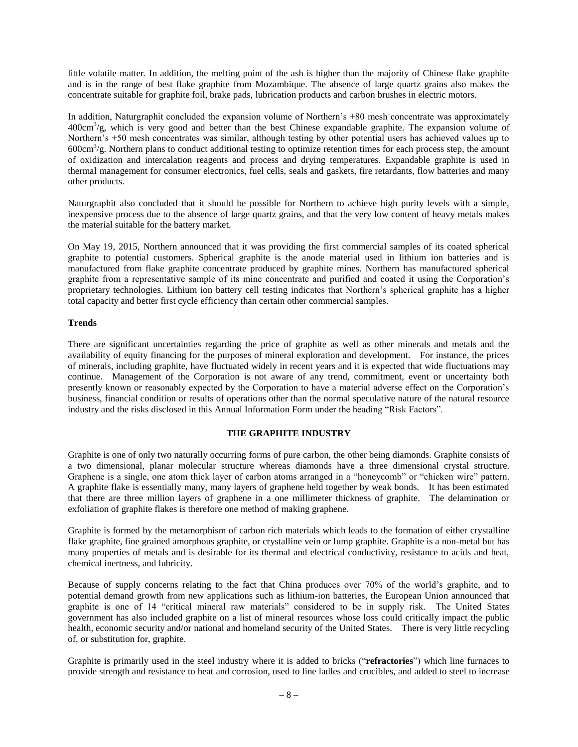little volatile matter. In addition, the melting point of the ash is higher than the majority of Chinese flake graphite and is in the range of best flake graphite from Mozambique. The absence of large quartz grains also makes the concentrate suitable for graphite foil, brake pads, lubrication products and carbon brushes in electric motors.

In addition, Naturgraphit concluded the expansion volume of Northern's +80 mesh concentrate was approximately 400cm<sup>3</sup>/g, which is very good and better than the best Chinese expandable graphite. The expansion volume of Northern's +50 mesh concentrates was similar, although testing by other potential users has achieved values up to 600cm<sup>3</sup> /g. Northern plans to conduct additional testing to optimize retention times for each process step, the amount of oxidization and intercalation reagents and process and drying temperatures. Expandable graphite is used in thermal management for consumer electronics, fuel cells, seals and gaskets, fire retardants, flow batteries and many other products.

Naturgraphit also concluded that it should be possible for Northern to achieve high purity levels with a simple, inexpensive process due to the absence of large quartz grains, and that the very low content of heavy metals makes the material suitable for the battery market.

On May 19, 2015, Northern announced that it was providing the first commercial samples of its coated spherical graphite to potential customers. Spherical graphite is the anode material used in lithium ion batteries and is manufactured from flake graphite concentrate produced by graphite mines. Northern has manufactured spherical graphite from a representative sample of its mine concentrate and purified and coated it using the Corporation's proprietary technologies. Lithium ion battery cell testing indicates that Northern's spherical graphite has a higher total capacity and better first cycle efficiency than certain other commercial samples.

#### **Trends**

There are significant uncertainties regarding the price of graphite as well as other minerals and metals and the availability of equity financing for the purposes of mineral exploration and development. For instance, the prices of minerals, including graphite, have fluctuated widely in recent years and it is expected that wide fluctuations may continue. Management of the Corporation is not aware of any trend, commitment, event or uncertainty both presently known or reasonably expected by the Corporation to have a material adverse effect on the Corporation's business, financial condition or results of operations other than the normal speculative nature of the natural resource industry and the risks disclosed in this Annual Information Form under the heading "Risk Factors".

#### **THE GRAPHITE INDUSTRY**

<span id="page-9-0"></span>Graphite is one of only two naturally occurring forms of pure carbon, the other being diamonds. Graphite consists of a two dimensional, planar molecular structure whereas diamonds have a three dimensional crystal structure. Graphene is a single, one atom thick layer of carbon atoms arranged in a "honeycomb" or "chicken wire" pattern. A graphite flake is essentially many, many layers of graphene held together by weak bonds. It has been estimated that there are three million layers of graphene in a one millimeter thickness of graphite. The delamination or exfoliation of graphite flakes is therefore one method of making graphene.

Graphite is formed by the metamorphism of carbon rich materials which leads to the formation of either crystalline flake graphite, fine grained amorphous graphite, or crystalline vein or lump graphite. Graphite is a non-metal but has many properties of metals and is desirable for its thermal and electrical conductivity, resistance to acids and heat, chemical inertness, and lubricity.

Because of supply concerns relating to the fact that China produces over 70% of the world's graphite, and to potential demand growth from new applications such as lithium-ion batteries, the European Union announced that graphite is one of 14 "critical mineral raw materials" considered to be in supply risk. The United States government has also included graphite on a list of mineral resources whose loss could critically impact the public health, economic security and/or national and homeland security of the United States. There is very little recycling of, or substitution for, graphite.

Graphite is primarily used in the steel industry where it is added to bricks ("**refractories**") which line furnaces to provide strength and resistance to heat and corrosion, used to line ladles and crucibles, and added to steel to increase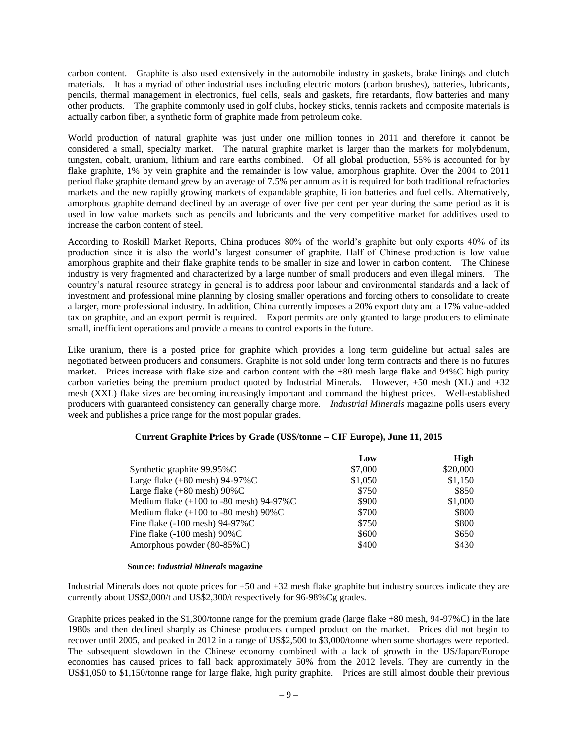carbon content. Graphite is also used extensively in the automobile industry in gaskets, brake linings and clutch materials. It has a myriad of other industrial uses including electric motors (carbon brushes), batteries, lubricants, pencils, thermal management in electronics, fuel cells, seals and gaskets, fire retardants, flow batteries and many other products. The graphite commonly used in golf clubs, hockey sticks, tennis rackets and composite materials is actually carbon fiber, a synthetic form of graphite made from petroleum coke.

World production of natural graphite was just under one million tonnes in 2011 and therefore it cannot be considered a small, specialty market. The natural graphite market is larger than the markets for molybdenum, tungsten, cobalt, uranium, lithium and rare earths combined. Of all global production, 55% is accounted for by flake graphite, 1% by vein graphite and the remainder is low value, amorphous graphite. Over the 2004 to 2011 period flake graphite demand grew by an average of 7.5% per annum as it is required for both traditional refractories markets and the new rapidly growing markets of expandable graphite, li ion batteries and fuel cells. Alternatively, amorphous graphite demand declined by an average of over five per cent per year during the same period as it is used in low value markets such as pencils and lubricants and the very competitive market for additives used to increase the carbon content of steel.

According to Roskill Market Reports, China produces 80% of the world's graphite but only exports 40% of its production since it is also the world's largest consumer of graphite. Half of Chinese production is low value amorphous graphite and their flake graphite tends to be smaller in size and lower in carbon content. The Chinese industry is very fragmented and characterized by a large number of small producers and even illegal miners. The country's natural resource strategy in general is to address poor labour and environmental standards and a lack of investment and professional mine planning by closing smaller operations and forcing others to consolidate to create a larger, more professional industry. In addition, China currently imposes a 20% export duty and a 17% value-added tax on graphite, and an export permit is required. Export permits are only granted to large producers to eliminate small, inefficient operations and provide a means to control exports in the future.

Like uranium, there is a posted price for graphite which provides a long term guideline but actual sales are negotiated between producers and consumers. Graphite is not sold under long term contracts and there is no futures market. Prices increase with flake size and carbon content with the +80 mesh large flake and 94%C high purity carbon varieties being the premium product quoted by Industrial Minerals. However,  $+50$  mesh (XL) and  $+32$ mesh (XXL) flake sizes are becoming increasingly important and command the highest prices. Well-established producers with guaranteed consistency can generally charge more. *Industrial Minerals* magazine polls users every week and publishes a price range for the most popular grades.

#### **Current Graphite Prices by Grade (US\$/tonne – CIF Europe), June 11, 2015**

|                                                         | Low     | High     |
|---------------------------------------------------------|---------|----------|
| Synthetic graphite $99.95\%$ C                          | \$7,000 | \$20,000 |
| Large flake $(+80$ mesh) 94-97%C                        | \$1,050 | \$1,150  |
| Large flake $(+80 \text{ mesh})$ 90%C                   | \$750   | \$850    |
| Medium flake $(+100$ to -80 mesh) 94-97%C               | \$900   | \$1,000  |
| Medium flake $(+100 \text{ to } -80 \text{ mesh})$ 90%C | \$700   | \$800    |
| Fine flake $(-100 \text{ mesh})$ 94-97%C                | \$750   | \$800    |
| Fine flake $(-100 \text{ mesh})$ 90%C                   | \$600   | \$650    |
| Amorphous powder (80-85%C)                              | \$400   | \$430    |

#### **Source:** *Industrial Minerals* **magazine**

Industrial Minerals does not quote prices for +50 and +32 mesh flake graphite but industry sources indicate they are currently about US\$2,000/t and US\$2,300/t respectively for 96-98%Cg grades.

Graphite prices peaked in the \$1,300/tonne range for the premium grade (large flake +80 mesh, 94-97%C) in the late 1980s and then declined sharply as Chinese producers dumped product on the market. Prices did not begin to recover until 2005, and peaked in 2012 in a range of US\$2,500 to \$3,000/tonne when some shortages were reported. The subsequent slowdown in the Chinese economy combined with a lack of growth in the US/Japan/Europe economies has caused prices to fall back approximately 50% from the 2012 levels. They are currently in the US\$1,050 to \$1,150/tonne range for large flake, high purity graphite. Prices are still almost double their previous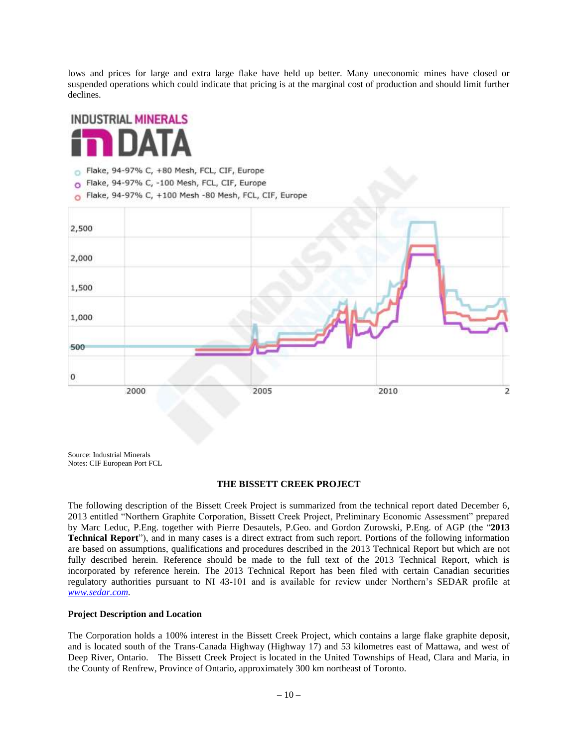lows and prices for large and extra large flake have held up better. Many uneconomic mines have closed or suspended operations which could indicate that pricing is at the marginal cost of production and should limit further declines.



- Flake, 94-97% C, +80 Mesh, FCL, CIF, Europe
- O Flake, 94-97% C, -100 Mesh, FCL, CIF, Europe
- Flake, 94-97% C, +100 Mesh -80 Mesh, FCL, CIF, Europe ö



Source: Industrial Minerals Notes: CIF European Port FCL

#### **THE BISSETT CREEK PROJECT**

The following description of the Bissett Creek Project is summarized from the technical report dated December 6, 2013 entitled "Northern Graphite Corporation, Bissett Creek Project, Preliminary Economic Assessment" prepared by Marc Leduc, P.Eng. together with Pierre Desautels, P.Geo. and Gordon Zurowski, P.Eng. of AGP (the "**2013 Technical Report**"), and in many cases is a direct extract from such report. Portions of the following information are based on assumptions, qualifications and procedures described in the 2013 Technical Report but which are not fully described herein. Reference should be made to the full text of the 2013 Technical Report, which is incorporated by reference herein. The 2013 Technical Report has been filed with certain Canadian securities regulatory authorities pursuant to NI 43-101 and is available for review under Northern's SEDAR profile at *[www.sedar.com.](http://www.sedar.com/)*

#### **Project Description and Location**

The Corporation holds a 100% interest in the Bissett Creek Project, which contains a large flake graphite deposit, and is located south of the Trans-Canada Highway (Highway 17) and 53 kilometres east of Mattawa, and west of Deep River, Ontario. The Bissett Creek Project is located in the United Townships of Head, Clara and Maria, in the County of Renfrew, Province of Ontario, approximately 300 km northeast of Toronto.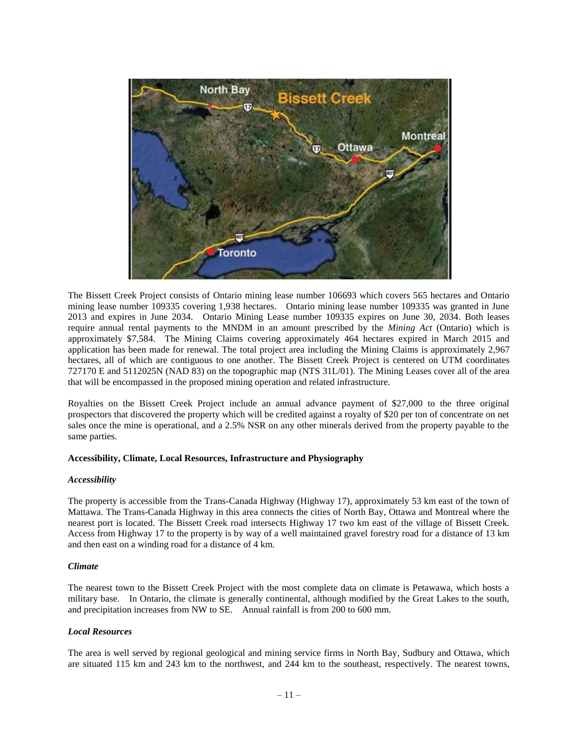

The Bissett Creek Project consists of Ontario mining lease number 106693 which covers 565 hectares and Ontario mining lease number 109335 covering 1,938 hectares. Ontario mining lease number 109335 was granted in June 2013 and expires in June 2034. Ontario Mining Lease number 109335 expires on June 30, 2034. Both leases require annual rental payments to the MNDM in an amount prescribed by the *Mining Act* (Ontario) which is approximately \$7,584. The Mining Claims covering approximately 464 hectares expired in March 2015 and application has been made for renewal. The total project area including the Mining Claims is approximately 2,967 hectares, all of which are contiguous to one another. The Bissett Creek Project is centered on UTM coordinates 727170 E and 5112025N (NAD 83) on the topographic map (NTS 31L/01). The Mining Leases cover all of the area that will be encompassed in the proposed mining operation and related infrastructure.

Royalties on the Bissett Creek Project include an annual advance payment of \$27,000 to the three original prospectors that discovered the property which will be credited against a royalty of \$20 per ton of concentrate on net sales once the mine is operational, and a 2.5% NSR on any other minerals derived from the property payable to the same parties.

#### **Accessibility, Climate, Local Resources, Infrastructure and Physiography**

#### *Accessibility*

The property is accessible from the Trans-Canada Highway (Highway 17), approximately 53 km east of the town of Mattawa. The Trans-Canada Highway in this area connects the cities of North Bay, Ottawa and Montreal where the nearest port is located. The Bissett Creek road intersects Highway 17 two km east of the village of Bissett Creek. Access from Highway 17 to the property is by way of a well maintained gravel forestry road for a distance of 13 km and then east on a winding road for a distance of 4 km.

#### *Climate*

The nearest town to the Bissett Creek Project with the most complete data on climate is Petawawa, which hosts a military base. In Ontario, the climate is generally continental, although modified by the Great Lakes to the south, and precipitation increases from NW to SE. Annual rainfall is from 200 to 600 mm.

## *Local Resources*

The area is well served by regional geological and mining service firms in North Bay, Sudbury and Ottawa, which are situated 115 km and 243 km to the northwest, and 244 km to the southeast, respectively. The nearest towns,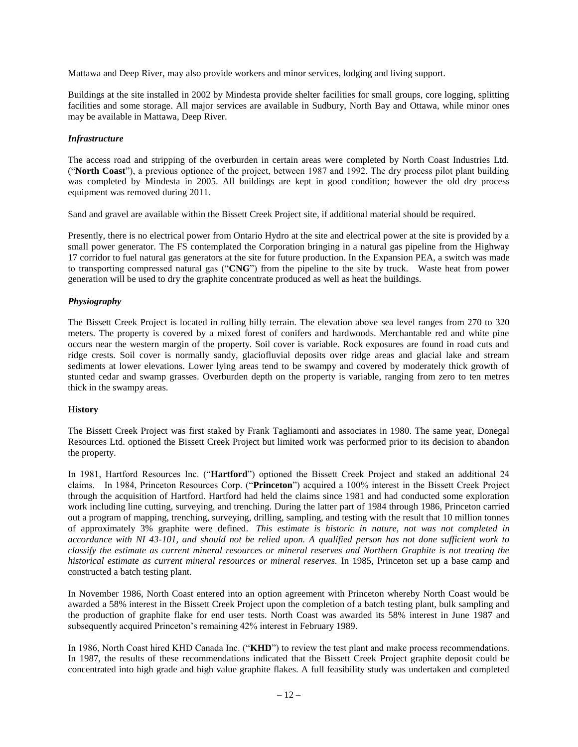Mattawa and Deep River, may also provide workers and minor services, lodging and living support.

Buildings at the site installed in 2002 by Mindesta provide shelter facilities for small groups, core logging, splitting facilities and some storage. All major services are available in Sudbury, North Bay and Ottawa, while minor ones may be available in Mattawa, Deep River.

## *Infrastructure*

The access road and stripping of the overburden in certain areas were completed by North Coast Industries Ltd. ("**North Coast**"), a previous optionee of the project, between 1987 and 1992. The dry process pilot plant building was completed by Mindesta in 2005. All buildings are kept in good condition; however the old dry process equipment was removed during 2011.

Sand and gravel are available within the Bissett Creek Project site, if additional material should be required.

Presently, there is no electrical power from Ontario Hydro at the site and electrical power at the site is provided by a small power generator. The FS contemplated the Corporation bringing in a natural gas pipeline from the Highway 17 corridor to fuel natural gas generators at the site for future production. In the Expansion PEA, a switch was made to transporting compressed natural gas ("**CNG**") from the pipeline to the site by truck. Waste heat from power generation will be used to dry the graphite concentrate produced as well as heat the buildings.

## *Physiography*

The Bissett Creek Project is located in rolling hilly terrain. The elevation above sea level ranges from 270 to 320 meters. The property is covered by a mixed forest of conifers and hardwoods. Merchantable red and white pine occurs near the western margin of the property. Soil cover is variable. Rock exposures are found in road cuts and ridge crests. Soil cover is normally sandy, glaciofluvial deposits over ridge areas and glacial lake and stream sediments at lower elevations. Lower lying areas tend to be swampy and covered by moderately thick growth of stunted cedar and swamp grasses. Overburden depth on the property is variable, ranging from zero to ten metres thick in the swampy areas.

## **History**

The Bissett Creek Project was first staked by Frank Tagliamonti and associates in 1980. The same year, Donegal Resources Ltd. optioned the Bissett Creek Project but limited work was performed prior to its decision to abandon the property.

In 1981, Hartford Resources Inc. ("**Hartford**") optioned the Bissett Creek Project and staked an additional 24 claims. In 1984, Princeton Resources Corp. ("**Princeton**") acquired a 100% interest in the Bissett Creek Project through the acquisition of Hartford. Hartford had held the claims since 1981 and had conducted some exploration work including line cutting, surveying, and trenching. During the latter part of 1984 through 1986, Princeton carried out a program of mapping, trenching, surveying, drilling, sampling, and testing with the result that 10 million tonnes of approximately 3% graphite were defined. *This estimate is historic in nature, not was not completed in accordance with NI 43-101, and should not be relied upon. A qualified person has not done sufficient work to classify the estimate as current mineral resources or mineral reserves and Northern Graphite is not treating the historical estimate as current mineral resources or mineral reserves.* In 1985, Princeton set up a base camp and constructed a batch testing plant.

In November 1986, North Coast entered into an option agreement with Princeton whereby North Coast would be awarded a 58% interest in the Bissett Creek Project upon the completion of a batch testing plant, bulk sampling and the production of graphite flake for end user tests. North Coast was awarded its 58% interest in June 1987 and subsequently acquired Princeton's remaining 42% interest in February 1989.

In 1986, North Coast hired KHD Canada Inc. ("**KHD**") to review the test plant and make process recommendations. In 1987, the results of these recommendations indicated that the Bissett Creek Project graphite deposit could be concentrated into high grade and high value graphite flakes. A full feasibility study was undertaken and completed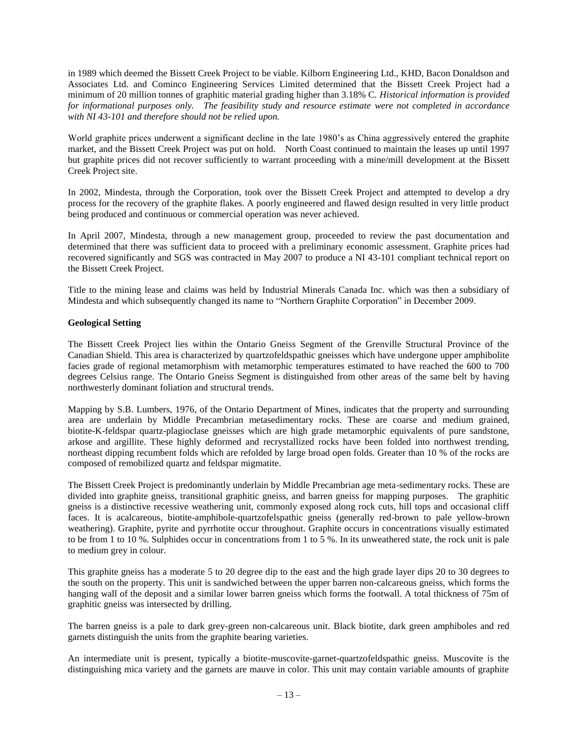in 1989 which deemed the Bissett Creek Project to be viable. Kilborn Engineering Ltd., KHD, Bacon Donaldson and Associates Ltd. and Cominco Engineering Services Limited determined that the Bissett Creek Project had a minimum of 20 million tonnes of graphitic material grading higher than 3.18% C. *Historical information is provided for informational purposes only. The feasibility study and resource estimate were not completed in accordance with NI 43-101 and therefore should not be relied upon.*

World graphite prices underwent a significant decline in the late 1980's as China aggressively entered the graphite market, and the Bissett Creek Project was put on hold. North Coast continued to maintain the leases up until 1997 but graphite prices did not recover sufficiently to warrant proceeding with a mine/mill development at the Bissett Creek Project site.

In 2002, Mindesta, through the Corporation, took over the Bissett Creek Project and attempted to develop a dry process for the recovery of the graphite flakes. A poorly engineered and flawed design resulted in very little product being produced and continuous or commercial operation was never achieved.

In April 2007, Mindesta, through a new management group, proceeded to review the past documentation and determined that there was sufficient data to proceed with a preliminary economic assessment. Graphite prices had recovered significantly and SGS was contracted in May 2007 to produce a NI 43-101 compliant technical report on the Bissett Creek Project.

Title to the mining lease and claims was held by Industrial Minerals Canada Inc. which was then a subsidiary of Mindesta and which subsequently changed its name to "Northern Graphite Corporation" in December 2009.

## **Geological Setting**

The Bissett Creek Project lies within the Ontario Gneiss Segment of the Grenville Structural Province of the Canadian Shield. This area is characterized by quartzofeldspathic gneisses which have undergone upper amphibolite facies grade of regional metamorphism with metamorphic temperatures estimated to have reached the 600 to 700 degrees Celsius range. The Ontario Gneiss Segment is distinguished from other areas of the same belt by having northwesterly dominant foliation and structural trends.

Mapping by S.B. Lumbers, 1976, of the Ontario Department of Mines, indicates that the property and surrounding area are underlain by Middle Precambrian metasedimentary rocks. These are coarse and medium grained, biotite-K-feldspar quartz-plagioclase gneisses which are high grade metamorphic equivalents of pure sandstone, arkose and argillite. These highly deformed and recrystallized rocks have been folded into northwest trending, northeast dipping recumbent folds which are refolded by large broad open folds. Greater than 10 % of the rocks are composed of remobilized quartz and feldspar migmatite.

The Bissett Creek Project is predominantly underlain by Middle Precambrian age meta-sedimentary rocks. These are divided into graphite gneiss, transitional graphitic gneiss, and barren gneiss for mapping purposes. The graphitic gneiss is a distinctive recessive weathering unit, commonly exposed along rock cuts, hill tops and occasional cliff faces. It is acalcareous, biotite-amphibole-quartzofelspathic gneiss (generally red-brown to pale yellow-brown weathering). Graphite, pyrite and pyrrhotite occur throughout. Graphite occurs in concentrations visually estimated to be from 1 to 10 %. Sulphides occur in concentrations from 1 to 5 %. In its unweathered state, the rock unit is pale to medium grey in colour.

This graphite gneiss has a moderate 5 to 20 degree dip to the east and the high grade layer dips 20 to 30 degrees to the south on the property. This unit is sandwiched between the upper barren non-calcareous gneiss, which forms the hanging wall of the deposit and a similar lower barren gneiss which forms the footwall. A total thickness of 75m of graphitic gneiss was intersected by drilling.

The barren gneiss is a pale to dark grey-green non-calcareous unit. Black biotite, dark green amphiboles and red garnets distinguish the units from the graphite bearing varieties.

An intermediate unit is present, typically a biotite-muscovite-garnet-quartzofeldspathic gneiss. Muscovite is the distinguishing mica variety and the garnets are mauve in color. This unit may contain variable amounts of graphite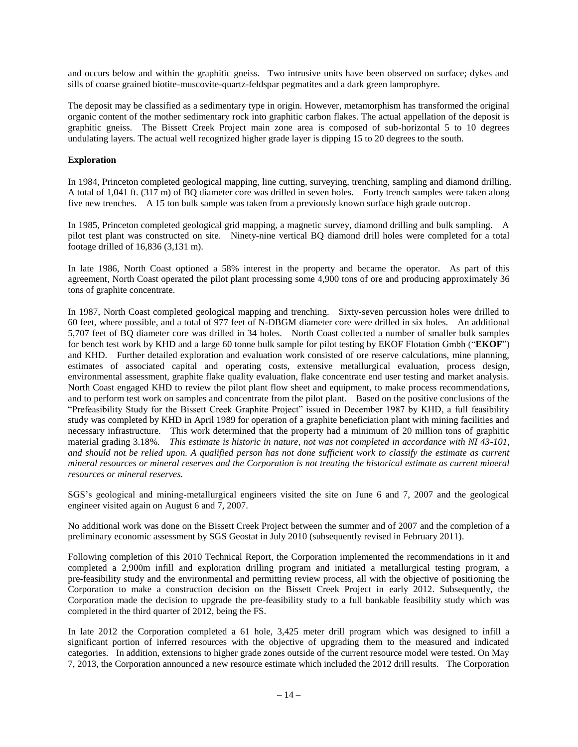and occurs below and within the graphitic gneiss. Two intrusive units have been observed on surface; dykes and sills of coarse grained biotite-muscovite-quartz-feldspar pegmatites and a dark green lamprophyre.

The deposit may be classified as a sedimentary type in origin. However, metamorphism has transformed the original organic content of the mother sedimentary rock into graphitic carbon flakes. The actual appellation of the deposit is graphitic gneiss. The Bissett Creek Project main zone area is composed of sub-horizontal 5 to 10 degrees undulating layers. The actual well recognized higher grade layer is dipping 15 to 20 degrees to the south.

## **Exploration**

In 1984, Princeton completed geological mapping, line cutting, surveying, trenching, sampling and diamond drilling. A total of 1,041 ft. (317 m) of BQ diameter core was drilled in seven holes. Forty trench samples were taken along five new trenches. A 15 ton bulk sample was taken from a previously known surface high grade outcrop.

In 1985, Princeton completed geological grid mapping, a magnetic survey, diamond drilling and bulk sampling. A pilot test plant was constructed on site. Ninety-nine vertical BQ diamond drill holes were completed for a total footage drilled of 16,836 (3,131 m).

In late 1986, North Coast optioned a 58% interest in the property and became the operator. As part of this agreement, North Coast operated the pilot plant processing some 4,900 tons of ore and producing approximately 36 tons of graphite concentrate.

In 1987, North Coast completed geological mapping and trenching. Sixty-seven percussion holes were drilled to 60 feet, where possible, and a total of 977 feet of N-DBGM diameter core were drilled in six holes. An additional 5,707 feet of BQ diameter core was drilled in 34 holes. North Coast collected a number of smaller bulk samples for bench test work by KHD and a large 60 tonne bulk sample for pilot testing by EKOF Flotation Gmbh ("**EKOF**") and KHD. Further detailed exploration and evaluation work consisted of ore reserve calculations, mine planning, estimates of associated capital and operating costs, extensive metallurgical evaluation, process design, environmental assessment, graphite flake quality evaluation, flake concentrate end user testing and market analysis. North Coast engaged KHD to review the pilot plant flow sheet and equipment, to make process recommendations, and to perform test work on samples and concentrate from the pilot plant. Based on the positive conclusions of the "Prefeasibility Study for the Bissett Creek Graphite Project" issued in December 1987 by KHD, a full feasibility study was completed by KHD in April 1989 for operation of a graphite beneficiation plant with mining facilities and necessary infrastructure. This work determined that the property had a minimum of 20 million tons of graphitic material grading 3.18%. *This estimate is historic in nature, not was not completed in accordance with NI 43-101, and should not be relied upon. A qualified person has not done sufficient work to classify the estimate as current mineral resources or mineral reserves and the Corporation is not treating the historical estimate as current mineral resources or mineral reserves.*

SGS's geological and mining-metallurgical engineers visited the site on June 6 and 7, 2007 and the geological engineer visited again on August 6 and 7, 2007.

No additional work was done on the Bissett Creek Project between the summer and of 2007 and the completion of a preliminary economic assessment by SGS Geostat in July 2010 (subsequently revised in February 2011).

Following completion of this 2010 Technical Report, the Corporation implemented the recommendations in it and completed a 2,900m infill and exploration drilling program and initiated a metallurgical testing program, a pre-feasibility study and the environmental and permitting review process, all with the objective of positioning the Corporation to make a construction decision on the Bissett Creek Project in early 2012. Subsequently, the Corporation made the decision to upgrade the pre-feasibility study to a full bankable feasibility study which was completed in the third quarter of 2012, being the FS.

In late 2012 the Corporation completed a 61 hole, 3,425 meter drill program which was designed to infill a significant portion of inferred resources with the objective of upgrading them to the measured and indicated categories. In addition, extensions to higher grade zones outside of the current resource model were tested. On May 7, 2013, the Corporation announced a new resource estimate which included the 2012 drill results. The Corporation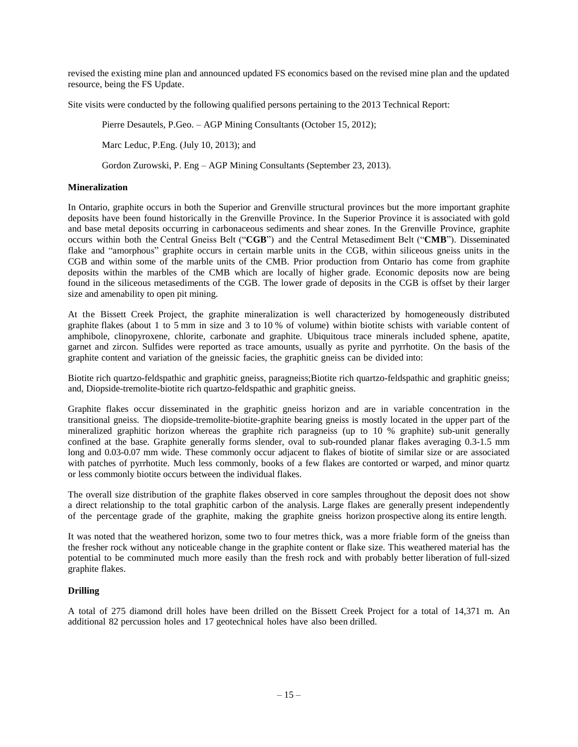revised the existing mine plan and announced updated FS economics based on the revised mine plan and the updated resource, being the FS Update.

Site visits were conducted by the following qualified persons pertaining to the 2013 Technical Report:

Pierre Desautels, P.Geo. – AGP Mining Consultants (October 15, 2012);

Marc Leduc, P.Eng. (July 10, 2013); and

Gordon Zurowski, P. Eng – AGP Mining Consultants (September 23, 2013).

## **Mineralization**

In Ontario, graphite occurs in both the Superior and Grenville structural provinces but the more important graphite deposits have been found historically in the Grenville Province. In the Superior Province it is associated with gold and base metal deposits occurring in carbonaceous sediments and shear zones. In the Grenville Province, graphite occurs within both the Central Gneiss Belt ("**CGB**") and the Central Metasediment Belt ("**CMB**"). Disseminated flake and "amorphous" graphite occurs in certain marble units in the CGB, within siliceous gneiss units in the CGB and within some of the marble units of the CMB. Prior production from Ontario has come from graphite deposits within the marbles of the CMB which are locally of higher grade. Economic deposits now are being found in the siliceous metasediments of the CGB. The lower grade of deposits in the CGB is offset by their larger size and amenability to open pit mining.

At the Bissett Creek Project, the graphite mineralization is well characterized by homogeneously distributed graphite flakes (about 1 to 5 mm in size and 3 to 10 % of volume) within biotite schists with variable content of amphibole, clinopyroxene, chlorite, carbonate and graphite. Ubiquitous trace minerals included sphene, apatite, garnet and zircon. Sulfides were reported as trace amounts, usually as pyrite and pyrrhotite. On the basis of the graphite content and variation of the gneissic facies, the graphitic gneiss can be divided into:

Biotite rich quartzo-feldspathic and graphitic gneiss, paragneiss;Biotite rich quartzo-feldspathic and graphitic gneiss; and, Diopside-tremolite-biotite rich quartzo-feldspathic and graphitic gneiss.

Graphite flakes occur disseminated in the graphitic gneiss horizon and are in variable concentration in the transitional gneiss. The diopside-tremolite-biotite-graphite bearing gneiss is mostly located in the upper part of the mineralized graphitic horizon whereas the graphite rich paragneiss (up to 10 % graphite) sub-unit generally confined at the base. Graphite generally forms slender, oval to sub-rounded planar flakes averaging 0.3-1.5 mm long and 0.03-0.07 mm wide. These commonly occur adjacent to flakes of biotite of similar size or are associated with patches of pyrrhotite. Much less commonly, books of a few flakes are contorted or warped, and minor quartz or less commonly biotite occurs between the individual flakes.

The overall size distribution of the graphite flakes observed in core samples throughout the deposit does not show a direct relationship to the total graphitic carbon of the analysis. Large flakes are generally present independently of the percentage grade of the graphite, making the graphite gneiss horizon prospective along its entire length.

It was noted that the weathered horizon, some two to four metres thick, was a more friable form of the gneiss than the fresher rock without any noticeable change in the graphite content or flake size. This weathered material has the potential to be comminuted much more easily than the fresh rock and with probably better liberation of full-sized graphite flakes.

## **Drilling**

A total of 275 diamond drill holes have been drilled on the Bissett Creek Project for a total of 14,371 m. An additional 82 percussion holes and 17 geotechnical holes have also been drilled.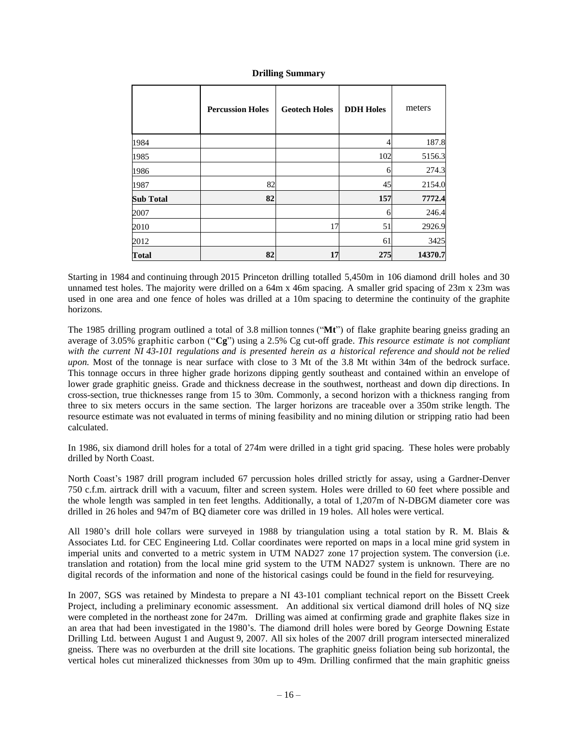## **Drilling Summary**

|                  | <b>Percussion Holes</b> | <b>Geotech Holes</b> | <b>DDH Holes</b> | meters  |
|------------------|-------------------------|----------------------|------------------|---------|
| 1984             |                         |                      |                  | 187.8   |
| 1985             |                         |                      | 102              | 5156.3  |
| 1986             |                         |                      | 6                | 274.3   |
| 1987             | 82                      |                      | 45               | 2154.0  |
| <b>Sub Total</b> | 82                      |                      | 157              | 7772.4  |
| 2007             |                         |                      | 6                | 246.4   |
| 2010             |                         | 17                   | 51               | 2926.9  |
| 2012             |                         |                      | 61               | 3425    |
| <b>Total</b>     | 82                      | 17                   | 275              | 14370.7 |

Starting in 1984 and continuing through 2015 Princeton drilling totalled 5,450m in 106 diamond drill holes and 30 unnamed test holes. The majority were drilled on a 64m x 46m spacing. A smaller grid spacing of 23m x 23m was used in one area and one fence of holes was drilled at a 10m spacing to determine the continuity of the graphite horizons.

The 1985 drilling program outlined a total of 3.8 million tonnes ("**Mt**") of flake graphite bearing gneiss grading an average of 3.05% graphitic carbon ("**Cg**") using a 2.5% Cg cut-off grade. *This resource estimate is not compliant with the current NI 43-101 regulations and is presented herein as a historical reference and should not be relied upon.* Most of the tonnage is near surface with close to 3 Mt of the 3.8 Mt within 34m of the bedrock surface. This tonnage occurs in three higher grade horizons dipping gently southeast and contained within an envelope of lower grade graphitic gneiss. Grade and thickness decrease in the southwest, northeast and down dip directions. In cross-section, true thicknesses range from 15 to 30m. Commonly, a second horizon with a thickness ranging from three to six meters occurs in the same section. The larger horizons are traceable over a 350m strike length. The resource estimate was not evaluated in terms of mining feasibility and no mining dilution or stripping ratio had been calculated.

In 1986, six diamond drill holes for a total of 274m were drilled in a tight grid spacing. These holes were probably drilled by North Coast.

North Coast's 1987 drill program included 67 percussion holes drilled strictly for assay, using a Gardner-Denver 750 c.f.m. airtrack drill with a vacuum, filter and screen system. Holes were drilled to 60 feet where possible and the whole length was sampled in ten feet lengths. Additionally, a total of 1,207m of N-DBGM diameter core was drilled in 26 holes and 947m of BQ diameter core was drilled in 19 holes. All holes were vertical.

All 1980's drill hole collars were surveyed in 1988 by triangulation using a total station by R. M. Blais & Associates Ltd. for CEC Engineering Ltd. Collar coordinates were reported on maps in a local mine grid system in imperial units and converted to a metric system in UTM NAD27 zone 17 projection system. The conversion (i.e. translation and rotation) from the local mine grid system to the UTM NAD27 system is unknown. There are no digital records of the information and none of the historical casings could be found in the field for resurveying.

In 2007, SGS was retained by Mindesta to prepare a NI 43-101 compliant technical report on the Bissett Creek Project, including a preliminary economic assessment. An additional six vertical diamond drill holes of NQ size were completed in the northeast zone for 247m. Drilling was aimed at confirming grade and graphite flakes size in an area that had been investigated in the 1980's. The diamond drill holes were bored by George Downing Estate Drilling Ltd. between August 1 and August 9, 2007. All six holes of the 2007 drill program intersected mineralized gneiss. There was no overburden at the drill site locations. The graphitic gneiss foliation being sub horizontal, the vertical holes cut mineralized thicknesses from 30m up to 49m. Drilling confirmed that the main graphitic gneiss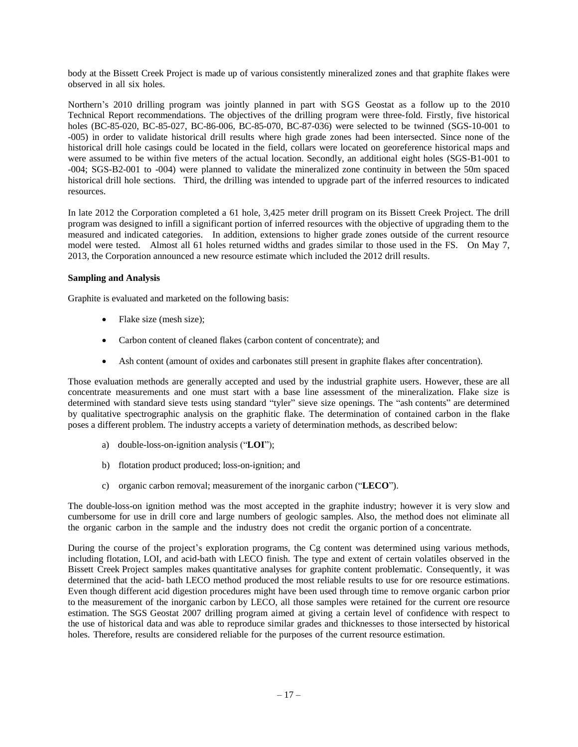body at the Bissett Creek Project is made up of various consistently mineralized zones and that graphite flakes were observed in all six holes.

Northern's 2010 drilling program was jointly planned in part with SGS Geostat as a follow up to the 2010 Technical Report recommendations. The objectives of the drilling program were three-fold. Firstly, five historical holes (BC-85-020, BC-85-027, BC-86-006, BC-85-070, BC-87-036) were selected to be twinned (SGS-10-001 to -005) in order to validate historical drill results where high grade zones had been intersected. Since none of the historical drill hole casings could be located in the field, collars were located on georeference historical maps and were assumed to be within five meters of the actual location. Secondly, an additional eight holes (SGS-B1-001 to -004; SGS-B2-001 to -004) were planned to validate the mineralized zone continuity in between the 50m spaced historical drill hole sections. Third, the drilling was intended to upgrade part of the inferred resources to indicated resources.

In late 2012 the Corporation completed a 61 hole, 3,425 meter drill program on its Bissett Creek Project. The drill program was designed to infill a significant portion of inferred resources with the objective of upgrading them to the measured and indicated categories. In addition, extensions to higher grade zones outside of the current resource model were tested. Almost all 61 holes returned widths and grades similar to those used in the FS. On May 7, 2013, the Corporation announced a new resource estimate which included the 2012 drill results.

## **Sampling and Analysis**

Graphite is evaluated and marketed on the following basis:

- Flake size (mesh size);
- Carbon content of cleaned flakes (carbon content of concentrate); and
- Ash content (amount of oxides and carbonates still present in graphite flakes after concentration).

Those evaluation methods are generally accepted and used by the industrial graphite users. However, these are all concentrate measurements and one must start with a base line assessment of the mineralization. Flake size is determined with standard sieve tests using standard "tyler" sieve size openings. The "ash contents" are determined by qualitative spectrographic analysis on the graphitic flake. The determination of contained carbon in the flake poses a different problem. The industry accepts a variety of determination methods, as described below:

- a) double-loss-on-ignition analysis ("**LOI**");
- b) flotation product produced; loss-on-ignition; and
- c) organic carbon removal; measurement of the inorganic carbon ("**LECO**").

The double-loss-on ignition method was the most accepted in the graphite industry; however it is very slow and cumbersome for use in drill core and large numbers of geologic samples. Also, the method does not eliminate all the organic carbon in the sample and the industry does not credit the organic portion of a concentrate.

During the course of the project's exploration programs, the Cg content was determined using various methods, including flotation, LOI, and acid-bath with LECO finish. The type and extent of certain volatiles observed in the Bissett Creek Project samples makes quantitative analyses for graphite content problematic. Consequently, it was determined that the acid- bath LECO method produced the most reliable results to use for ore resource estimations. Even though different acid digestion procedures might have been used through time to remove organic carbon prior to the measurement of the inorganic carbon by LECO, all those samples were retained for the current ore resource estimation. The SGS Geostat 2007 drilling program aimed at giving a certain level of confidence with respect to the use of historical data and was able to reproduce similar grades and thicknesses to those intersected by historical holes. Therefore, results are considered reliable for the purposes of the current resource estimation.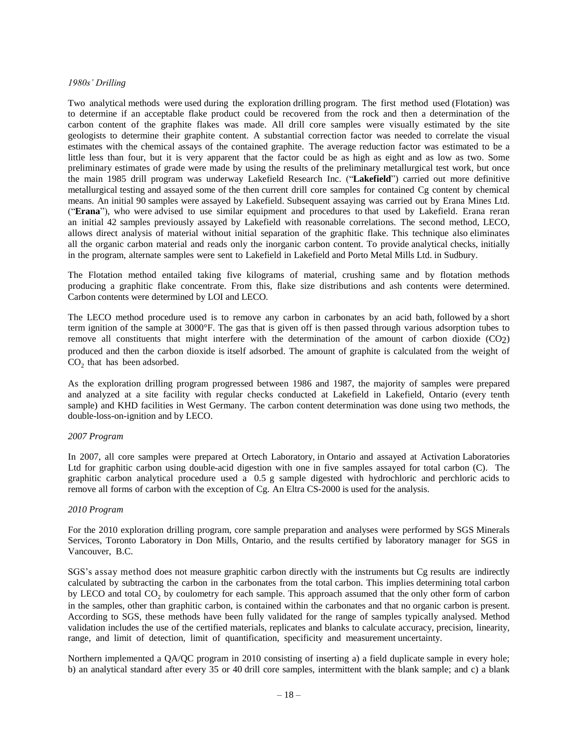#### *1980s' Drilling*

Two analytical methods were used during the exploration drilling program. The first method used (Flotation) was to determine if an acceptable flake product could be recovered from the rock and then a determination of the carbon content of the graphite flakes was made. All drill core samples were visually estimated by the site geologists to determine their graphite content. A substantial correction factor was needed to correlate the visual estimates with the chemical assays of the contained graphite. The average reduction factor was estimated to be a little less than four, but it is very apparent that the factor could be as high as eight and as low as two. Some preliminary estimates of grade were made by using the results of the preliminary metallurgical test work, but once the main 1985 drill program was underway Lakefield Research Inc. ("**Lakefield**") carried out more definitive metallurgical testing and assayed some of the then current drill core samples for contained Cg content by chemical means. An initial 90 samples were assayed by Lakefield. Subsequent assaying was carried out by Erana Mines Ltd. ("**Erana**"), who were advised to use similar equipment and procedures to that used by Lakefield. Erana reran an initial 42 samples previously assayed by Lakefield with reasonable correlations. The second method, LECO, allows direct analysis of material without initial separation of the graphitic flake. This technique also eliminates all the organic carbon material and reads only the inorganic carbon content. To provide analytical checks, initially in the program, alternate samples were sent to Lakefield in Lakefield and Porto Metal Mills Ltd. in Sudbury.

The Flotation method entailed taking five kilograms of material, crushing same and by flotation methods producing a graphitic flake concentrate. From this, flake size distributions and ash contents were determined. Carbon contents were determined by LOI and LECO.

The LECO method procedure used is to remove any carbon in carbonates by an acid bath, followed by a short term ignition of the sample at 3000°F. The gas that is given off is then passed through various adsorption tubes to remove all constituents that might interfere with the determination of the amount of carbon dioxide (CO2) produced and then the carbon dioxide is itself adsorbed. The amount of graphite is calculated from the weight of  $CO<sub>2</sub>$  that has been adsorbed.

As the exploration drilling program progressed between 1986 and 1987, the majority of samples were prepared and analyzed at a site facility with regular checks conducted at Lakefield in Lakefield, Ontario (every tenth sample) and KHD facilities in West Germany. The carbon content determination was done using two methods, the double-loss-on-ignition and by LECO.

#### *2007 Program*

In 2007, all core samples were prepared at Ortech Laboratory, in Ontario and assayed at Activation Laboratories Ltd for graphitic carbon using double-acid digestion with one in five samples assayed for total carbon (C). The graphitic carbon analytical procedure used a 0.5 g sample digested with hydrochloric and perchloric acids to remove all forms of carbon with the exception of Cg. An Eltra CS-2000 is used for the analysis.

#### *2010 Program*

For the 2010 exploration drilling program, core sample preparation and analyses were performed by SGS Minerals Services, Toronto Laboratory in Don Mills, Ontario, and the results certified by laboratory manager for SGS in Vancouver, B.C.

SGS's assay method does not measure graphitic carbon directly with the instruments but Cg results are indirectly calculated by subtracting the carbon in the carbonates from the total carbon. This implies determining total carbon by LECO and total  $CO_2$  by coulometry for each sample. This approach assumed that the only other form of carbon in the samples, other than graphitic carbon, is contained within the carbonates and that no organic carbon is present. According to SGS, these methods have been fully validated for the range of samples typically analysed. Method validation includes the use of the certified materials, replicates and blanks to calculate accuracy, precision, linearity, range, and limit of detection, limit of quantification, specificity and measurement uncertainty.

Northern implemented a QA/QC program in 2010 consisting of inserting a) a field duplicate sample in every hole; b) an analytical standard after every 35 or 40 drill core samples, intermittent with the blank sample; and c) a blank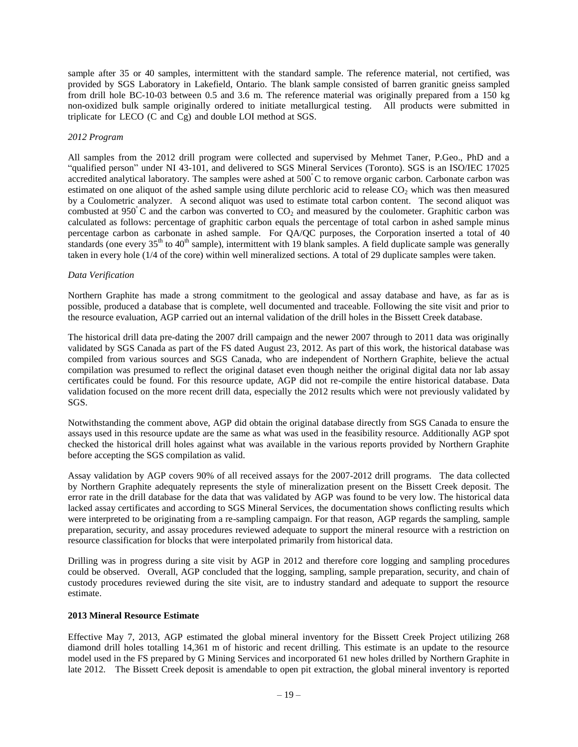sample after 35 or 40 samples, intermittent with the standard sample. The reference material, not certified, was provided by SGS Laboratory in Lakefield, Ontario. The blank sample consisted of barren granitic gneiss sampled from drill hole BC-10-03 between 0.5 and 3.6 m. The reference material was originally prepared from a 150 kg non-oxidized bulk sample originally ordered to initiate metallurgical testing. All products were submitted in triplicate for LECO (C and Cg) and double LOI method at SGS.

#### *2012 Program*

All samples from the 2012 drill program were collected and supervised by Mehmet Taner, P.Geo., PhD and a "qualified person" under NI 43-101, and delivered to SGS Mineral Services (Toronto). SGS is an ISO/IEC 17025 accredited analytical laboratory. The samples were ashed at  $500^{\circ}$ C to remove organic carbon. Carbonate carbon was estimated on one aliquot of the ashed sample using dilute perchloric acid to release  $CO<sub>2</sub>$  which was then measured by a Coulometric analyzer. A second aliquot was used to estimate total carbon content. The second aliquot was combusted at 950 $\degree$ C and the carbon was converted to CO<sub>2</sub> and measured by the coulometer. Graphitic carbon was calculated as follows: percentage of graphitic carbon equals the percentage of total carbon in ashed sample minus percentage carbon as carbonate in ashed sample. For QA/QC purposes, the Corporation inserted a total of 40 standards (one every  $35<sup>th</sup>$  to  $40<sup>th</sup>$  sample), intermittent with 19 blank samples. A field duplicate sample was generally taken in every hole (1/4 of the core) within well mineralized sections. A total of 29 duplicate samples were taken.

## *Data Verification*

Northern Graphite has made a strong commitment to the geological and assay database and have, as far as is possible, produced a database that is complete, well documented and traceable. Following the site visit and prior to the resource evaluation, AGP carried out an internal validation of the drill holes in the Bissett Creek database.

The historical drill data pre-dating the 2007 drill campaign and the newer 2007 through to 2011 data was originally validated by SGS Canada as part of the FS dated August 23, 2012. As part of this work, the historical database was compiled from various sources and SGS Canada, who are independent of Northern Graphite, believe the actual compilation was presumed to reflect the original dataset even though neither the original digital data nor lab assay certificates could be found. For this resource update, AGP did not re-compile the entire historical database. Data validation focused on the more recent drill data, especially the 2012 results which were not previously validated by SGS.

Notwithstanding the comment above, AGP did obtain the original database directly from SGS Canada to ensure the assays used in this resource update are the same as what was used in the feasibility resource. Additionally AGP spot checked the historical drill holes against what was available in the various reports provided by Northern Graphite before accepting the SGS compilation as valid.

Assay validation by AGP covers 90% of all received assays for the 2007-2012 drill programs. The data collected by Northern Graphite adequately represents the style of mineralization present on the Bissett Creek deposit. The error rate in the drill database for the data that was validated by AGP was found to be very low. The historical data lacked assay certificates and according to SGS Mineral Services, the documentation shows conflicting results which were interpreted to be originating from a re-sampling campaign. For that reason, AGP regards the sampling, sample preparation, security, and assay procedures reviewed adequate to support the mineral resource with a restriction on resource classification for blocks that were interpolated primarily from historical data.

Drilling was in progress during a site visit by AGP in 2012 and therefore core logging and sampling procedures could be observed. Overall, AGP concluded that the logging, sampling, sample preparation, security, and chain of custody procedures reviewed during the site visit, are to industry standard and adequate to support the resource estimate.

## **2013 Mineral Resource Estimate**

Effective May 7, 2013, AGP estimated the global mineral inventory for the Bissett Creek Project utilizing 268 diamond drill holes totalling 14,361 m of historic and recent drilling. This estimate is an update to the resource model used in the FS prepared by G Mining Services and incorporated 61 new holes drilled by Northern Graphite in late 2012. The Bissett Creek deposit is amendable to open pit extraction, the global mineral inventory is reported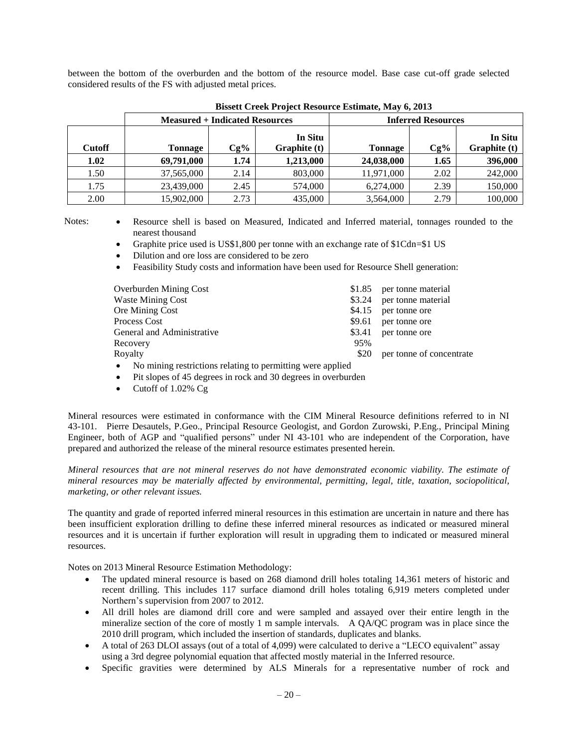between the bottom of the overburden and the bottom of the resource model. Base case cut-off grade selected considered results of the FS with adjusted metal prices.

|               |            | <b>Measured + Indicated Resources</b> |                                |            | <b>Inferred Resources</b> |                         |
|---------------|------------|---------------------------------------|--------------------------------|------------|---------------------------|-------------------------|
| <b>Cutoff</b> | Tonnage    | $Cg\%$                                | In Situ<br><b>Graphite</b> (t) | Tonnage    | $Cg\%$                    | In Situ<br>Graphite (t) |
| 1.02          | 69,791,000 | 1.74                                  | 1,213,000                      | 24,038,000 | 1.65                      | 396,000                 |
| 1.50          | 37,565,000 | 2.14                                  | 803,000                        | 11,971,000 | 2.02                      | 242,000                 |
| 1.75          | 23,439,000 | 2.45                                  | 574,000                        | 6,274,000  | 2.39                      | 150,000                 |
| 2.00          | 15,902,000 | 2.73                                  | 435,000                        | 3,564,000  | 2.79                      | 100,000                 |

- Notes: Resource shell is based on Measured, Indicated and Inferred material, tonnages rounded to the nearest thousand
	- Graphite price used is US\$1,800 per tonne with an exchange rate of \$1Cdn=\$1 US
	- Dilution and ore loss are considered to be zero
	- Feasibility Study costs and information have been used for Resource Shell generation:

| Overburden Mining Cost     |      | \$1.85 per tonne material |
|----------------------------|------|---------------------------|
| Waste Mining Cost          |      | \$3.24 per tonne material |
| Ore Mining Cost            |      | \$4.15 per tonne ore      |
| Process Cost               |      | \$9.61 per tonne ore      |
| General and Administrative |      | \$3.41 per tonne ore      |
| Recovery                   | 95%  |                           |
| Royalty                    | \$20 | per tonne of concentrate  |
|                            |      |                           |

No mining restrictions relating to permitting were applied

- Pit slopes of 45 degrees in rock and 30 degrees in overburden
- Cutoff of  $1.02\%$  Cg

Mineral resources were estimated in conformance with the CIM Mineral Resource definitions referred to in NI 43-101. Pierre Desautels, P.Geo., Principal Resource Geologist, and Gordon Zurowski, P.Eng., Principal Mining Engineer, both of AGP and "qualified persons" under NI 43-101 who are independent of the Corporation, have prepared and authorized the release of the mineral resource estimates presented herein.

*Mineral resources that are not mineral reserves do not have demonstrated economic viability. The estimate of mineral resources may be materially affected by environmental, permitting, legal, title, taxation, sociopolitical, marketing, or other relevant issues.*

The quantity and grade of reported inferred mineral resources in this estimation are uncertain in nature and there has been insufficient exploration drilling to define these inferred mineral resources as indicated or measured mineral resources and it is uncertain if further exploration will result in upgrading them to indicated or measured mineral resources.

Notes on 2013 Mineral Resource Estimation Methodology:

- The updated mineral resource is based on 268 diamond drill holes totaling 14,361 meters of historic and recent drilling. This includes 117 surface diamond drill holes totaling 6,919 meters completed under Northern's supervision from 2007 to 2012.
- All drill holes are diamond drill core and were sampled and assayed over their entire length in the mineralize section of the core of mostly 1 m sample intervals. A QA/QC program was in place since the 2010 drill program, which included the insertion of standards, duplicates and blanks.
- A total of 263 DLOI assays (out of a total of 4,099) were calculated to derive a "LECO equivalent" assay using a 3rd degree polynomial equation that affected mostly material in the Inferred resource.
- Specific gravities were determined by ALS Minerals for a representative number of rock and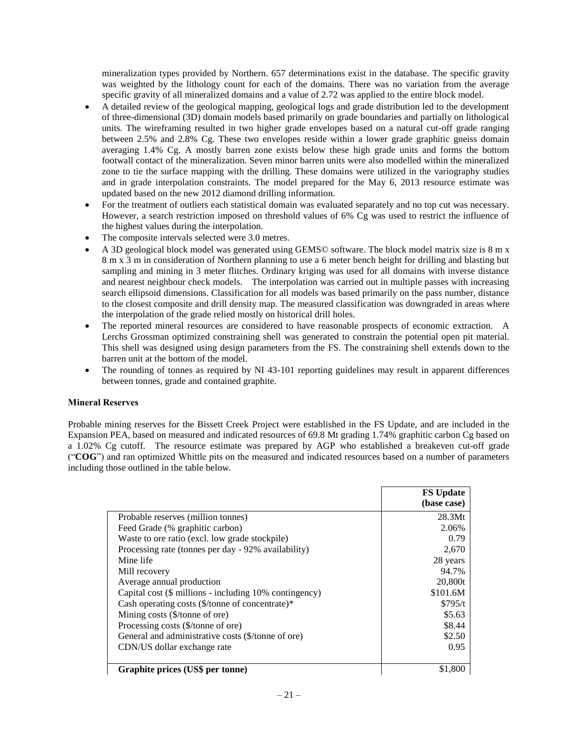mineralization types provided by Northern. 657 determinations exist in the database. The specific gravity was weighted by the lithology count for each of the domains. There was no variation from the average specific gravity of all mineralized domains and a value of 2.72 was applied to the entire block model.

- A detailed review of the geological mapping, geological logs and grade distribution led to the development of three-dimensional (3D) domain models based primarily on grade boundaries and partially on lithological units. The wireframing resulted in two higher grade envelopes based on a natural cut-off grade ranging between 2.5% and 2.8% Cg. These two envelopes reside within a lower grade graphitic gneiss domain averaging 1.4% Cg. A mostly barren zone exists below these high grade units and forms the bottom footwall contact of the mineralization. Seven minor barren units were also modelled within the mineralized zone to tie the surface mapping with the drilling. These domains were utilized in the variography studies and in grade interpolation constraints. The model prepared for the May 6, 2013 resource estimate was updated based on the new 2012 diamond drilling information.
- For the treatment of outliers each statistical domain was evaluated separately and no top cut was necessary. However, a search restriction imposed on threshold values of 6% Cg was used to restrict the influence of the highest values during the interpolation.
- The composite intervals selected were 3.0 metres.
- A 3D geological block model was generated using GEMS© software. The block model matrix size is 8 m x 8 m x 3 m in consideration of Northern planning to use a 6 meter bench height for drilling and blasting but sampling and mining in 3 meter flitches. Ordinary kriging was used for all domains with inverse distance and nearest neighbour check models. The interpolation was carried out in multiple passes with increasing search ellipsoid dimensions. Classification for all models was based primarily on the pass number, distance to the closest composite and drill density map. The measured classification was downgraded in areas where the interpolation of the grade relied mostly on historical drill holes.
- The reported mineral resources are considered to have reasonable prospects of economic extraction. A Lerchs Grossman optimized constraining shell was generated to constrain the potential open pit material. This shell was designed using design parameters from the FS. The constraining shell extends down to the barren unit at the bottom of the model.
- The rounding of tonnes as required by NI 43-101 reporting guidelines may result in apparent differences between tonnes, grade and contained graphite.

## **Mineral Reserves**

Probable mining reserves for the Bissett Creek Project were established in the FS Update, and are included in the Expansion PEA, based on measured and indicated resources of 69.8 Mt grading 1.74% graphitic carbon Cg based on a 1.02% Cg cutoff. The resource estimate was prepared by AGP who established a breakeven cut-off grade ("**COG**") and ran optimized Whittle pits on the measured and indicated resources based on a number of parameters including those outlined in the table below.

|                                                             | <b>FS Update</b> |
|-------------------------------------------------------------|------------------|
|                                                             | (base case)      |
| Probable reserves (million tonnes)                          | 28.3Mt           |
| Feed Grade (% graphitic carbon)                             | 2.06%            |
| Waste to ore ratio (excl. low grade stockpile)              | 0.79             |
| Processing rate (tonnes per day - 92% availability)         | 2,670            |
| Mine life                                                   | 28 years         |
| Mill recovery                                               | 94.7%            |
| Average annual production                                   | 20,800t          |
| Capital cost (\$ millions - including 10% contingency)      | \$101.6M         |
| Cash operating costs $(\frac{1}{2})$ tonne of concentrate)* | \$795/t          |
| Mining costs (\$/tonne of ore)                              | \$5.63           |
| Processing costs (\$/tonne of ore)                          | \$8.44           |
| General and administrative costs (\$/tonne of ore)          | \$2.50           |
| CDN/US dollar exchange rate                                 | 0.95             |
|                                                             |                  |
| Graphite prices (US\$ per tonne)                            |                  |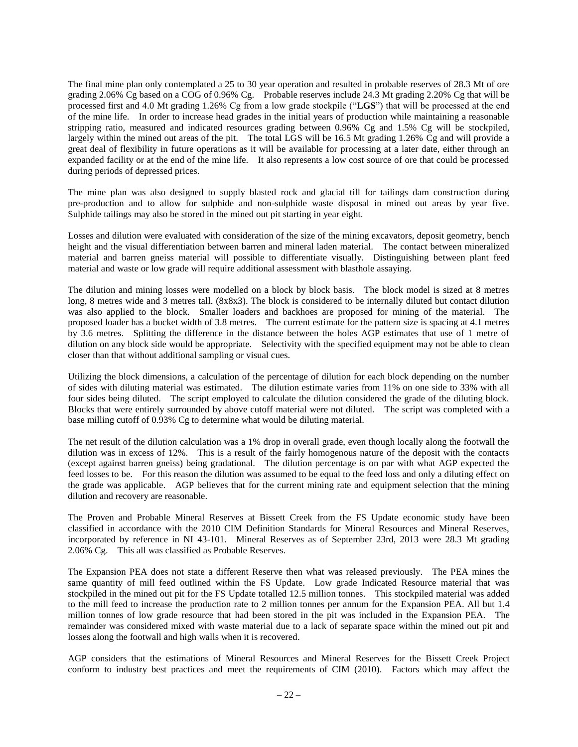The final mine plan only contemplated a 25 to 30 year operation and resulted in probable reserves of 28.3 Mt of ore grading 2.06% Cg based on a COG of 0.96% Cg. Probable reserves include 24.3 Mt grading 2.20% Cg that will be processed first and 4.0 Mt grading 1.26% Cg from a low grade stockpile ("**LGS**") that will be processed at the end of the mine life. In order to increase head grades in the initial years of production while maintaining a reasonable stripping ratio, measured and indicated resources grading between 0.96% Cg and 1.5% Cg will be stockpiled, largely within the mined out areas of the pit. The total LGS will be 16.5 Mt grading 1.26% Cg and will provide a great deal of flexibility in future operations as it will be available for processing at a later date, either through an expanded facility or at the end of the mine life. It also represents a low cost source of ore that could be processed during periods of depressed prices.

The mine plan was also designed to supply blasted rock and glacial till for tailings dam construction during pre-production and to allow for sulphide and non-sulphide waste disposal in mined out areas by year five. Sulphide tailings may also be stored in the mined out pit starting in year eight.

Losses and dilution were evaluated with consideration of the size of the mining excavators, deposit geometry, bench height and the visual differentiation between barren and mineral laden material. The contact between mineralized material and barren gneiss material will possible to differentiate visually. Distinguishing between plant feed material and waste or low grade will require additional assessment with blasthole assaying.

The dilution and mining losses were modelled on a block by block basis. The block model is sized at 8 metres long, 8 metres wide and 3 metres tall. (8x8x3). The block is considered to be internally diluted but contact dilution was also applied to the block. Smaller loaders and backhoes are proposed for mining of the material. The proposed loader has a bucket width of 3.8 metres. The current estimate for the pattern size is spacing at 4.1 metres by 3.6 metres. Splitting the difference in the distance between the holes AGP estimates that use of 1 metre of dilution on any block side would be appropriate. Selectivity with the specified equipment may not be able to clean closer than that without additional sampling or visual cues.

Utilizing the block dimensions, a calculation of the percentage of dilution for each block depending on the number of sides with diluting material was estimated. The dilution estimate varies from 11% on one side to 33% with all four sides being diluted. The script employed to calculate the dilution considered the grade of the diluting block. Blocks that were entirely surrounded by above cutoff material were not diluted. The script was completed with a base milling cutoff of 0.93% Cg to determine what would be diluting material.

The net result of the dilution calculation was a 1% drop in overall grade, even though locally along the footwall the dilution was in excess of 12%. This is a result of the fairly homogenous nature of the deposit with the contacts (except against barren gneiss) being gradational. The dilution percentage is on par with what AGP expected the feed losses to be. For this reason the dilution was assumed to be equal to the feed loss and only a diluting effect on the grade was applicable. AGP believes that for the current mining rate and equipment selection that the mining dilution and recovery are reasonable.

The Proven and Probable Mineral Reserves at Bissett Creek from the FS Update economic study have been classified in accordance with the 2010 CIM Definition Standards for Mineral Resources and Mineral Reserves, incorporated by reference in NI 43-101. Mineral Reserves as of September 23rd, 2013 were 28.3 Mt grading 2.06% Cg. This all was classified as Probable Reserves.

The Expansion PEA does not state a different Reserve then what was released previously. The PEA mines the same quantity of mill feed outlined within the FS Update. Low grade Indicated Resource material that was stockpiled in the mined out pit for the FS Update totalled 12.5 million tonnes. This stockpiled material was added to the mill feed to increase the production rate to 2 million tonnes per annum for the Expansion PEA. All but 1.4 million tonnes of low grade resource that had been stored in the pit was included in the Expansion PEA. The remainder was considered mixed with waste material due to a lack of separate space within the mined out pit and losses along the footwall and high walls when it is recovered.

AGP considers that the estimations of Mineral Resources and Mineral Reserves for the Bissett Creek Project conform to industry best practices and meet the requirements of CIM (2010). Factors which may affect the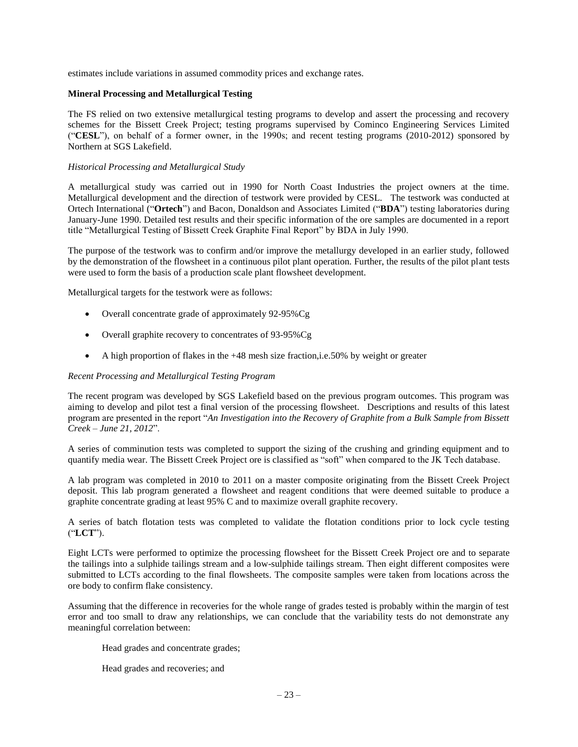estimates include variations in assumed commodity prices and exchange rates.

## **Mineral Processing and Metallurgical Testing**

The FS relied on two extensive metallurgical testing programs to develop and assert the processing and recovery schemes for the Bissett Creek Project; testing programs supervised by Cominco Engineering Services Limited ("**CESL**"), on behalf of a former owner, in the 1990s; and recent testing programs (2010-2012) sponsored by Northern at SGS Lakefield.

## *Historical Processing and Metallurgical Study*

A metallurgical study was carried out in 1990 for North Coast Industries the project owners at the time. Metallurgical development and the direction of testwork were provided by CESL. The testwork was conducted at Ortech International ("**Ortech**") and Bacon, Donaldson and Associates Limited ("**BDA**") testing laboratories during January-June 1990. Detailed test results and their specific information of the ore samples are documented in a report title "Metallurgical Testing of Bissett Creek Graphite Final Report" by BDA in July 1990.

The purpose of the testwork was to confirm and/or improve the metallurgy developed in an earlier study, followed by the demonstration of the flowsheet in a continuous pilot plant operation. Further, the results of the pilot plant tests were used to form the basis of a production scale plant flowsheet development.

Metallurgical targets for the testwork were as follows:

- Overall concentrate grade of approximately 92-95%Cg
- Overall graphite recovery to concentrates of 93-95%Cg
- A high proportion of flakes in the +48 mesh size fraction,i.e.50% by weight or greater

## *Recent Processing and Metallurgical Testing Program*

The recent program was developed by SGS Lakefield based on the previous program outcomes. This program was aiming to develop and pilot test a final version of the processing flowsheet. Descriptions and results of this latest program are presented in the report "*An Investigation into the Recovery of Graphite from a Bulk Sample from Bissett Creek – June 21, 2012*".

A series of comminution tests was completed to support the sizing of the crushing and grinding equipment and to quantify media wear. The Bissett Creek Project ore is classified as "soft" when compared to the JK Tech database.

A lab program was completed in 2010 to 2011 on a master composite originating from the Bissett Creek Project deposit. This lab program generated a flowsheet and reagent conditions that were deemed suitable to produce a graphite concentrate grading at least 95% C and to maximize overall graphite recovery.

A series of batch flotation tests was completed to validate the flotation conditions prior to lock cycle testing ("**LCT**").

Eight LCTs were performed to optimize the processing flowsheet for the Bissett Creek Project ore and to separate the tailings into a sulphide tailings stream and a low-sulphide tailings stream. Then eight different composites were submitted to LCTs according to the final flowsheets. The composite samples were taken from locations across the ore body to confirm flake consistency.

Assuming that the difference in recoveries for the whole range of grades tested is probably within the margin of test error and too small to draw any relationships, we can conclude that the variability tests do not demonstrate any meaningful correlation between:

Head grades and concentrate grades;

Head grades and recoveries; and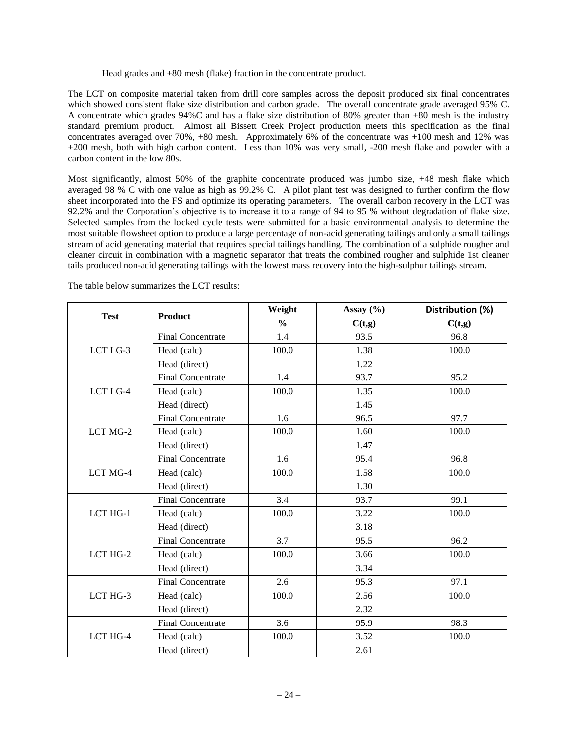Head grades and +80 mesh (flake) fraction in the concentrate product.

The LCT on composite material taken from drill core samples across the deposit produced six final concentrates which showed consistent flake size distribution and carbon grade. The overall concentrate grade averaged 95% C. A concentrate which grades 94%C and has a flake size distribution of 80% greater than +80 mesh is the industry standard premium product. Almost all Bissett Creek Project production meets this specification as the final concentrates averaged over 70%, +80 mesh. Approximately 6% of the concentrate was +100 mesh and 12% was +200 mesh, both with high carbon content. Less than 10% was very small, -200 mesh flake and powder with a carbon content in the low 80s.

Most significantly, almost 50% of the graphite concentrate produced was jumbo size, +48 mesh flake which averaged 98 % C with one value as high as 99.2% C. A pilot plant test was designed to further confirm the flow sheet incorporated into the FS and optimize its operating parameters. The overall carbon recovery in the LCT was 92.2% and the Corporation's objective is to increase it to a range of 94 to 95 % without degradation of flake size. Selected samples from the locked cycle tests were submitted for a basic environmental analysis to determine the most suitable flowsheet option to produce a large percentage of non-acid generating tailings and only a small tailings stream of acid generating material that requires special tailings handling. The combination of a sulphide rougher and cleaner circuit in combination with a magnetic separator that treats the combined rougher and sulphide 1st cleaner tails produced non-acid generating tailings with the lowest mass recovery into the high-sulphur tailings stream.

|             |                          | Weight        | Assay $(\% )$ | Distribution (%) |
|-------------|--------------------------|---------------|---------------|------------------|
| <b>Test</b> | Product                  | $\frac{0}{0}$ | C(t,g)        | C(t,g)           |
|             | <b>Final Concentrate</b> | 1.4           | 93.5          | 96.8             |
| LCT LG-3    | Head (calc)              | 100.0         | 1.38          | 100.0            |
|             | Head (direct)            |               | 1.22          |                  |
|             | <b>Final Concentrate</b> | 1.4           | 93.7          | 95.2             |
| LCT LG-4    | Head (calc)              | 100.0         | 1.35          | 100.0            |
|             | Head (direct)            |               | 1.45          |                  |
|             | <b>Final Concentrate</b> | 1.6           | 96.5          | 97.7             |
| LCT MG-2    | Head (calc)              | 100.0         | 1.60          | 100.0            |
|             | Head (direct)            |               | 1.47          |                  |
|             | <b>Final Concentrate</b> | 1.6           | 95.4          | 96.8             |
| LCT MG-4    | Head (calc)              | 100.0         | 1.58          | 100.0            |
|             | Head (direct)            |               | 1.30          |                  |
|             | <b>Final Concentrate</b> | 3.4           | 93.7          | 99.1             |
| LCT HG-1    | Head (calc)              | 100.0         | 3.22          | 100.0            |
|             | Head (direct)            |               | 3.18          |                  |
|             | <b>Final Concentrate</b> | 3.7           | 95.5          | 96.2             |
| LCT HG-2    | Head (calc)              | 100.0         | 3.66          | 100.0            |
|             | Head (direct)            |               | 3.34          |                  |
|             | <b>Final Concentrate</b> | 2.6           | 95.3          | 97.1             |
| LCT HG-3    | Head (calc)              | 100.0         | 2.56          | 100.0            |
|             | Head (direct)            |               | 2.32          |                  |
|             | <b>Final Concentrate</b> | 3.6           | 95.9          | 98.3             |
| LCT HG-4    | Head (calc)              | 100.0         | 3.52          | 100.0            |
|             | Head (direct)            |               | 2.61          |                  |

The table below summarizes the LCT results: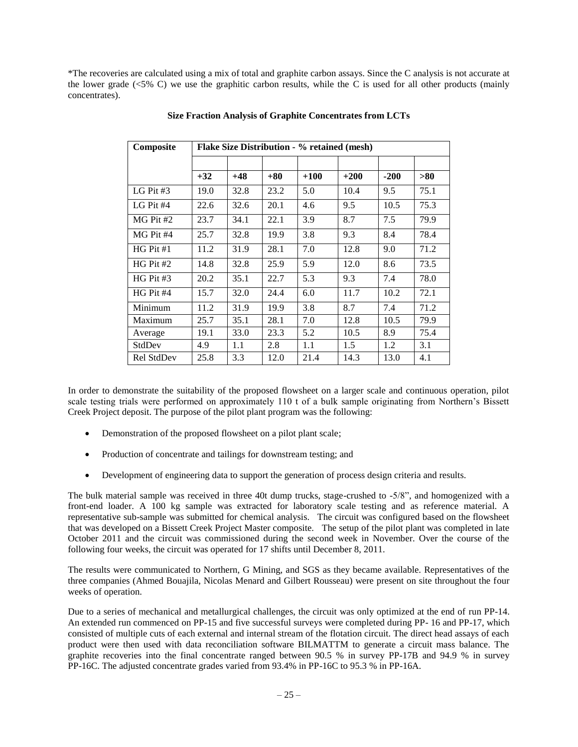\*The recoveries are calculated using a mix of total and graphite carbon assays. Since the C analysis is not accurate at the lower grade (<5% C) we use the graphitic carbon results, while the C is used for all other products (mainly concentrates).

| Composite   | <b>Flake Size Distribution - % retained (mesh)</b> |       |       |        |        |        |      |
|-------------|----------------------------------------------------|-------|-------|--------|--------|--------|------|
|             |                                                    |       |       |        |        |        |      |
|             | $+32$                                              | $+48$ | $+80$ | $+100$ | $+200$ | $-200$ | >80  |
| LG Pit $#3$ | 19.0                                               | 32.8  | 23.2  | 5.0    | 10.4   | 9.5    | 75.1 |
| LG Pit $#4$ | 22.6                                               | 32.6  | 20.1  | 4.6    | 9.5    | 10.5   | 75.3 |
| $MG$ Pit #2 | 23.7                                               | 34.1  | 22.1  | 3.9    | 8.7    | 7.5    | 79.9 |
| MG Pit #4   | 25.7                                               | 32.8  | 19.9  | 3.8    | 9.3    | 8.4    | 78.4 |
| $HG$ Pit #1 | 11.2                                               | 31.9  | 28.1  | 7.0    | 12.8   | 9.0    | 71.2 |
| $HG$ Pit #2 | 14.8                                               | 32.8  | 25.9  | 5.9    | 12.0   | 8.6    | 73.5 |
| $HG$ Pit #3 | 20.2                                               | 35.1  | 22.7  | 5.3    | 9.3    | 7.4    | 78.0 |
| $HG$ Pit #4 | 15.7                                               | 32.0  | 24.4  | 6.0    | 11.7   | 10.2   | 72.1 |
| Minimum     | 11.2                                               | 31.9  | 19.9  | 3.8    | 8.7    | 7.4    | 71.2 |
| Maximum     | 25.7                                               | 35.1  | 28.1  | 7.0    | 12.8   | 10.5   | 79.9 |
| Average     | 19.1                                               | 33.0  | 23.3  | 5.2    | 10.5   | 8.9    | 75.4 |
| StdDev      | 4.9                                                | 1.1   | 2.8   | 1.1    | 1.5    | 1.2    | 3.1  |
| Rel StdDev  | 25.8                                               | 3.3   | 12.0  | 21.4   | 14.3   | 13.0   | 4.1  |

#### **Size Fraction Analysis of Graphite Concentrates from LCTs**

In order to demonstrate the suitability of the proposed flowsheet on a larger scale and continuous operation, pilot scale testing trials were performed on approximately 110 t of a bulk sample originating from Northern's Bissett Creek Project deposit. The purpose of the pilot plant program was the following:

- Demonstration of the proposed flowsheet on a pilot plant scale;
- Production of concentrate and tailings for downstream testing; and
- Development of engineering data to support the generation of process design criteria and results.

The bulk material sample was received in three 40t dump trucks, stage-crushed to -5/8", and homogenized with a front-end loader. A 100 kg sample was extracted for laboratory scale testing and as reference material. A representative sub-sample was submitted for chemical analysis. The circuit was configured based on the flowsheet that was developed on a Bissett Creek Project Master composite. The setup of the pilot plant was completed in late October 2011 and the circuit was commissioned during the second week in November. Over the course of the following four weeks, the circuit was operated for 17 shifts until December 8, 2011.

The results were communicated to Northern, G Mining, and SGS as they became available. Representatives of the three companies (Ahmed Bouajila, Nicolas Menard and Gilbert Rousseau) were present on site throughout the four weeks of operation.

Due to a series of mechanical and metallurgical challenges, the circuit was only optimized at the end of run PP-14. An extended run commenced on PP-15 and five successful surveys were completed during PP- 16 and PP-17, which consisted of multiple cuts of each external and internal stream of the flotation circuit. The direct head assays of each product were then used with data reconciliation software BILMATTM to generate a circuit mass balance. The graphite recoveries into the final concentrate ranged between 90.5 % in survey PP-17B and 94.9 % in survey PP-16C. The adjusted concentrate grades varied from 93.4% in PP-16C to 95.3 % in PP-16A.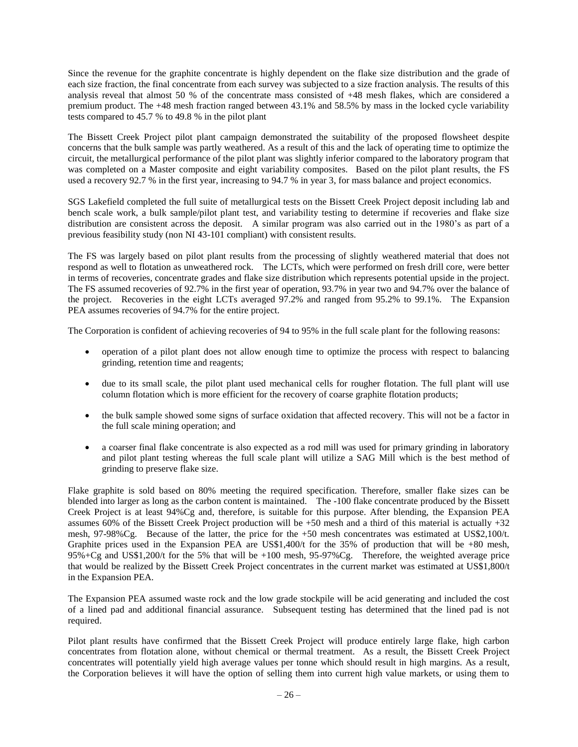Since the revenue for the graphite concentrate is highly dependent on the flake size distribution and the grade of each size fraction, the final concentrate from each survey was subjected to a size fraction analysis. The results of this analysis reveal that almost 50 % of the concentrate mass consisted of +48 mesh flakes, which are considered a premium product. The +48 mesh fraction ranged between 43.1% and 58.5% by mass in the locked cycle variability tests compared to 45.7 % to 49.8 % in the pilot plant

The Bissett Creek Project pilot plant campaign demonstrated the suitability of the proposed flowsheet despite concerns that the bulk sample was partly weathered. As a result of this and the lack of operating time to optimize the circuit, the metallurgical performance of the pilot plant was slightly inferior compared to the laboratory program that was completed on a Master composite and eight variability composites. Based on the pilot plant results, the FS used a recovery 92.7 % in the first year, increasing to 94.7 % in year 3, for mass balance and project economics.

SGS Lakefield completed the full suite of metallurgical tests on the Bissett Creek Project deposit including lab and bench scale work, a bulk sample/pilot plant test, and variability testing to determine if recoveries and flake size distribution are consistent across the deposit. A similar program was also carried out in the 1980's as part of a previous feasibility study (non NI 43-101 compliant) with consistent results.

The FS was largely based on pilot plant results from the processing of slightly weathered material that does not respond as well to flotation as unweathered rock. The LCTs, which were performed on fresh drill core, were better in terms of recoveries, concentrate grades and flake size distribution which represents potential upside in the project. The FS assumed recoveries of 92.7% in the first year of operation, 93.7% in year two and 94.7% over the balance of the project. Recoveries in the eight LCTs averaged 97.2% and ranged from 95.2% to 99.1%. The Expansion PEA assumes recoveries of 94.7% for the entire project.

The Corporation is confident of achieving recoveries of 94 to 95% in the full scale plant for the following reasons:

- operation of a pilot plant does not allow enough time to optimize the process with respect to balancing grinding, retention time and reagents;
- due to its small scale, the pilot plant used mechanical cells for rougher flotation. The full plant will use column flotation which is more efficient for the recovery of coarse graphite flotation products;
- the bulk sample showed some signs of surface oxidation that affected recovery. This will not be a factor in the full scale mining operation; and
- a coarser final flake concentrate is also expected as a rod mill was used for primary grinding in laboratory and pilot plant testing whereas the full scale plant will utilize a SAG Mill which is the best method of grinding to preserve flake size.

Flake graphite is sold based on 80% meeting the required specification. Therefore, smaller flake sizes can be blended into larger as long as the carbon content is maintained. The -100 flake concentrate produced by the Bissett Creek Project is at least 94%Cg and, therefore, is suitable for this purpose. After blending, the Expansion PEA assumes 60% of the Bissett Creek Project production will be  $+50$  mesh and a third of this material is actually  $+32$ mesh, 97-98%Cg. Because of the latter, the price for the +50 mesh concentrates was estimated at US\$2,100/t. Graphite prices used in the Expansion PEA are US\$1,400/t for the 35% of production that will be +80 mesh, 95%+Cg and US\$1,200/t for the 5% that will be +100 mesh, 95-97%Cg. Therefore, the weighted average price that would be realized by the Bissett Creek Project concentrates in the current market was estimated at US\$1,800/t in the Expansion PEA.

The Expansion PEA assumed waste rock and the low grade stockpile will be acid generating and included the cost of a lined pad and additional financial assurance. Subsequent testing has determined that the lined pad is not required.

Pilot plant results have confirmed that the Bissett Creek Project will produce entirely large flake, high carbon concentrates from flotation alone, without chemical or thermal treatment. As a result, the Bissett Creek Project concentrates will potentially yield high average values per tonne which should result in high margins. As a result, the Corporation believes it will have the option of selling them into current high value markets, or using them to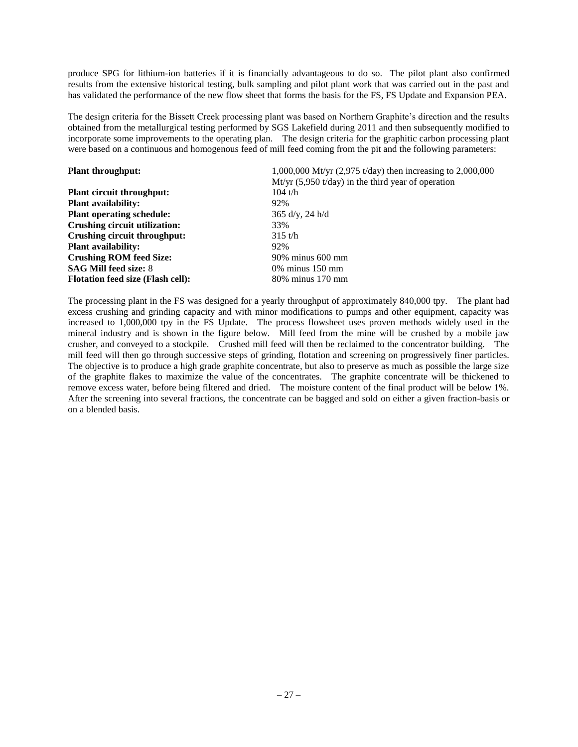produce SPG for lithium-ion batteries if it is financially advantageous to do so. The pilot plant also confirmed results from the extensive historical testing, bulk sampling and pilot plant work that was carried out in the past and has validated the performance of the new flow sheet that forms the basis for the FS, FS Update and Expansion PEA.

The design criteria for the Bissett Creek processing plant was based on Northern Graphite's direction and the results obtained from the metallurgical testing performed by SGS Lakefield during 2011 and then subsequently modified to incorporate some improvements to the operating plan. The design criteria for the graphitic carbon processing plant were based on a continuous and homogenous feed of mill feed coming from the pit and the following parameters:

| <b>Plant throughput:</b>                 | 1,000,000 Mt/yr $(2,975 \text{ t/day})$ then increasing to 2,000,000 |
|------------------------------------------|----------------------------------------------------------------------|
|                                          | Mt/yr $(5,950 \text{ t/day})$ in the third year of operation         |
| <b>Plant circuit throughput:</b>         | 104 t/h                                                              |
| <b>Plant availability:</b>               | 92%                                                                  |
| <b>Plant operating schedule:</b>         | $365$ d/y, 24 h/d                                                    |
| Crushing circuit utilization:            | 33%                                                                  |
| Crushing circuit throughput:             | 315 t/h                                                              |
| <b>Plant availability:</b>               | 92%                                                                  |
| <b>Crushing ROM feed Size:</b>           | 90% minus 600 mm                                                     |
| <b>SAG Mill feed size: 8</b>             | $0\%$ minus 150 mm                                                   |
| <b>Flotation feed size (Flash cell):</b> | 80% minus 170 mm                                                     |

The processing plant in the FS was designed for a yearly throughput of approximately 840,000 tpy. The plant had excess crushing and grinding capacity and with minor modifications to pumps and other equipment, capacity was increased to 1,000,000 tpy in the FS Update. The process flowsheet uses proven methods widely used in the mineral industry and is shown in the figure below. Mill feed from the mine will be crushed by a mobile jaw crusher, and conveyed to a stockpile. Crushed mill feed will then be reclaimed to the concentrator building. The mill feed will then go through successive steps of grinding, flotation and screening on progressively finer particles. The objective is to produce a high grade graphite concentrate, but also to preserve as much as possible the large size of the graphite flakes to maximize the value of the concentrates. The graphite concentrate will be thickened to remove excess water, before being filtered and dried. The moisture content of the final product will be below 1%. After the screening into several fractions, the concentrate can be bagged and sold on either a given fraction-basis or on a blended basis.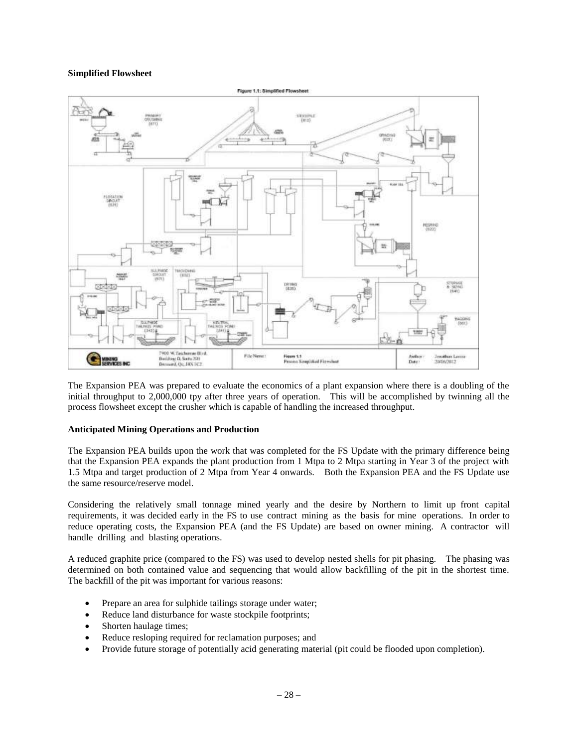## **Simplified Flowsheet**



The Expansion PEA was prepared to evaluate the economics of a plant expansion where there is a doubling of the initial throughput to 2,000,000 tpy after three years of operation. This will be accomplished by twinning all the process flowsheet except the crusher which is capable of handling the increased throughput.

## **Anticipated Mining Operations and Production**

The Expansion PEA builds upon the work that was completed for the FS Update with the primary difference being that the Expansion PEA expands the plant production from 1 Mtpa to 2 Mtpa starting in Year 3 of the project with 1.5 Mtpa and target production of 2 Mtpa from Year 4 onwards. Both the Expansion PEA and the FS Update use the same resource/reserve model.

Considering the relatively small tonnage mined yearly and the desire by Northern to limit up front capital requirements, it was decided early in the FS to use contract mining as the basis for mine operations. In order to reduce operating costs, the Expansion PEA (and the FS Update) are based on owner mining. A contractor will handle drilling and blasting operations.

A reduced graphite price (compared to the FS) was used to develop nested shells for pit phasing. The phasing was determined on both contained value and sequencing that would allow backfilling of the pit in the shortest time. The backfill of the pit was important for various reasons:

- Prepare an area for sulphide tailings storage under water;
- Reduce land disturbance for waste stockpile footprints;
- Shorten haulage times;
- Reduce resloping required for reclamation purposes; and
- Provide future storage of potentially acid generating material (pit could be flooded upon completion).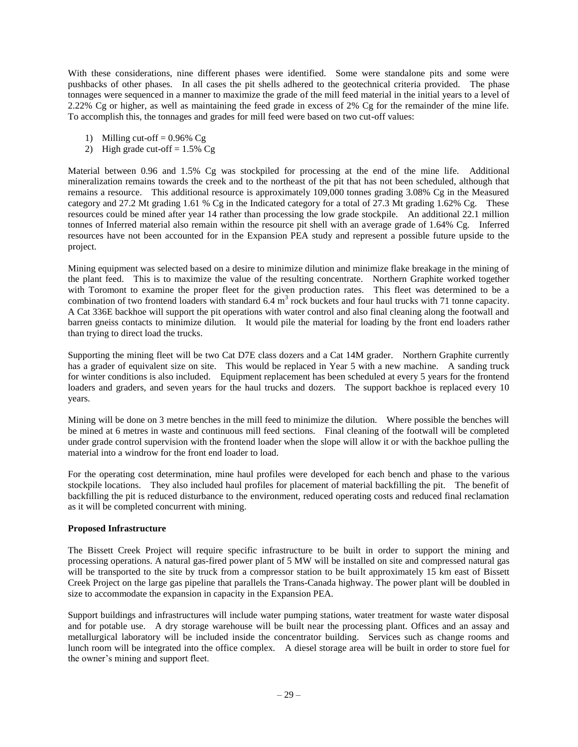With these considerations, nine different phases were identified. Some were standalone pits and some were pushbacks of other phases. In all cases the pit shells adhered to the geotechnical criteria provided. The phase tonnages were sequenced in a manner to maximize the grade of the mill feed material in the initial years to a level of 2.22% Cg or higher, as well as maintaining the feed grade in excess of 2% Cg for the remainder of the mine life. To accomplish this, the tonnages and grades for mill feed were based on two cut-off values:

- 1) Milling cut-off  $= 0.96\%$  Cg
- 2) High grade cut-off  $= 1.5\%$  Cg

Material between 0.96 and 1.5% Cg was stockpiled for processing at the end of the mine life. Additional mineralization remains towards the creek and to the northeast of the pit that has not been scheduled, although that remains a resource. This additional resource is approximately 109,000 tonnes grading 3.08% Cg in the Measured category and 27.2 Mt grading 1.61 % Cg in the Indicated category for a total of 27.3 Mt grading 1.62% Cg. These resources could be mined after year 14 rather than processing the low grade stockpile. An additional 22.1 million tonnes of Inferred material also remain within the resource pit shell with an average grade of 1.64% Cg. Inferred resources have not been accounted for in the Expansion PEA study and represent a possible future upside to the project.

Mining equipment was selected based on a desire to minimize dilution and minimize flake breakage in the mining of the plant feed. This is to maximize the value of the resulting concentrate. Northern Graphite worked together with Toromont to examine the proper fleet for the given production rates. This fleet was determined to be a combination of two frontend loaders with standard  $6.4 \text{ m}^3$  rock buckets and four haul trucks with 71 tonne capacity. A Cat 336E backhoe will support the pit operations with water control and also final cleaning along the footwall and barren gneiss contacts to minimize dilution. It would pile the material for loading by the front end loaders rather than trying to direct load the trucks.

Supporting the mining fleet will be two Cat D7E class dozers and a Cat 14M grader. Northern Graphite currently has a grader of equivalent size on site. This would be replaced in Year 5 with a new machine. A sanding truck for winter conditions is also included. Equipment replacement has been scheduled at every 5 years for the frontend loaders and graders, and seven years for the haul trucks and dozers. The support backhoe is replaced every 10 years.

Mining will be done on 3 metre benches in the mill feed to minimize the dilution. Where possible the benches will be mined at 6 metres in waste and continuous mill feed sections. Final cleaning of the footwall will be completed under grade control supervision with the frontend loader when the slope will allow it or with the backhoe pulling the material into a windrow for the front end loader to load.

For the operating cost determination, mine haul profiles were developed for each bench and phase to the various stockpile locations. They also included haul profiles for placement of material backfilling the pit. The benefit of backfilling the pit is reduced disturbance to the environment, reduced operating costs and reduced final reclamation as it will be completed concurrent with mining.

## **Proposed Infrastructure**

The Bissett Creek Project will require specific infrastructure to be built in order to support the mining and processing operations. A natural gas-fired power plant of 5 MW will be installed on site and compressed natural gas will be transported to the site by truck from a compressor station to be built approximately 15 km east of Bissett Creek Project on the large gas pipeline that parallels the Trans-Canada highway. The power plant will be doubled in size to accommodate the expansion in capacity in the Expansion PEA.

Support buildings and infrastructures will include water pumping stations, water treatment for waste water disposal and for potable use. A dry storage warehouse will be built near the processing plant. Offices and an assay and metallurgical laboratory will be included inside the concentrator building. Services such as change rooms and lunch room will be integrated into the office complex. A diesel storage area will be built in order to store fuel for the owner's mining and support fleet.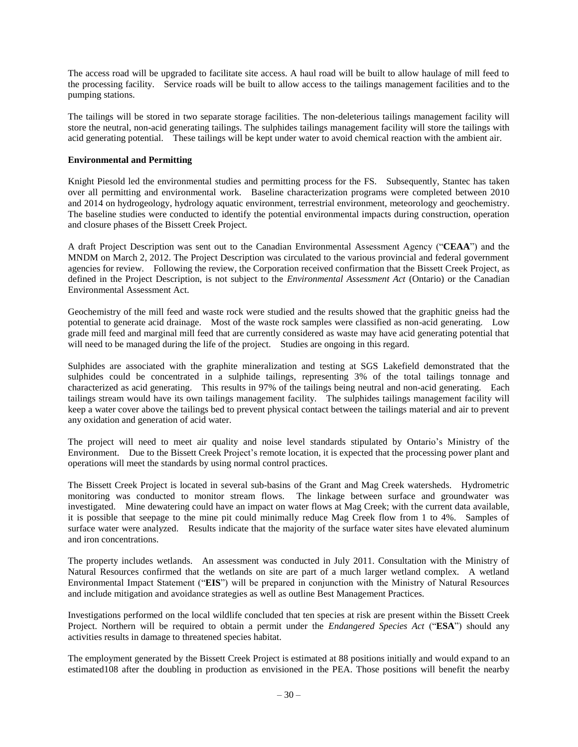The access road will be upgraded to facilitate site access. A haul road will be built to allow haulage of mill feed to the processing facility. Service roads will be built to allow access to the tailings management facilities and to the pumping stations.

The tailings will be stored in two separate storage facilities. The non-deleterious tailings management facility will store the neutral, non-acid generating tailings. The sulphides tailings management facility will store the tailings with acid generating potential. These tailings will be kept under water to avoid chemical reaction with the ambient air.

## **Environmental and Permitting**

Knight Piesold led the environmental studies and permitting process for the FS. Subsequently, Stantec has taken over all permitting and environmental work. Baseline characterization programs were completed between 2010 and 2014 on hydrogeology, hydrology aquatic environment, terrestrial environment, meteorology and geochemistry. The baseline studies were conducted to identify the potential environmental impacts during construction, operation and closure phases of the Bissett Creek Project.

A draft Project Description was sent out to the Canadian Environmental Assessment Agency ("**CEAA**") and the MNDM on March 2, 2012. The Project Description was circulated to the various provincial and federal government agencies for review. Following the review, the Corporation received confirmation that the Bissett Creek Project, as defined in the Project Description, is not subject to the *Environmental Assessment Act* (Ontario) or the Canadian Environmental Assessment Act.

Geochemistry of the mill feed and waste rock were studied and the results showed that the graphitic gneiss had the potential to generate acid drainage. Most of the waste rock samples were classified as non-acid generating. Low grade mill feed and marginal mill feed that are currently considered as waste may have acid generating potential that will need to be managed during the life of the project. Studies are ongoing in this regard.

Sulphides are associated with the graphite mineralization and testing at SGS Lakefield demonstrated that the sulphides could be concentrated in a sulphide tailings, representing 3% of the total tailings tonnage and characterized as acid generating. This results in 97% of the tailings being neutral and non-acid generating. Each tailings stream would have its own tailings management facility. The sulphides tailings management facility will keep a water cover above the tailings bed to prevent physical contact between the tailings material and air to prevent any oxidation and generation of acid water.

The project will need to meet air quality and noise level standards stipulated by Ontario's Ministry of the Environment. Due to the Bissett Creek Project's remote location, it is expected that the processing power plant and operations will meet the standards by using normal control practices.

The Bissett Creek Project is located in several sub-basins of the Grant and Mag Creek watersheds. Hydrometric monitoring was conducted to monitor stream flows. The linkage between surface and groundwater was investigated. Mine dewatering could have an impact on water flows at Mag Creek; with the current data available, it is possible that seepage to the mine pit could minimally reduce Mag Creek flow from 1 to 4%. Samples of surface water were analyzed. Results indicate that the majority of the surface water sites have elevated aluminum and iron concentrations.

The property includes wetlands. An assessment was conducted in July 2011. Consultation with the Ministry of Natural Resources confirmed that the wetlands on site are part of a much larger wetland complex. A wetland Environmental Impact Statement ("**EIS**") will be prepared in conjunction with the Ministry of Natural Resources and include mitigation and avoidance strategies as well as outline Best Management Practices.

Investigations performed on the local wildlife concluded that ten species at risk are present within the Bissett Creek Project. Northern will be required to obtain a permit under the *Endangered Species Act* ("**ESA**") should any activities results in damage to threatened species habitat.

The employment generated by the Bissett Creek Project is estimated at 88 positions initially and would expand to an estimated108 after the doubling in production as envisioned in the PEA. Those positions will benefit the nearby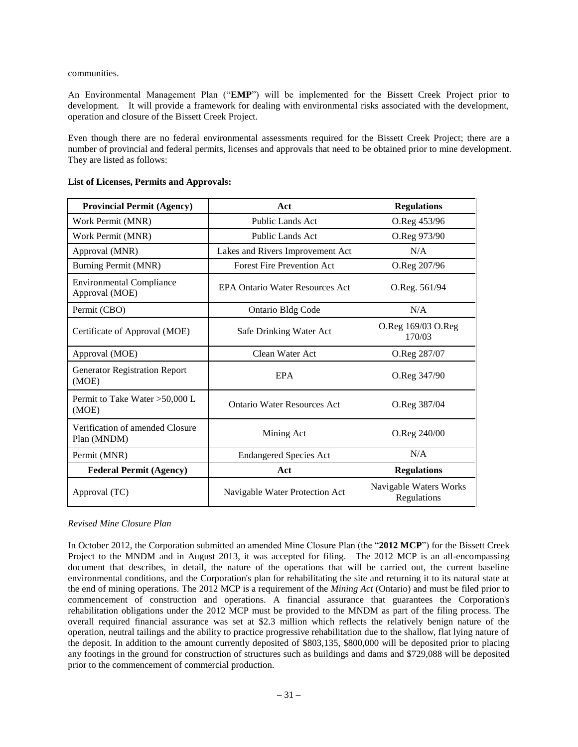communities.

An Environmental Management Plan ("**EMP**") will be implemented for the Bissett Creek Project prior to development. It will provide a framework for dealing with environmental risks associated with the development, operation and closure of the Bissett Creek Project.

Even though there are no federal environmental assessments required for the Bissett Creek Project; there are a number of provincial and federal permits, licenses and approvals that need to be obtained prior to mine development. They are listed as follows:

| <b>Provincial Permit (Agency)</b>                 | Act                                    | <b>Regulations</b>                    |
|---------------------------------------------------|----------------------------------------|---------------------------------------|
| Work Permit (MNR)                                 | <b>Public Lands Act</b>                | O.Reg 453/96                          |
| Work Permit (MNR)                                 | <b>Public Lands Act</b>                | O.Reg 973/90                          |
| Approval (MNR)                                    | Lakes and Rivers Improvement Act       | N/A                                   |
| Burning Permit (MNR)                              | <b>Forest Fire Prevention Act</b>      | O.Reg 207/96                          |
| <b>Environmental Compliance</b><br>Approval (MOE) | <b>EPA Ontario Water Resources Act</b> | O.Reg. 561/94                         |
| Permit (CBO)                                      | <b>Ontario Bldg Code</b>               | N/A                                   |
| Certificate of Approval (MOE)                     | Safe Drinking Water Act                | O.Reg 169/03 O.Reg<br>170/03          |
| Approval (MOE)                                    | Clean Water Act                        | O.Reg 287/07                          |
| <b>Generator Registration Report</b><br>(MOE)     | EPA                                    | O.Reg 347/90                          |
| Permit to Take Water $>50,000$ L<br>(MOE)         | <b>Ontario Water Resources Act</b>     | O.Reg 387/04                          |
| Verification of amended Closure<br>Plan (MNDM)    | Mining Act                             | O.Reg 240/00                          |
| Permit (MNR)                                      | <b>Endangered Species Act</b>          | N/A                                   |
| <b>Federal Permit (Agency)</b>                    | Act                                    | <b>Regulations</b>                    |
| Approval (TC)                                     | Navigable Water Protection Act         | Navigable Waters Works<br>Regulations |

## **List of Licenses, Permits and Approvals:**

*Revised Mine Closure Plan*

In October 2012, the Corporation submitted an amended Mine Closure Plan (the "**2012 MCP**") for the Bissett Creek Project to the MNDM and in August 2013, it was accepted for filing. The 2012 MCP is an all-encompassing document that describes, in detail, the nature of the operations that will be carried out, the current baseline environmental conditions, and the Corporation's plan for rehabilitating the site and returning it to its natural state at the end of mining operations. The 2012 MCP is a requirement of the *Mining Act* (Ontario) and must be filed prior to commencement of construction and operations. A financial assurance that guarantees the Corporation's rehabilitation obligations under the 2012 MCP must be provided to the MNDM as part of the filing process. The overall required financial assurance was set at \$2.3 million which reflects the relatively benign nature of the operation, neutral tailings and the ability to practice progressive rehabilitation due to the shallow, flat lying nature of the deposit. In addition to the amount currently deposited of \$803,135, \$800,000 will be deposited prior to placing any footings in the ground for construction of structures such as buildings and dams and \$729,088 will be deposited prior to the commencement of commercial production.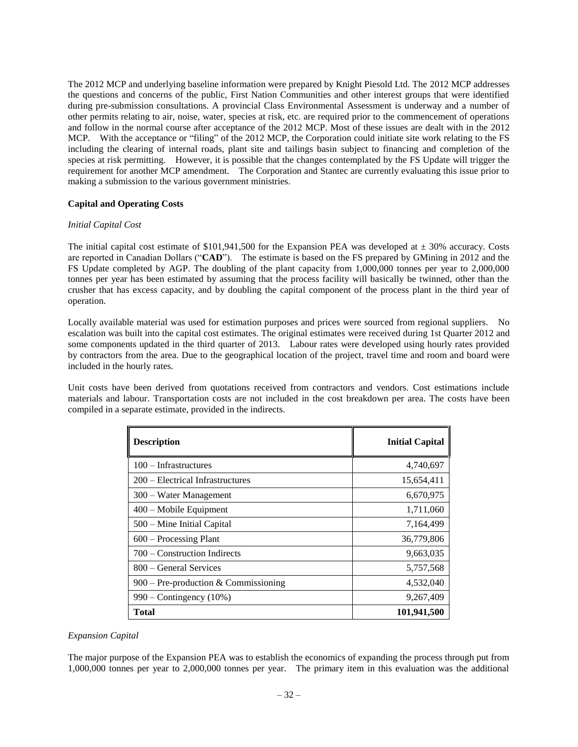The 2012 MCP and underlying baseline information were prepared by Knight Piesold Ltd. The 2012 MCP addresses the questions and concerns of the public, First Nation Communities and other interest groups that were identified during pre-submission consultations. A provincial Class Environmental Assessment is underway and a number of other permits relating to air, noise, water, species at risk, etc. are required prior to the commencement of operations and follow in the normal course after acceptance of the 2012 MCP. Most of these issues are dealt with in the 2012 MCP. With the acceptance or "filing" of the 2012 MCP, the Corporation could initiate site work relating to the FS including the clearing of internal roads, plant site and tailings basin subject to financing and completion of the species at risk permitting. However, it is possible that the changes contemplated by the FS Update will trigger the requirement for another MCP amendment. The Corporation and Stantec are currently evaluating this issue prior to making a submission to the various government ministries.

## **Capital and Operating Costs**

## *Initial Capital Cost*

The initial capital cost estimate of  $$101,941,500$  for the Expansion PEA was developed at  $\pm 30\%$  accuracy. Costs are reported in Canadian Dollars ("**CAD**"). The estimate is based on the FS prepared by GMining in 2012 and the FS Update completed by AGP. The doubling of the plant capacity from 1,000,000 tonnes per year to 2,000,000 tonnes per year has been estimated by assuming that the process facility will basically be twinned, other than the crusher that has excess capacity, and by doubling the capital component of the process plant in the third year of operation.

Locally available material was used for estimation purposes and prices were sourced from regional suppliers. No escalation was built into the capital cost estimates. The original estimates were received during 1st Quarter 2012 and some components updated in the third quarter of 2013. Labour rates were developed using hourly rates provided by contractors from the area. Due to the geographical location of the project, travel time and room and board were included in the hourly rates.

Unit costs have been derived from quotations received from contractors and vendors. Cost estimations include materials and labour. Transportation costs are not included in the cost breakdown per area. The costs have been compiled in a separate estimate, provided in the indirects.

| <b>Description</b>                     | <b>Initial Capital</b> |
|----------------------------------------|------------------------|
| $100 - Infrastructures$                | 4,740,697              |
| 200 – Electrical Infrastructures       | 15,654,411             |
| 300 – Water Management                 | 6,670,975              |
| 400 – Mobile Equipment                 | 1,711,060              |
| 500 – Mine Initial Capital             | 7,164,499              |
| $600$ – Processing Plant               | 36,779,806             |
| 700 – Construction Indirects           | 9,663,035              |
| 800 – General Services                 | 5,757,568              |
| $900$ – Pre-production & Commissioning | 4,532,040              |
| $990 -$ Contingency (10%)              | 9,267,409              |
| Total                                  | 101,941,500            |

#### *Expansion Capital*

The major purpose of the Expansion PEA was to establish the economics of expanding the process through put from 1,000,000 tonnes per year to 2,000,000 tonnes per year. The primary item in this evaluation was the additional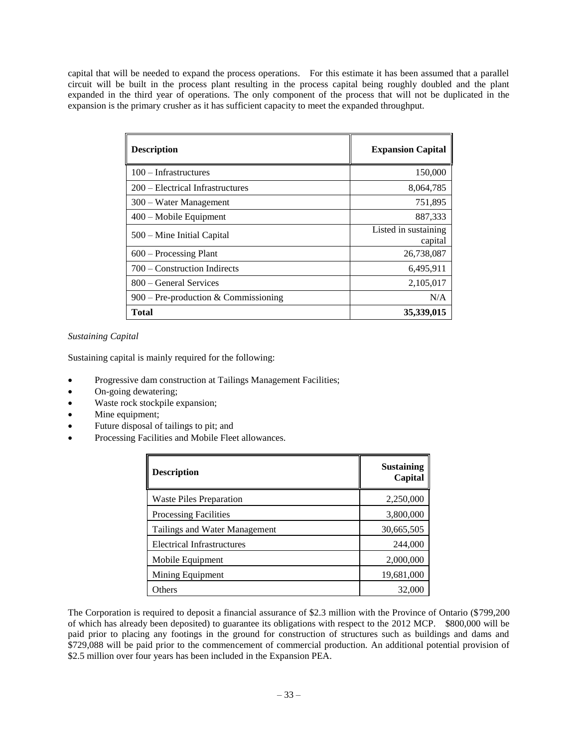capital that will be needed to expand the process operations. For this estimate it has been assumed that a parallel circuit will be built in the process plant resulting in the process capital being roughly doubled and the plant expanded in the third year of operations. The only component of the process that will not be duplicated in the expansion is the primary crusher as it has sufficient capacity to meet the expanded throughput.

| <b>Description</b>                     | <b>Expansion Capital</b>        |
|----------------------------------------|---------------------------------|
| 100 - Infrastructures                  | 150,000                         |
| 200 – Electrical Infrastructures       | 8,064,785                       |
| 300 – Water Management                 | 751,895                         |
| 400 – Mobile Equipment                 | 887,333                         |
| 500 – Mine Initial Capital             | Listed in sustaining<br>capital |
| $600 -$ Processing Plant               | 26,738,087                      |
| 700 – Construction Indirects           | 6,495,911                       |
| 800 – General Services                 | 2,105,017                       |
| $900$ – Pre-production & Commissioning | N/A                             |
| Total                                  | 35,339,015                      |

*Sustaining Capital*

Sustaining capital is mainly required for the following:

- Progressive dam construction at Tailings Management Facilities;
- On-going dewatering;
- Waste rock stockpile expansion;
- Mine equipment;
- Future disposal of tailings to pit; and
- Processing Facilities and Mobile Fleet allowances.

| <b>Description</b>                | <b>Sustaining</b><br>Capital |
|-----------------------------------|------------------------------|
| <b>Waste Piles Preparation</b>    | 2,250,000                    |
| <b>Processing Facilities</b>      | 3,800,000                    |
| Tailings and Water Management     | 30,665,505                   |
| <b>Electrical Infrastructures</b> | 244,000                      |
| Mobile Equipment                  | 2,000,000                    |
| Mining Equipment                  | 19,681,000                   |
| Others                            | 32,000                       |

The Corporation is required to deposit a financial assurance of \$2.3 million with the Province of Ontario (\$799,200 of which has already been deposited) to guarantee its obligations with respect to the 2012 MCP. \$800,000 will be paid prior to placing any footings in the ground for construction of structures such as buildings and dams and \$729,088 will be paid prior to the commencement of commercial production. An additional potential provision of \$2.5 million over four years has been included in the Expansion PEA.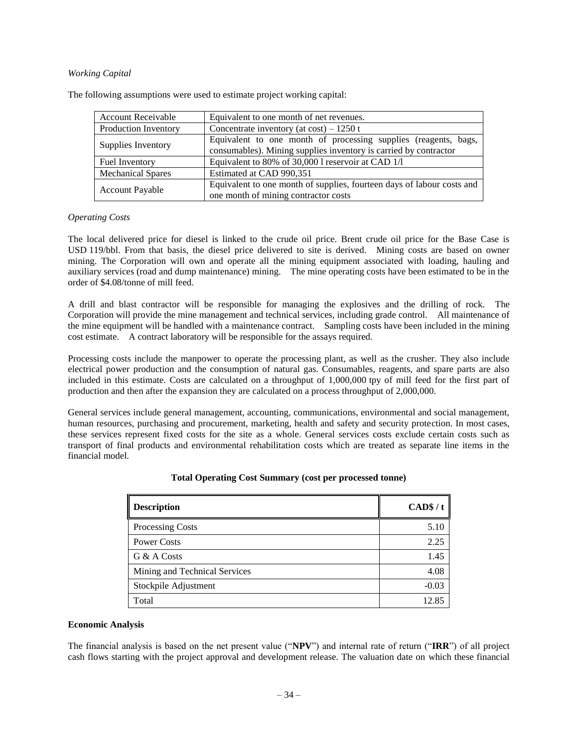## *Working Capital*

| <b>Account Receivable</b> | Equivalent to one month of net revenues.                                                                                            |
|---------------------------|-------------------------------------------------------------------------------------------------------------------------------------|
| Production Inventory      | Concentrate inventory (at cost) $-1250$ t                                                                                           |
| Supplies Inventory        | Equivalent to one month of processing supplies (reagents, bags,<br>consumables). Mining supplies inventory is carried by contractor |
| <b>Fuel Inventory</b>     | Equivalent to 80% of 30,000 l reservoir at CAD 1/1                                                                                  |
| <b>Mechanical Spares</b>  | Estimated at CAD 990,351                                                                                                            |
| <b>Account Payable</b>    | Equivalent to one month of supplies, fourteen days of labour costs and<br>one month of mining contractor costs                      |

The following assumptions were used to estimate project working capital:

#### *Operating Costs*

The local delivered price for diesel is linked to the crude oil price. Brent crude oil price for the Base Case is USD 119/bbl. From that basis, the diesel price delivered to site is derived. Mining costs are based on owner mining. The Corporation will own and operate all the mining equipment associated with loading, hauling and auxiliary services (road and dump maintenance) mining. The mine operating costs have been estimated to be in the order of \$4.08/tonne of mill feed.

A drill and blast contractor will be responsible for managing the explosives and the drilling of rock. The Corporation will provide the mine management and technical services, including grade control. All maintenance of the mine equipment will be handled with a maintenance contract. Sampling costs have been included in the mining cost estimate. A contract laboratory will be responsible for the assays required.

Processing costs include the manpower to operate the processing plant, as well as the crusher. They also include electrical power production and the consumption of natural gas. Consumables, reagents, and spare parts are also included in this estimate. Costs are calculated on a throughput of 1,000,000 tpy of mill feed for the first part of production and then after the expansion they are calculated on a process throughput of 2,000,000.

General services include general management, accounting, communications, environmental and social management, human resources, purchasing and procurement, marketing, health and safety and security protection. In most cases, these services represent fixed costs for the site as a whole. General services costs exclude certain costs such as transport of final products and environmental rehabilitation costs which are treated as separate line items in the financial model.

| <b>Description</b>            | CAD\$/t |
|-------------------------------|---------|
| Processing Costs              | 5.10    |
| Power Costs                   | 2.25    |
| G & A Costs                   | 1.45    |
| Mining and Technical Services | 4.08    |
| Stockpile Adjustment          | $-0.03$ |
| Total                         | 12.85   |

#### **Total Operating Cost Summary (cost per processed tonne)**

#### **Economic Analysis**

The financial analysis is based on the net present value ("**NPV**") and internal rate of return ("**IRR**") of all project cash flows starting with the project approval and development release. The valuation date on which these financial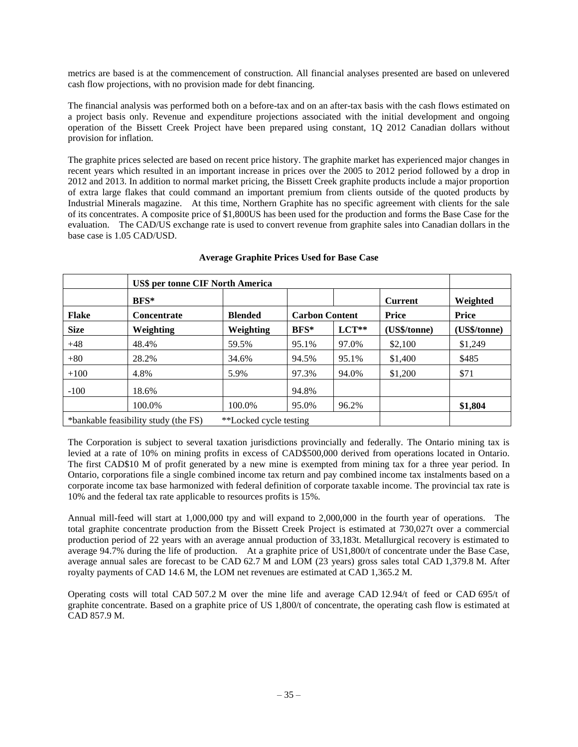metrics are based is at the commencement of construction. All financial analyses presented are based on unlevered cash flow projections, with no provision made for debt financing.

The financial analysis was performed both on a before-tax and on an after-tax basis with the cash flows estimated on a project basis only. Revenue and expenditure projections associated with the initial development and ongoing operation of the Bissett Creek Project have been prepared using constant, 1Q 2012 Canadian dollars without provision for inflation.

The graphite prices selected are based on recent price history. The graphite market has experienced major changes in recent years which resulted in an important increase in prices over the 2005 to 2012 period followed by a drop in 2012 and 2013. In addition to normal market pricing, the Bissett Creek graphite products include a major proportion of extra large flakes that could command an important premium from clients outside of the quoted products by Industrial Minerals magazine. At this time, Northern Graphite has no specific agreement with clients for the sale of its concentrates. A composite price of \$1,800US has been used for the production and forms the Base Case for the evaluation. The CAD/US exchange rate is used to convert revenue from graphite sales into Canadian dollars in the base case is 1.05 CAD/USD.

|                                                                | <b>US\$ per tonne CIF North America</b> |                |                       |         |                |              |  |
|----------------------------------------------------------------|-----------------------------------------|----------------|-----------------------|---------|----------------|--------------|--|
|                                                                | BFS*                                    |                |                       |         | <b>Current</b> | Weighted     |  |
| <b>Flake</b>                                                   | <b>Concentrate</b>                      | <b>Blended</b> | <b>Carbon Content</b> |         | Price          | <b>Price</b> |  |
| <b>Size</b>                                                    | Weighting                               | Weighting      | $BFS*$                | $LCT**$ | (US\$/tonne)   | (US\$/tonne) |  |
| $+48$                                                          | 48.4%                                   | 59.5%          | 95.1%                 | 97.0%   | \$2,100        | \$1,249      |  |
| $+80$                                                          | 28.2%                                   | 34.6%          | 94.5%                 | 95.1%   | \$1,400        | \$485        |  |
| $+100$                                                         | 4.8%                                    | 5.9%           | 97.3%                 | 94.0%   | \$1,200        | \$71         |  |
| $-100$                                                         | 18.6%                                   |                | 94.8%                 |         |                |              |  |
|                                                                | 100.0%                                  | 100.0%         | 95.0%                 | 96.2%   |                | \$1,804      |  |
| *bankable feasibility study (the FS)<br>**Locked cycle testing |                                         |                |                       |         |                |              |  |

## **Average Graphite Prices Used for Base Case**

The Corporation is subject to several taxation jurisdictions provincially and federally. The Ontario mining tax is levied at a rate of 10% on mining profits in excess of CAD\$500,000 derived from operations located in Ontario. The first CAD\$10 M of profit generated by a new mine is exempted from mining tax for a three year period. In Ontario, corporations file a single combined income tax return and pay combined income tax instalments based on a corporate income tax base harmonized with federal definition of corporate taxable income. The provincial tax rate is 10% and the federal tax rate applicable to resources profits is 15%.

Annual mill-feed will start at 1,000,000 tpy and will expand to 2,000,000 in the fourth year of operations. The total graphite concentrate production from the Bissett Creek Project is estimated at 730,027t over a commercial production period of 22 years with an average annual production of 33,183t. Metallurgical recovery is estimated to average 94.7% during the life of production. At a graphite price of US1,800/t of concentrate under the Base Case, average annual sales are forecast to be CAD 62.7 M and LOM (23 years) gross sales total CAD 1,379.8 M. After royalty payments of CAD 14.6 M, the LOM net revenues are estimated at CAD 1,365.2 M.

Operating costs will total CAD 507.2 M over the mine life and average CAD 12.94/t of feed or CAD 695/t of graphite concentrate. Based on a graphite price of US 1,800/t of concentrate, the operating cash flow is estimated at CAD 857.9 M.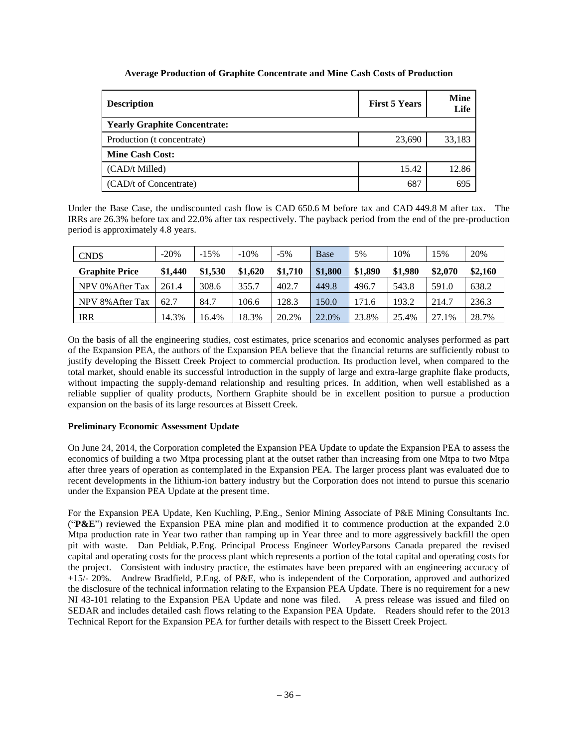# **Average Production of Graphite Concentrate and Mine Cash Costs of Production**

| <b>Description</b>                  | <b>First 5 Years</b> | <b>Mine</b><br>Life |
|-------------------------------------|----------------------|---------------------|
| <b>Yearly Graphite Concentrate:</b> |                      |                     |
| Production (t concentrate)          | 23,690               | 33,183              |
| <b>Mine Cash Cost:</b>              |                      |                     |
| (CAD/t Milled)                      | 15.42                | 12.86               |
| (CAD/t of Concentrate)              | 687                  | 695                 |

Under the Base Case, the undiscounted cash flow is CAD 650.6 M before tax and CAD 449.8 M after tax. The IRRs are 26.3% before tax and 22.0% after tax respectively. The payback period from the end of the pre-production period is approximately 4.8 years.

| CND\$                 | $-20%$  | $-15%$  | $-10%$  | $-5%$   | Base    | 5%      | 10%     | 15%     | 20%     |
|-----------------------|---------|---------|---------|---------|---------|---------|---------|---------|---------|
| <b>Graphite Price</b> | \$1,440 | \$1,530 | \$1,620 | \$1,710 | \$1,800 | \$1,890 | \$1,980 | \$2,070 | \$2,160 |
| NPV 0% After Tax      | 261.4   | 308.6   | 355.7   | 402.7   | 449.8   | 496.7   | 543.8   | 591.0   | 638.2   |
| NPV 8% After Tax      | 62.7    | 84.7    | 106.6   | 128.3   | 150.0   | 171.6   | 193.2   | 214.7   | 236.3   |
| <b>IRR</b>            | 14.3%   | 6.4%    | 18.3%   | 20.2%   | 22.0%   | 23.8%   | 25.4%   | 27.1%   | 28.7%   |

On the basis of all the engineering studies, cost estimates, price scenarios and economic analyses performed as part of the Expansion PEA, the authors of the Expansion PEA believe that the financial returns are sufficiently robust to justify developing the Bissett Creek Project to commercial production. Its production level, when compared to the total market, should enable its successful introduction in the supply of large and extra-large graphite flake products, without impacting the supply-demand relationship and resulting prices. In addition, when well established as a reliable supplier of quality products, Northern Graphite should be in excellent position to pursue a production expansion on the basis of its large resources at Bissett Creek.

# **Preliminary Economic Assessment Update**

On June 24, 2014, the Corporation completed the Expansion PEA Update to update the Expansion PEA to assess the economics of building a two Mtpa processing plant at the outset rather than increasing from one Mtpa to two Mtpa after three years of operation as contemplated in the Expansion PEA. The larger process plant was evaluated due to recent developments in the lithium-ion battery industry but the Corporation does not intend to pursue this scenario under the Expansion PEA Update at the present time.

For the Expansion PEA Update, Ken Kuchling, P.Eng., Senior Mining Associate of P&E Mining Consultants Inc. ("**P&E**") reviewed the Expansion PEA mine plan and modified it to commence production at the expanded 2.0 Mtpa production rate in Year two rather than ramping up in Year three and to more aggressively backfill the open pit with waste. Dan Peldiak, P.Eng. Principal Process Engineer WorleyParsons Canada prepared the revised capital and operating costs for the process plant which represents a portion of the total capital and operating costs for the project. Consistent with industry practice, the estimates have been prepared with an engineering accuracy of +15/- 20%. Andrew Bradfield, P.Eng. of P&E, who is independent of the Corporation, approved and authorized the disclosure of the technical information relating to the Expansion PEA Update. There is no requirement for a new NI 43-101 relating to the Expansion PEA Update and none was filed. A press release was issued and filed on SEDAR and includes detailed cash flows relating to the Expansion PEA Update. Readers should refer to the 2013 Technical Report for the Expansion PEA for further details with respect to the Bissett Creek Project.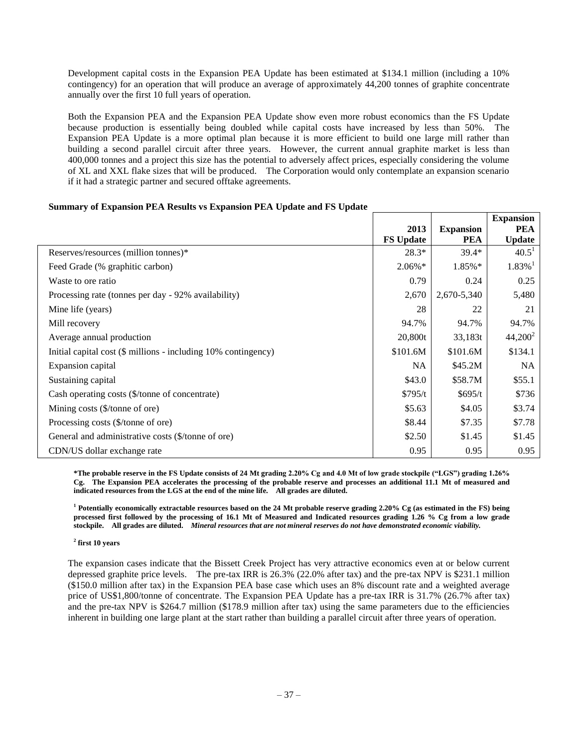Development capital costs in the Expansion PEA Update has been estimated at \$134.1 million (including a 10% contingency) for an operation that will produce an average of approximately 44,200 tonnes of graphite concentrate annually over the first 10 full years of operation.

Both the Expansion PEA and the Expansion PEA Update show even more robust economics than the FS Update because production is essentially being doubled while capital costs have increased by less than 50%. The Expansion PEA Update is a more optimal plan because it is more efficient to build one large mill rather than building a second parallel circuit after three years. However, the current annual graphite market is less than 400,000 tonnes and a project this size has the potential to adversely affect prices, especially considering the volume of XL and XXL flake sizes that will be produced. The Corporation would only contemplate an expansion scenario if it had a strategic partner and secured offtake agreements.

## **Summary of Expansion PEA Results vs Expansion PEA Update and FS Update**

|                                                                |                  |                  | <b>Expansion</b>      |
|----------------------------------------------------------------|------------------|------------------|-----------------------|
|                                                                | 2013             | <b>Expansion</b> | <b>PEA</b>            |
|                                                                | <b>FS Update</b> | <b>PEA</b>       | <b>Update</b>         |
| Reserves/resources (million tonnes)*                           | $28.3*$          | $39.4*$          | $40.5^1$              |
| Feed Grade (% graphitic carbon)                                | $2.06\%*$        | 1.85%*           | $1.83\%$ <sup>1</sup> |
| Waste to ore ratio                                             | 0.79             | 0.24             | 0.25                  |
| Processing rate (tonnes per day - 92% availability)            | 2,670            | 2,670-5,340      | 5,480                 |
| Mine life (years)                                              | 28               | 22               | 21                    |
| Mill recovery                                                  | 94.7%            | 94.7%            | 94.7%                 |
| Average annual production                                      | 20,800t          | 33,183t          | $44,200^2$            |
| Initial capital cost (\$ millions - including 10% contingency) | \$101.6M         | \$101.6M         | \$134.1               |
| Expansion capital                                              | NA               | \$45.2M\$        | <b>NA</b>             |
| Sustaining capital                                             | \$43.0           | \$58.7M          | \$55.1                |
| Cash operating costs (\$/tonne of concentrate)                 | \$795/t          | \$695/t          | \$736                 |
| Mining costs $(\frac{5}{\tanh \theta}$ of ore)                 | \$5.63           | \$4.05           | \$3.74                |
| Processing costs (\$/tonne of ore)                             | \$8.44           | \$7.35           | \$7.78                |
| General and administrative costs (\$/tonne of ore)             | \$2.50           | \$1.45           | \$1.45                |
| CDN/US dollar exchange rate                                    | 0.95             | 0.95             | 0.95                  |

**\*The probable reserve in the FS Update consists of 24 Mt grading 2.20% Cg and 4.0 Mt of low grade stockpile ("LGS") grading 1.26% Cg. The Expansion PEA accelerates the processing of the probable reserve and processes an additional 11.1 Mt of measured and indicated resources from the LGS at the end of the mine life. All grades are diluted.**

**<sup>1</sup> Potentially economically extractable resources based on the 24 Mt probable reserve grading 2.20% Cg (as estimated in the FS) being processed first followed by the processing of 16.1 Mt of Measured and Indicated resources grading 1.26 % Cg from a low grade stockpile. All grades are diluted.** *Mineral resources that are not mineral reserves do not have demonstrated economic viability.* 

#### **2 first 10 years**

The expansion cases indicate that the Bissett Creek Project has very attractive economics even at or below current depressed graphite price levels. The pre-tax IRR is 26.3% (22.0% after tax) and the pre-tax NPV is \$231.1 million (\$150.0 million after tax) in the Expansion PEA base case which uses an 8% discount rate and a weighted average price of US\$1,800/tonne of concentrate. The Expansion PEA Update has a pre-tax IRR is 31.7% (26.7% after tax) and the pre-tax NPV is \$264.7 million (\$178.9 million after tax) using the same parameters due to the efficiencies inherent in building one large plant at the start rather than building a parallel circuit after three years of operation.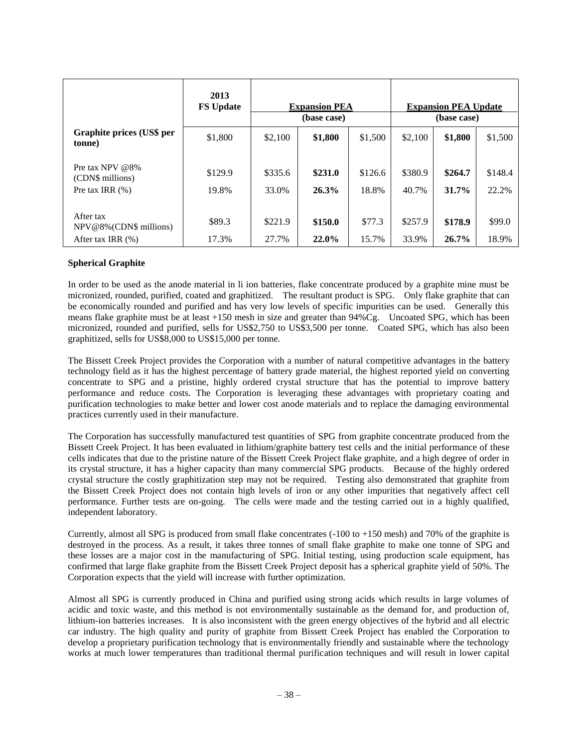|                                                                 | 2013<br><b>FS Update</b> | <b>Expansion PEA</b><br>(base case) |                  |                  |                  | <b>Expansion PEA Update</b><br>(base case) |                  |
|-----------------------------------------------------------------|--------------------------|-------------------------------------|------------------|------------------|------------------|--------------------------------------------|------------------|
| Graphite prices (US\$ per<br>tonne)                             | \$1,800                  | \$2,100                             | \$1,800          | \$1,500          | \$2,100          | \$1,800                                    | \$1,500          |
| Pre tax NPV $@8\%$<br>(CDN\$ millions)<br>Pre tax IRR $(\%)$    | \$129.9<br>19.8%         | \$335.6<br>33.0%                    | \$231.0<br>26.3% | \$126.6<br>18.8% | \$380.9<br>40.7% | \$264.7<br>$31.7\%$                        | \$148.4<br>22.2% |
| After tax<br>$NPV@8\%$ (CDN\$ millions)<br>After tax IRR $(\%)$ | \$89.3<br>17.3%          | \$221.9<br>27.7%                    | \$150.0<br>22.0% | \$77.3<br>15.7%  | \$257.9<br>33.9% | \$178.9<br>$26.7\%$                        | \$99.0<br>18.9%  |

# **Spherical Graphite**

In order to be used as the anode material in li ion batteries, flake concentrate produced by a graphite mine must be micronized, rounded, purified, coated and graphitized. The resultant product is SPG. Only flake graphite that can be economically rounded and purified and has very low levels of specific impurities can be used. Generally this means flake graphite must be at least +150 mesh in size and greater than 94%Cg. Uncoated SPG, which has been micronized, rounded and purified, sells for US\$2,750 to US\$3,500 per tonne. Coated SPG, which has also been graphitized, sells for US\$8,000 to US\$15,000 per tonne.

The Bissett Creek Project provides the Corporation with a number of natural competitive advantages in the battery technology field as it has the highest percentage of battery grade material, the highest reported yield on converting concentrate to SPG and a pristine, highly ordered crystal structure that has the potential to improve battery performance and reduce costs. The Corporation is leveraging these advantages with proprietary coating and purification technologies to make better and lower cost anode materials and to replace the damaging environmental practices currently used in their manufacture.

The Corporation has successfully manufactured test quantities of SPG from graphite concentrate produced from the Bissett Creek Project. It has been evaluated in lithium/graphite battery test cells and the initial performance of these cells indicates that due to the pristine nature of the Bissett Creek Project flake graphite, and a high degree of order in its crystal structure, it has a higher capacity than many commercial SPG products. Because of the highly ordered crystal structure the costly graphitization step may not be required. Testing also demonstrated that graphite from the Bissett Creek Project does not contain high levels of iron or any other impurities that negatively affect cell performance. Further tests are on-going. The cells were made and the testing carried out in a highly qualified, independent laboratory.

Currently, almost all SPG is produced from small flake concentrates (-100 to +150 mesh) and 70% of the graphite is destroyed in the process. As a result, it takes three tonnes of small flake graphite to make one tonne of SPG and these losses are a major cost in the manufacturing of SPG. Initial testing, using production scale equipment, has confirmed that large flake graphite from the Bissett Creek Project deposit has a spherical graphite yield of 50%. The Corporation expects that the yield will increase with further optimization.

Almost all SPG is currently produced in China and purified using strong acids which results in large volumes of acidic and toxic waste, and this method is not environmentally sustainable as the demand for, and production of, lithium-ion batteries increases. It is also inconsistent with the green energy objectives of the hybrid and all electric car industry. The high quality and purity of graphite from Bissett Creek Project has enabled the Corporation to develop a proprietary purification technology that is environmentally friendly and sustainable where the technology works at much lower temperatures than traditional thermal purification techniques and will result in lower capital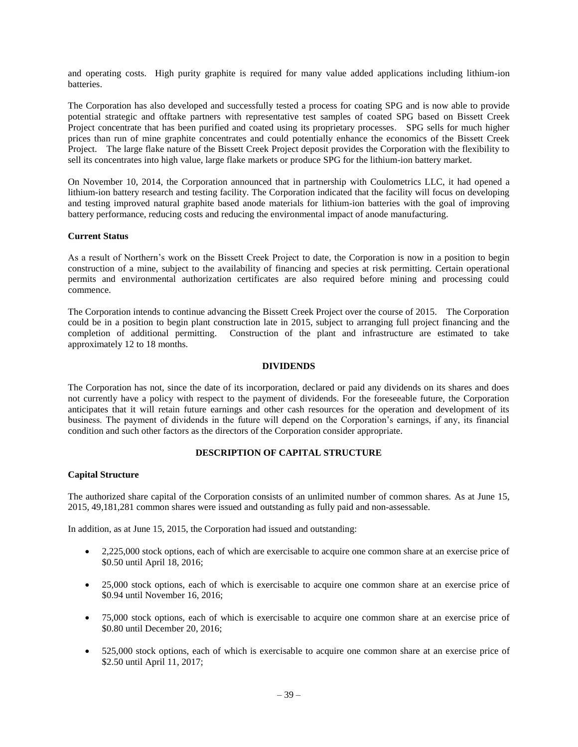and operating costs. High purity graphite is required for many value added applications including lithium-ion batteries.

The Corporation has also developed and successfully tested a process for coating SPG and is now able to provide potential strategic and offtake partners with representative test samples of coated SPG based on Bissett Creek Project concentrate that has been purified and coated using its proprietary processes. SPG sells for much higher prices than run of mine graphite concentrates and could potentially enhance the economics of the Bissett Creek Project. The large flake nature of the Bissett Creek Project deposit provides the Corporation with the flexibility to sell its concentrates into high value, large flake markets or produce SPG for the lithium-ion battery market.

On November 10, 2014, the Corporation announced that in partnership with Coulometrics LLC, it had opened a lithium-ion battery research and testing facility. The Corporation indicated that the facility will focus on developing and testing improved natural graphite based anode materials for lithium-ion batteries with the goal of improving battery performance, reducing costs and reducing the environmental impact of anode manufacturing.

## **Current Status**

As a result of Northern's work on the Bissett Creek Project to date, the Corporation is now in a position to begin construction of a mine, subject to the availability of financing and species at risk permitting. Certain operational permits and environmental authorization certificates are also required before mining and processing could commence.

The Corporation intends to continue advancing the Bissett Creek Project over the course of 2015. The Corporation could be in a position to begin plant construction late in 2015, subject to arranging full project financing and the completion of additional permitting. Construction of the plant and infrastructure are estimated to take approximately 12 to 18 months.

## **DIVIDENDS**

<span id="page-40-0"></span>The Corporation has not, since the date of its incorporation, declared or paid any dividends on its shares and does not currently have a policy with respect to the payment of dividends. For the foreseeable future, the Corporation anticipates that it will retain future earnings and other cash resources for the operation and development of its business. The payment of dividends in the future will depend on the Corporation's earnings, if any, its financial condition and such other factors as the directors of the Corporation consider appropriate.

## **DESCRIPTION OF CAPITAL STRUCTURE**

#### <span id="page-40-1"></span>**Capital Structure**

The authorized share capital of the Corporation consists of an unlimited number of common shares. As at June 15, 2015, 49,181,281 common shares were issued and outstanding as fully paid and non-assessable.

In addition, as at June 15, 2015, the Corporation had issued and outstanding:

- 2,225,000 stock options, each of which are exercisable to acquire one common share at an exercise price of \$0.50 until April 18, 2016;
- 25,000 stock options, each of which is exercisable to acquire one common share at an exercise price of \$0.94 until November 16, 2016;
- 75,000 stock options, each of which is exercisable to acquire one common share at an exercise price of \$0.80 until December 20, 2016;
- 525,000 stock options, each of which is exercisable to acquire one common share at an exercise price of \$2.50 until April 11, 2017;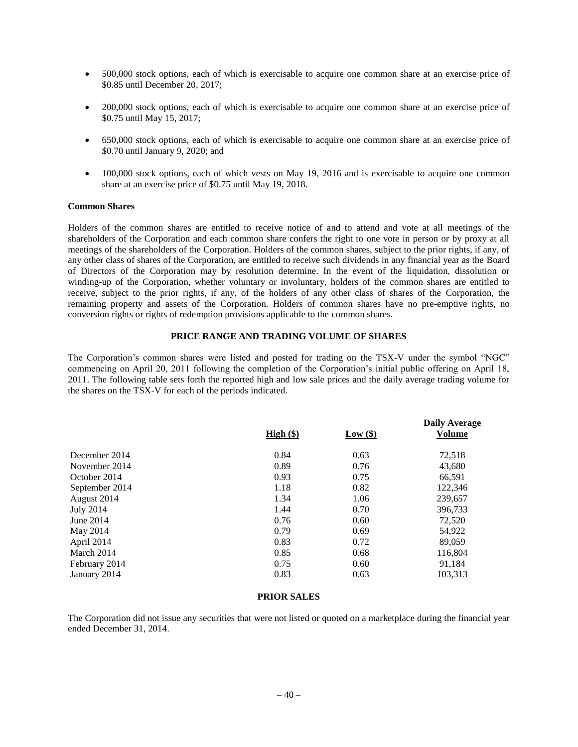- 500,000 stock options, each of which is exercisable to acquire one common share at an exercise price of \$0.85 until December 20, 2017;
- 200,000 stock options, each of which is exercisable to acquire one common share at an exercise price of \$0.75 until May 15, 2017;
- 650,000 stock options, each of which is exercisable to acquire one common share at an exercise price of \$0.70 until January 9, 2020; and
- 100,000 stock options, each of which vests on May 19, 2016 and is exercisable to acquire one common share at an exercise price of \$0.75 until May 19, 2018.

#### **Common Shares**

Holders of the common shares are entitled to receive notice of and to attend and vote at all meetings of the shareholders of the Corporation and each common share confers the right to one vote in person or by proxy at all meetings of the shareholders of the Corporation. Holders of the common shares, subject to the prior rights, if any, of any other class of shares of the Corporation, are entitled to receive such dividends in any financial year as the Board of Directors of the Corporation may by resolution determine. In the event of the liquidation, dissolution or winding-up of the Corporation, whether voluntary or involuntary, holders of the common shares are entitled to receive, subject to the prior rights, if any, of the holders of any other class of shares of the Corporation, the remaining property and assets of the Corporation. Holders of common shares have no pre-emptive rights, no conversion rights or rights of redemption provisions applicable to the common shares.

#### **PRICE RANGE AND TRADING VOLUME OF SHARES**

<span id="page-41-0"></span>The Corporation's common shares were listed and posted for trading on the TSX-V under the symbol "NGC" commencing on April 20, 2011 following the completion of the Corporation's initial public offering on April 18, 2011. The following table sets forth the reported high and low sale prices and the daily average trading volume for the shares on the TSX-V for each of the periods indicated.

| High (§) | Low(\$) | <b>Daily Average</b><br><b>Volume</b> |
|----------|---------|---------------------------------------|
| 0.84     | 0.63    | 72,518                                |
| 0.89     | 0.76    | 43,680                                |
| 0.93     | 0.75    | 66,591                                |
| 1.18     | 0.82    | 122,346                               |
| 1.34     | 1.06    | 239,657                               |
| 1.44     | 0.70    | 396,733                               |
| 0.76     | 0.60    | 72,520                                |
| 0.79     | 0.69    | 54,922                                |
| 0.83     | 0.72    | 89,059                                |
| 0.85     | 0.68    | 116,804                               |
| 0.75     | 0.60    | 91,184                                |
| 0.83     | 0.63    | 103,313                               |
|          |         |                                       |

#### **PRIOR SALES**

<span id="page-41-2"></span><span id="page-41-1"></span>The Corporation did not issue any securities that were not listed or quoted on a marketplace during the financial year ended December 31, 2014.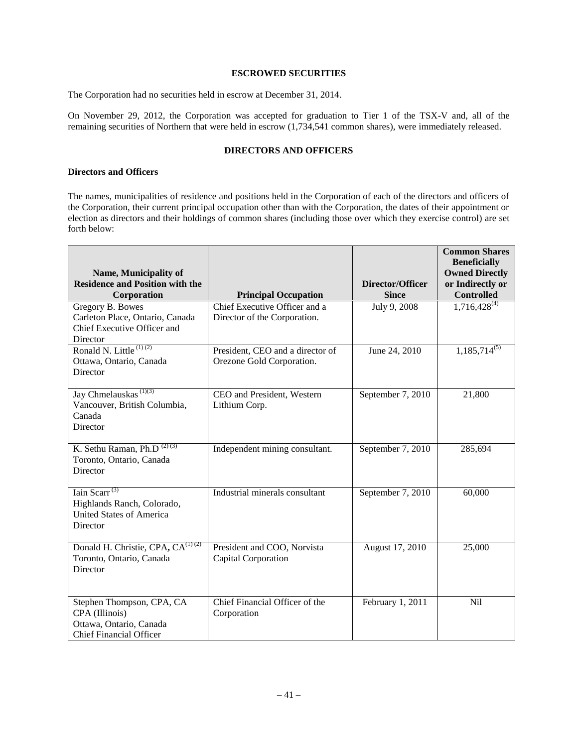## **ESCROWED SECURITIES**

The Corporation had no securities held in escrow at December 31, 2014.

On November 29, 2012, the Corporation was accepted for graduation to Tier 1 of the TSX-V and, all of the remaining securities of Northern that were held in escrow (1,734,541 common shares), were immediately released.

# **DIRECTORS AND OFFICERS**

#### <span id="page-42-0"></span>**Directors and Officers**

The names, municipalities of residence and positions held in the Corporation of each of the directors and officers of the Corporation, their current principal occupation other than with the Corporation, the dates of their appointment or election as directors and their holdings of common shares (including those over which they exercise control) are set forth below:

|                                                                                                                     |                                                               |                   | <b>Common Shares</b><br><b>Beneficially</b><br><b>Owned Directly</b> |
|---------------------------------------------------------------------------------------------------------------------|---------------------------------------------------------------|-------------------|----------------------------------------------------------------------|
| Name, Municipality of<br><b>Residence and Position with the</b>                                                     |                                                               | Director/Officer  | or Indirectly or                                                     |
| Corporation                                                                                                         | <b>Principal Occupation</b>                                   | <b>Since</b>      | <b>Controlled</b>                                                    |
| Gregory B. Bowes<br>Carleton Place, Ontario, Canada<br>Chief Executive Officer and<br>Director                      | Chief Executive Officer and a<br>Director of the Corporation. | July 9, 2008      | $1,716,428^{(4)}$                                                    |
| Ronald N. Little $(1)(2)$<br>Ottawa, Ontario, Canada<br>Director                                                    | President, CEO and a director of<br>Orezone Gold Corporation. | June 24, 2010     | $1,185,714^{(5)}$                                                    |
| Jay Chmelauskas <sup>(1)(3)</sup><br>Vancouver, British Columbia,<br>Canada<br>Director                             | CEO and President, Western<br>Lithium Corp.                   | September 7, 2010 | 21,800                                                               |
| K. Sethu Raman, Ph.D <sup>(2)(3)</sup><br>Toronto, Ontario, Canada<br>Director                                      | Independent mining consultant.                                | September 7, 2010 | 285,694                                                              |
| Iain Scarr <sup><math>(3)</math></sup><br>Highlands Ranch, Colorado,<br><b>United States of America</b><br>Director | Industrial minerals consultant                                | September 7, 2010 | 60,000                                                               |
| Donald H. Christie, CPA, CA <sup>(1)(2)</sup><br>Toronto, Ontario, Canada<br>Director                               | President and COO, Norvista<br><b>Capital Corporation</b>     | August 17, 2010   | 25,000                                                               |
| Stephen Thompson, CPA, CA<br>CPA (Illinois)<br>Ottawa, Ontario, Canada<br><b>Chief Financial Officer</b>            | Chief Financial Officer of the<br>Corporation                 | February 1, 2011  | Nil                                                                  |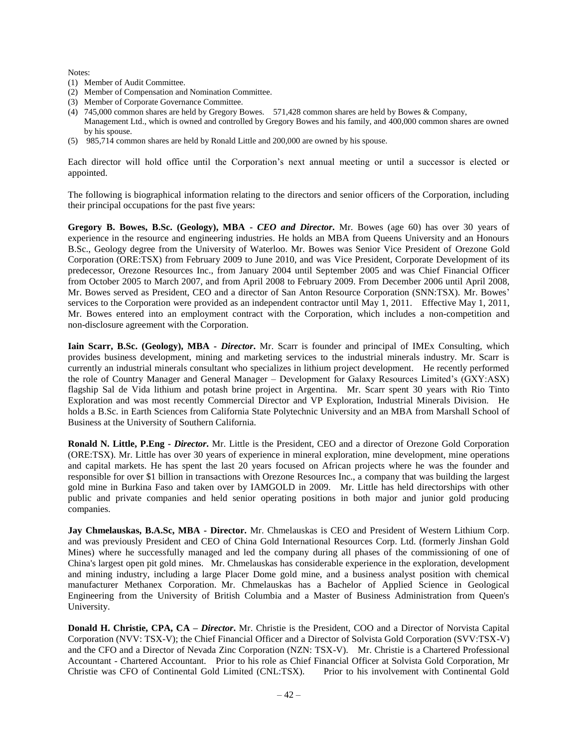Notes:

- (1) Member of Audit Committee.
- (2) Member of Compensation and Nomination Committee.
- (3) Member of Corporate Governance Committee.
- (4) 745,000 common shares are held by Gregory Bowes. 571,428 common shares are held by Bowes & Company, Management Ltd., which is owned and controlled by Gregory Bowes and his family, and 400,000 common shares are owned by his spouse.
- (5) 985,714 common shares are held by Ronald Little and 200,000 are owned by his spouse.

Each director will hold office until the Corporation's next annual meeting or until a successor is elected or appointed.

The following is biographical information relating to the directors and senior officers of the Corporation, including their principal occupations for the past five years:

**Gregory B. Bowes, B.Sc. (Geology), MBA -** *CEO and Director***.** Mr. Bowes (age 60) has over 30 years of experience in the resource and engineering industries. He holds an MBA from Queens University and an Honours B.Sc., Geology degree from the University of Waterloo. Mr. Bowes was Senior Vice President of Orezone Gold Corporation (ORE:TSX) from February 2009 to June 2010, and was Vice President, Corporate Development of its predecessor, Orezone Resources Inc., from January 2004 until September 2005 and was Chief Financial Officer from October 2005 to March 2007, and from April 2008 to February 2009. From December 2006 until April 2008, Mr. Bowes served as President, CEO and a director of San Anton Resource Corporation (SNN:TSX). Mr. Bowes' services to the Corporation were provided as an independent contractor until May 1, 2011. Effective May 1, 2011, Mr. Bowes entered into an employment contract with the Corporation, which includes a non-competition and non-disclosure agreement with the Corporation.

**Iain Scarr, B.Sc. (Geology), MBA -** *Director***.** Mr. Scarr is founder and principal of IMEx Consulting, which provides business development, mining and marketing services to the industrial minerals industry. Mr. Scarr is currently an industrial minerals consultant who specializes in lithium project development. He recently performed the role of Country Manager and General Manager – Development for Galaxy Resources Limited's (GXY:ASX) flagship Sal de Vida lithium and potash brine project in Argentina. Mr. Scarr spent 30 years with Rio Tinto Exploration and was most recently Commercial Director and VP Exploration, Industrial Minerals Division. He holds a B.Sc. in Earth Sciences from California State Polytechnic University and an MBA from Marshall School of Business at the University of Southern California.

**Ronald N. Little, P.Eng -** *Director***.** Mr. Little is the President, CEO and a director of Orezone Gold Corporation (ORE:TSX). Mr. Little has over 30 years of experience in mineral exploration, mine development, mine operations and capital markets. He has spent the last 20 years focused on African projects where he was the founder and responsible for over \$1 billion in transactions with Orezone Resources Inc., a company that was building the largest gold mine in Burkina Faso and taken over by IAMGOLD in 2009. Mr. Little has held directorships with other public and private companies and held senior operating positions in both major and junior gold producing companies.

**Jay Chmelauskas, B.A.Sc, MBA - Director.** Mr. Chmelauskas is CEO and President of Western Lithium Corp. and was previously President and CEO of China Gold International Resources Corp. Ltd. (formerly Jinshan Gold Mines) where he successfully managed and led the company during all phases of the commissioning of one of China's largest open pit gold mines. Mr. Chmelauskas has considerable experience in the exploration, development and mining industry, including a large Placer Dome gold mine, and a business analyst position with chemical manufacturer Methanex Corporation. Mr. Chmelauskas has a Bachelor of Applied Science in Geological Engineering from the University of British Columbia and a Master of Business Administration from Queen's University.

**Donald H. Christie, CPA, CA –** *Director***.** Mr. Christie is the President, COO and a Director of Norvista Capital Corporation (NVV: TSX-V); the Chief Financial Officer and a Director of Solvista Gold Corporation (SVV:TSX-V) and the CFO and a Director of Nevada Zinc Corporation (NZN: TSX-V). Mr. Christie is a Chartered Professional Accountant - Chartered Accountant. Prior to his role as Chief Financial Officer at Solvista Gold Corporation, Mr Christie was CFO of Continental Gold Limited (CNL:TSX). Prior to his involvement with Continental Gold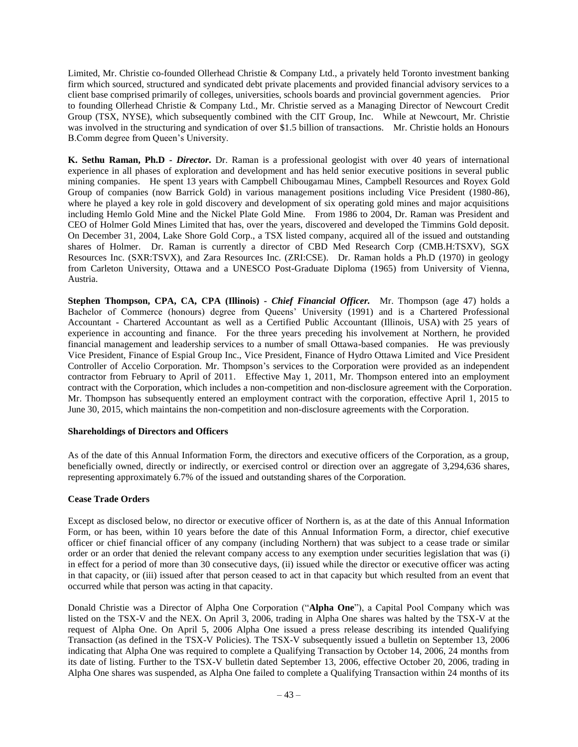Limited, Mr. Christie co-founded Ollerhead Christie & Company Ltd., a privately held Toronto investment banking firm which sourced, structured and syndicated debt private placements and provided financial advisory services to a client base comprised primarily of colleges, universities, schools boards and provincial government agencies. Prior to founding Ollerhead Christie & Company Ltd., Mr. Christie served as a Managing Director of Newcourt Credit Group (TSX, NYSE), which subsequently combined with the CIT Group, Inc. While at Newcourt, Mr. Christie was involved in the structuring and syndication of over \$1.5 billion of transactions. Mr. Christie holds an Honours B.Comm degree from Queen's University.

**K. Sethu Raman, Ph.D -** *Director***.** Dr. Raman is a professional geologist with over 40 years of international experience in all phases of exploration and development and has held senior executive positions in several public mining companies. He spent 13 years with Campbell Chibougamau Mines, Campbell Resources and Royex Gold Group of companies (now Barrick Gold) in various management positions including Vice President (1980-86), where he played a key role in gold discovery and development of six operating gold mines and major acquisitions including Hemlo Gold Mine and the Nickel Plate Gold Mine. From 1986 to 2004, Dr. Raman was President and CEO of Holmer Gold Mines Limited that has, over the years, discovered and developed the Timmins Gold deposit. On December 31, 2004, Lake Shore Gold Corp., a TSX listed company, acquired all of the issued and outstanding shares of Holmer. Dr. Raman is currently a director of CBD Med Research Corp (CMB.H:TSXV), SGX Resources Inc. (SXR:TSVX), and Zara Resources Inc. (ZRI:CSE). Dr. Raman holds a Ph.D (1970) in geology from Carleton University, Ottawa and a UNESCO Post-Graduate Diploma (1965) from University of Vienna, Austria.

**Stephen Thompson, CPA, CA, CPA (Illinois) -** *Chief Financial Officer.* Mr. Thompson (age 47) holds a Bachelor of Commerce (honours) degree from Queens' University (1991) and is a Chartered Professional Accountant - Chartered Accountant as well as a Certified Public Accountant (Illinois, USA) with 25 years of experience in accounting and finance. For the three years preceding his involvement at Northern, he provided financial management and leadership services to a number of small Ottawa-based companies. He was previously Vice President, Finance of Espial Group Inc., Vice President, Finance of Hydro Ottawa Limited and Vice President Controller of Accelio Corporation. Mr. Thompson's services to the Corporation were provided as an independent contractor from February to April of 2011. Effective May 1, 2011, Mr. Thompson entered into an employment contract with the Corporation, which includes a non-competition and non-disclosure agreement with the Corporation. Mr. Thompson has subsequently entered an employment contract with the corporation, effective April 1, 2015 to June 30, 2015, which maintains the non-competition and non-disclosure agreements with the Corporation.

## **Shareholdings of Directors and Officers**

As of the date of this Annual Information Form, the directors and executive officers of the Corporation, as a group, beneficially owned, directly or indirectly, or exercised control or direction over an aggregate of 3,294,636 shares, representing approximately 6.7% of the issued and outstanding shares of the Corporation.

## **Cease Trade Orders**

Except as disclosed below, no director or executive officer of Northern is, as at the date of this Annual Information Form, or has been, within 10 years before the date of this Annual Information Form, a director, chief executive officer or chief financial officer of any company (including Northern) that was subject to a cease trade or similar order or an order that denied the relevant company access to any exemption under securities legislation that was (i) in effect for a period of more than 30 consecutive days, (ii) issued while the director or executive officer was acting in that capacity, or (iii) issued after that person ceased to act in that capacity but which resulted from an event that occurred while that person was acting in that capacity.

Donald Christie was a Director of Alpha One Corporation ("**Alpha One**"), a Capital Pool Company which was listed on the TSX-V and the NEX. On April 3, 2006, trading in Alpha One shares was halted by the TSX-V at the request of Alpha One. On April 5, 2006 Alpha One issued a press release describing its intended Qualifying Transaction (as defined in the TSX-V Policies). The TSX-V subsequently issued a bulletin on September 13, 2006 indicating that Alpha One was required to complete a Qualifying Transaction by October 14, 2006, 24 months from its date of listing. Further to the TSX-V bulletin dated September 13, 2006, effective October 20, 2006, trading in Alpha One shares was suspended, as Alpha One failed to complete a Qualifying Transaction within 24 months of its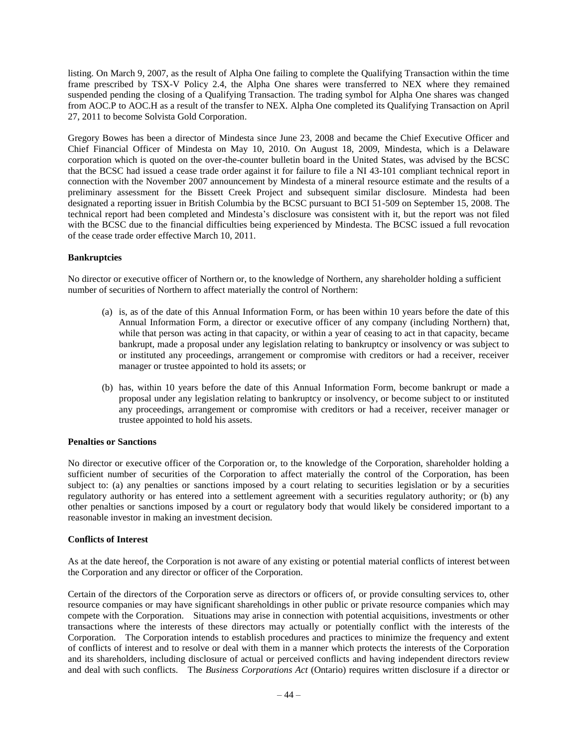listing. On March 9, 2007, as the result of Alpha One failing to complete the Qualifying Transaction within the time frame prescribed by TSX-V Policy 2.4, the Alpha One shares were transferred to NEX where they remained suspended pending the closing of a Qualifying Transaction. The trading symbol for Alpha One shares was changed from AOC.P to AOC.H as a result of the transfer to NEX. Alpha One completed its Qualifying Transaction on April 27, 2011 to become Solvista Gold Corporation.

Gregory Bowes has been a director of Mindesta since June 23, 2008 and became the Chief Executive Officer and Chief Financial Officer of Mindesta on May 10, 2010. On August 18, 2009, Mindesta, which is a Delaware corporation which is quoted on the over-the-counter bulletin board in the United States, was advised by the BCSC that the BCSC had issued a cease trade order against it for failure to file a NI 43-101 compliant technical report in connection with the November 2007 announcement by Mindesta of a mineral resource estimate and the results of a preliminary assessment for the Bissett Creek Project and subsequent similar disclosure. Mindesta had been designated a reporting issuer in British Columbia by the BCSC pursuant to BCI 51-509 on September 15, 2008. The technical report had been completed and Mindesta's disclosure was consistent with it, but the report was not filed with the BCSC due to the financial difficulties being experienced by Mindesta. The BCSC issued a full revocation of the cease trade order effective March 10, 2011.

## **Bankruptcies**

No director or executive officer of Northern or, to the knowledge of Northern, any shareholder holding a sufficient number of securities of Northern to affect materially the control of Northern:

- (a) is, as of the date of this Annual Information Form, or has been within 10 years before the date of this Annual Information Form, a director or executive officer of any company (including Northern) that, while that person was acting in that capacity, or within a year of ceasing to act in that capacity, became bankrupt, made a proposal under any legislation relating to bankruptcy or insolvency or was subject to or instituted any proceedings, arrangement or compromise with creditors or had a receiver, receiver manager or trustee appointed to hold its assets; or
- (b) has, within 10 years before the date of this Annual Information Form, become bankrupt or made a proposal under any legislation relating to bankruptcy or insolvency, or become subject to or instituted any proceedings, arrangement or compromise with creditors or had a receiver, receiver manager or trustee appointed to hold his assets.

#### **Penalties or Sanctions**

No director or executive officer of the Corporation or, to the knowledge of the Corporation, shareholder holding a sufficient number of securities of the Corporation to affect materially the control of the Corporation, has been subject to: (a) any penalties or sanctions imposed by a court relating to securities legislation or by a securities regulatory authority or has entered into a settlement agreement with a securities regulatory authority; or (b) any other penalties or sanctions imposed by a court or regulatory body that would likely be considered important to a reasonable investor in making an investment decision.

#### **Conflicts of Interest**

As at the date hereof, the Corporation is not aware of any existing or potential material conflicts of interest between the Corporation and any director or officer of the Corporation.

Certain of the directors of the Corporation serve as directors or officers of, or provide consulting services to, other resource companies or may have significant shareholdings in other public or private resource companies which may compete with the Corporation. Situations may arise in connection with potential acquisitions, investments or other transactions where the interests of these directors may actually or potentially conflict with the interests of the Corporation. The Corporation intends to establish procedures and practices to minimize the frequency and extent of conflicts of interest and to resolve or deal with them in a manner which protects the interests of the Corporation and its shareholders, including disclosure of actual or perceived conflicts and having independent directors review and deal with such conflicts. The *Business Corporations Act* (Ontario) requires written disclosure if a director or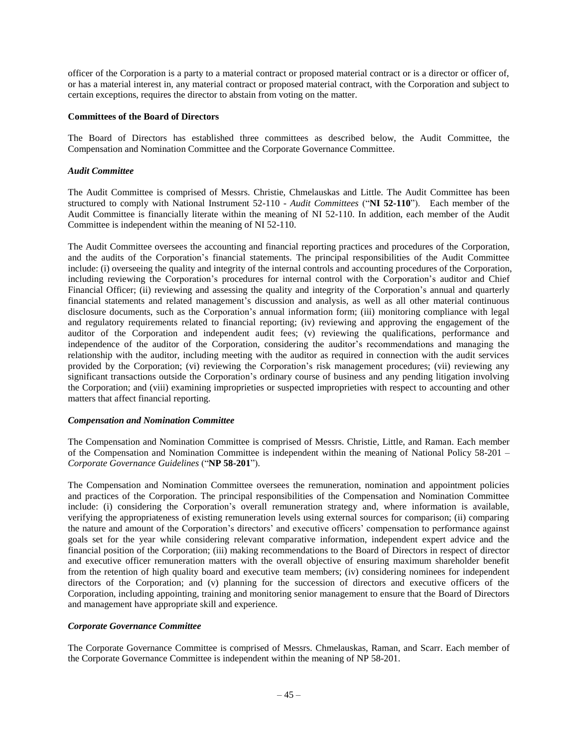officer of the Corporation is a party to a material contract or proposed material contract or is a director or officer of, or has a material interest in, any material contract or proposed material contract, with the Corporation and subject to certain exceptions, requires the director to abstain from voting on the matter.

## **Committees of the Board of Directors**

The Board of Directors has established three committees as described below, the Audit Committee, the Compensation and Nomination Committee and the Corporate Governance Committee.

#### *Audit Committee*

The Audit Committee is comprised of Messrs. Christie, Chmelauskas and Little. The Audit Committee has been structured to comply with National Instrument 52-110 - *Audit Committees* ("**NI 52-110**"). Each member of the Audit Committee is financially literate within the meaning of NI 52-110. In addition, each member of the Audit Committee is independent within the meaning of NI 52-110.

The Audit Committee oversees the accounting and financial reporting practices and procedures of the Corporation, and the audits of the Corporation's financial statements. The principal responsibilities of the Audit Committee include: (i) overseeing the quality and integrity of the internal controls and accounting procedures of the Corporation, including reviewing the Corporation's procedures for internal control with the Corporation's auditor and Chief Financial Officer; (ii) reviewing and assessing the quality and integrity of the Corporation's annual and quarterly financial statements and related management's discussion and analysis, as well as all other material continuous disclosure documents, such as the Corporation's annual information form; (iii) monitoring compliance with legal and regulatory requirements related to financial reporting; (iv) reviewing and approving the engagement of the auditor of the Corporation and independent audit fees; (v) reviewing the qualifications, performance and independence of the auditor of the Corporation, considering the auditor's recommendations and managing the relationship with the auditor, including meeting with the auditor as required in connection with the audit services provided by the Corporation; (vi) reviewing the Corporation's risk management procedures; (vii) reviewing any significant transactions outside the Corporation's ordinary course of business and any pending litigation involving the Corporation; and (viii) examining improprieties or suspected improprieties with respect to accounting and other matters that affect financial reporting.

#### *Compensation and Nomination Committee*

The Compensation and Nomination Committee is comprised of Messrs. Christie, Little, and Raman. Each member of the Compensation and Nomination Committee is independent within the meaning of National Policy 58-201 – *Corporate Governance Guidelines* ("**NP 58-201**").

The Compensation and Nomination Committee oversees the remuneration, nomination and appointment policies and practices of the Corporation. The principal responsibilities of the Compensation and Nomination Committee include: (i) considering the Corporation's overall remuneration strategy and, where information is available, verifying the appropriateness of existing remuneration levels using external sources for comparison; (ii) comparing the nature and amount of the Corporation's directors' and executive officers' compensation to performance against goals set for the year while considering relevant comparative information, independent expert advice and the financial position of the Corporation; (iii) making recommendations to the Board of Directors in respect of director and executive officer remuneration matters with the overall objective of ensuring maximum shareholder benefit from the retention of high quality board and executive team members; (iv) considering nominees for independent directors of the Corporation; and (v) planning for the succession of directors and executive officers of the Corporation, including appointing, training and monitoring senior management to ensure that the Board of Directors and management have appropriate skill and experience.

#### *Corporate Governance Committee*

The Corporate Governance Committee is comprised of Messrs. Chmelauskas, Raman, and Scarr. Each member of the Corporate Governance Committee is independent within the meaning of NP 58-201.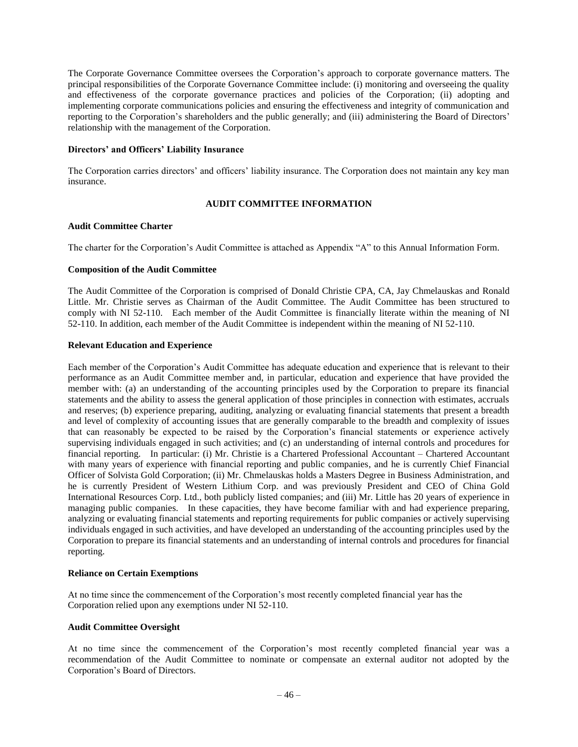The Corporate Governance Committee oversees the Corporation's approach to corporate governance matters. The principal responsibilities of the Corporate Governance Committee include: (i) monitoring and overseeing the quality and effectiveness of the corporate governance practices and policies of the Corporation; (ii) adopting and implementing corporate communications policies and ensuring the effectiveness and integrity of communication and reporting to the Corporation's shareholders and the public generally; and (iii) administering the Board of Directors' relationship with the management of the Corporation.

## **Directors' and Officers' Liability Insurance**

The Corporation carries directors' and officers' liability insurance. The Corporation does not maintain any key man insurance.

## **AUDIT COMMITTEE INFORMATION**

## **Audit Committee Charter**

The charter for the Corporation's Audit Committee is attached as Appendix "A" to this Annual Information Form.

## **Composition of the Audit Committee**

The Audit Committee of the Corporation is comprised of Donald Christie CPA, CA, Jay Chmelauskas and Ronald Little. Mr. Christie serves as Chairman of the Audit Committee. The Audit Committee has been structured to comply with NI 52-110. Each member of the Audit Committee is financially literate within the meaning of NI 52-110. In addition, each member of the Audit Committee is independent within the meaning of NI 52-110.

## **Relevant Education and Experience**

Each member of the Corporation's Audit Committee has adequate education and experience that is relevant to their performance as an Audit Committee member and, in particular, education and experience that have provided the member with: (a) an understanding of the accounting principles used by the Corporation to prepare its financial statements and the ability to assess the general application of those principles in connection with estimates, accruals and reserves; (b) experience preparing, auditing, analyzing or evaluating financial statements that present a breadth and level of complexity of accounting issues that are generally comparable to the breadth and complexity of issues that can reasonably be expected to be raised by the Corporation's financial statements or experience actively supervising individuals engaged in such activities; and (c) an understanding of internal controls and procedures for financial reporting. In particular: (i) Mr. Christie is a Chartered Professional Accountant – Chartered Accountant with many years of experience with financial reporting and public companies, and he is currently Chief Financial Officer of Solvista Gold Corporation; (ii) Mr. Chmelauskas holds a Masters Degree in Business Administration, and he is currently President of Western Lithium Corp. and was previously President and CEO of China Gold International Resources Corp. Ltd., both publicly listed companies; and (iii) Mr. Little has 20 years of experience in managing public companies. In these capacities, they have become familiar with and had experience preparing, analyzing or evaluating financial statements and reporting requirements for public companies or actively supervising individuals engaged in such activities, and have developed an understanding of the accounting principles used by the Corporation to prepare its financial statements and an understanding of internal controls and procedures for financial reporting.

## **Reliance on Certain Exemptions**

At no time since the commencement of the Corporation's most recently completed financial year has the Corporation relied upon any exemptions under NI 52-110.

## **Audit Committee Oversight**

At no time since the commencement of the Corporation's most recently completed financial year was a recommendation of the Audit Committee to nominate or compensate an external auditor not adopted by the Corporation's Board of Directors.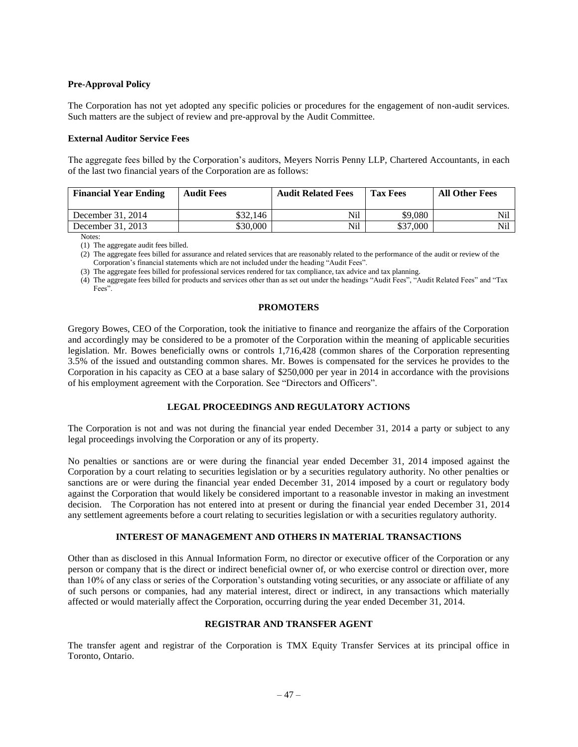#### **Pre-Approval Policy**

The Corporation has not yet adopted any specific policies or procedures for the engagement of non-audit services. Such matters are the subject of review and pre-approval by the Audit Committee.

#### **External Auditor Service Fees**

The aggregate fees billed by the Corporation's auditors, Meyers Norris Penny LLP, Chartered Accountants, in each of the last two financial years of the Corporation are as follows:

| <b>Financial Year Ending</b> | <b>Audit Fees</b> | <b>Audit Related Fees</b> | <b>Tax Fees</b> | <b>All Other Fees</b> |
|------------------------------|-------------------|---------------------------|-----------------|-----------------------|
| December 31, 2014            | \$32.146          | Nil                       | \$9,080         | Nil                   |
| December 31, 2013            | \$30.000          | Nil                       | \$37,000        | Nil                   |

Notes:

(1) The aggregate audit fees billed.

(2) The aggregate fees billed for assurance and related services that are reasonably related to the performance of the audit or review of the Corporation's financial statements which are not included under the heading "Audit Fees".

(3) The aggregate fees billed for professional services rendered for tax compliance, tax advice and tax planning.

(4) The aggregate fees billed for products and services other than as set out under the headings "Audit Fees", "Audit Related Fees" and "Tax Fees".

#### **PROMOTERS**

<span id="page-48-0"></span>Gregory Bowes, CEO of the Corporation, took the initiative to finance and reorganize the affairs of the Corporation and accordingly may be considered to be a promoter of the Corporation within the meaning of applicable securities legislation. Mr. Bowes beneficially owns or controls 1,716,428 (common shares of the Corporation representing 3.5% of the issued and outstanding common shares. Mr. Bowes is compensated for the services he provides to the Corporation in his capacity as CEO at a base salary of \$250,000 per year in 2014 in accordance with the provisions of his employment agreement with the Corporation. See "Directors and Officers".

## **LEGAL PROCEEDINGS AND REGULATORY ACTIONS**

<span id="page-48-1"></span>The Corporation is not and was not during the financial year ended December 31, 2014 a party or subject to any legal proceedings involving the Corporation or any of its property.

No penalties or sanctions are or were during the financial year ended December 31, 2014 imposed against the Corporation by a court relating to securities legislation or by a securities regulatory authority. No other penalties or sanctions are or were during the financial year ended December 31, 2014 imposed by a court or regulatory body against the Corporation that would likely be considered important to a reasonable investor in making an investment decision. The Corporation has not entered into at present or during the financial year ended December 31, 2014 any settlement agreements before a court relating to securities legislation or with a securities regulatory authority.

## **INTEREST OF MANAGEMENT AND OTHERS IN MATERIAL TRANSACTIONS**

<span id="page-48-2"></span>Other than as disclosed in this Annual Information Form, no director or executive officer of the Corporation or any person or company that is the direct or indirect beneficial owner of, or who exercise control or direction over, more than 10% of any class or series of the Corporation's outstanding voting securities, or any associate or affiliate of any of such persons or companies, had any material interest, direct or indirect, in any transactions which materially affected or would materially affect the Corporation, occurring during the year ended December 31, 2014.

#### **REGISTRAR AND TRANSFER AGENT**

<span id="page-48-3"></span>The transfer agent and registrar of the Corporation is TMX Equity Transfer Services at its principal office in Toronto, Ontario.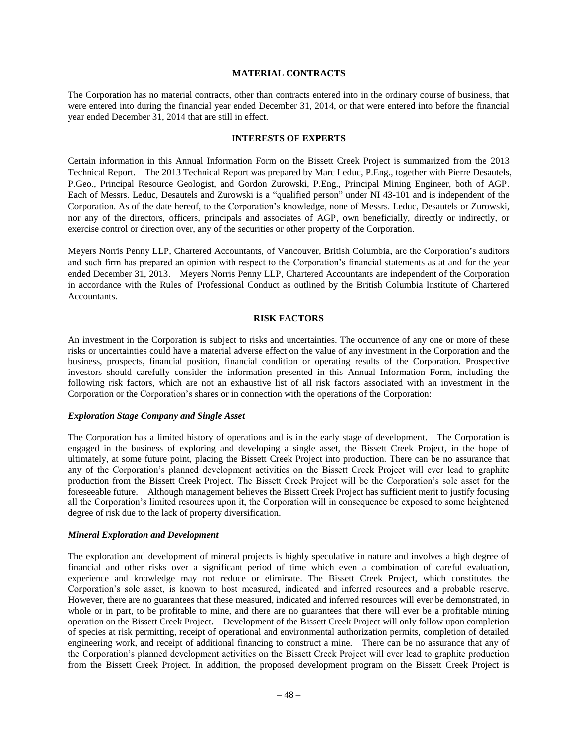### **MATERIAL CONTRACTS**

<span id="page-49-0"></span>The Corporation has no material contracts, other than contracts entered into in the ordinary course of business, that were entered into during the financial year ended December 31, 2014, or that were entered into before the financial year ended December 31, 2014 that are still in effect.

#### **INTERESTS OF EXPERTS**

<span id="page-49-1"></span>Certain information in this Annual Information Form on the Bissett Creek Project is summarized from the 2013 Technical Report. The 2013 Technical Report was prepared by Marc Leduc, P.Eng., together with Pierre Desautels, P.Geo., Principal Resource Geologist, and Gordon Zurowski, P.Eng., Principal Mining Engineer, both of AGP. Each of Messrs. Leduc, Desautels and Zurowski is a "qualified person" under NI 43-101 and is independent of the Corporation. As of the date hereof, to the Corporation's knowledge, none of Messrs. Leduc, Desautels or Zurowski, nor any of the directors, officers, principals and associates of AGP, own beneficially, directly or indirectly, or exercise control or direction over, any of the securities or other property of the Corporation.

Meyers Norris Penny LLP, Chartered Accountants, of Vancouver, British Columbia, are the Corporation's auditors and such firm has prepared an opinion with respect to the Corporation's financial statements as at and for the year ended December 31, 2013. Meyers Norris Penny LLP, Chartered Accountants are independent of the Corporation in accordance with the Rules of Professional Conduct as outlined by the British Columbia Institute of Chartered Accountants.

#### **RISK FACTORS**

<span id="page-49-2"></span>An investment in the Corporation is subject to risks and uncertainties. The occurrence of any one or more of these risks or uncertainties could have a material adverse effect on the value of any investment in the Corporation and the business, prospects, financial position, financial condition or operating results of the Corporation. Prospective investors should carefully consider the information presented in this Annual Information Form, including the following risk factors, which are not an exhaustive list of all risk factors associated with an investment in the Corporation or the Corporation's shares or in connection with the operations of the Corporation:

#### *Exploration Stage Company and Single Asset*

The Corporation has a limited history of operations and is in the early stage of development. The Corporation is engaged in the business of exploring and developing a single asset, the Bissett Creek Project, in the hope of ultimately, at some future point, placing the Bissett Creek Project into production. There can be no assurance that any of the Corporation's planned development activities on the Bissett Creek Project will ever lead to graphite production from the Bissett Creek Project. The Bissett Creek Project will be the Corporation's sole asset for the foreseeable future. Although management believes the Bissett Creek Project has sufficient merit to justify focusing all the Corporation's limited resources upon it, the Corporation will in consequence be exposed to some heightened degree of risk due to the lack of property diversification.

#### *Mineral Exploration and Development*

The exploration and development of mineral projects is highly speculative in nature and involves a high degree of financial and other risks over a significant period of time which even a combination of careful evaluation, experience and knowledge may not reduce or eliminate. The Bissett Creek Project, which constitutes the Corporation's sole asset, is known to host measured, indicated and inferred resources and a probable reserve. However, there are no guarantees that these measured, indicated and inferred resources will ever be demonstrated, in whole or in part, to be profitable to mine, and there are no guarantees that there will ever be a profitable mining operation on the Bissett Creek Project. Development of the Bissett Creek Project will only follow upon completion of species at risk permitting, receipt of operational and environmental authorization permits, completion of detailed engineering work, and receipt of additional financing to construct a mine. There can be no assurance that any of the Corporation's planned development activities on the Bissett Creek Project will ever lead to graphite production from the Bissett Creek Project. In addition, the proposed development program on the Bissett Creek Project is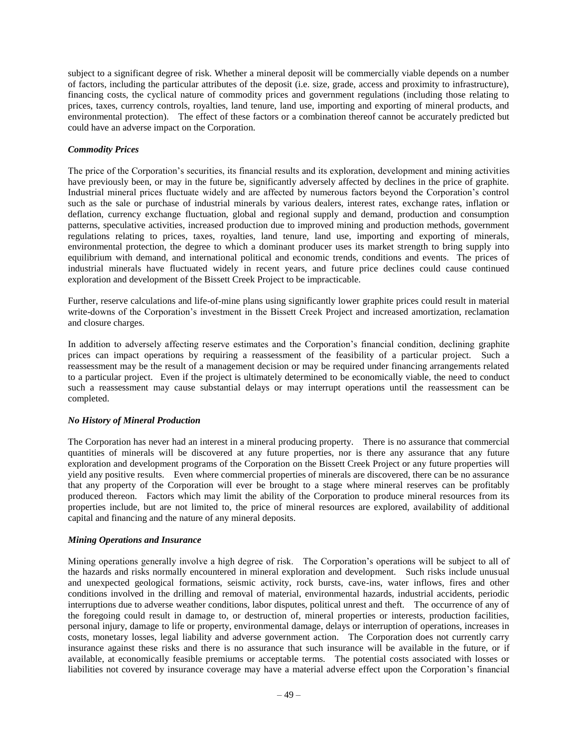subject to a significant degree of risk. Whether a mineral deposit will be commercially viable depends on a number of factors, including the particular attributes of the deposit (i.e. size, grade, access and proximity to infrastructure), financing costs, the cyclical nature of commodity prices and government regulations (including those relating to prices, taxes, currency controls, royalties, land tenure, land use, importing and exporting of mineral products, and environmental protection). The effect of these factors or a combination thereof cannot be accurately predicted but could have an adverse impact on the Corporation.

## *Commodity Prices*

The price of the Corporation's securities, its financial results and its exploration, development and mining activities have previously been, or may in the future be, significantly adversely affected by declines in the price of graphite. Industrial mineral prices fluctuate widely and are affected by numerous factors beyond the Corporation's control such as the sale or purchase of industrial minerals by various dealers, interest rates, exchange rates, inflation or deflation, currency exchange fluctuation, global and regional supply and demand, production and consumption patterns, speculative activities, increased production due to improved mining and production methods, government regulations relating to prices, taxes, royalties, land tenure, land use, importing and exporting of minerals, environmental protection, the degree to which a dominant producer uses its market strength to bring supply into equilibrium with demand, and international political and economic trends, conditions and events. The prices of industrial minerals have fluctuated widely in recent years, and future price declines could cause continued exploration and development of the Bissett Creek Project to be impracticable.

Further, reserve calculations and life-of-mine plans using significantly lower graphite prices could result in material write-downs of the Corporation's investment in the Bissett Creek Project and increased amortization, reclamation and closure charges.

In addition to adversely affecting reserve estimates and the Corporation's financial condition, declining graphite prices can impact operations by requiring a reassessment of the feasibility of a particular project. Such a reassessment may be the result of a management decision or may be required under financing arrangements related to a particular project. Even if the project is ultimately determined to be economically viable, the need to conduct such a reassessment may cause substantial delays or may interrupt operations until the reassessment can be completed.

## *No History of Mineral Production*

The Corporation has never had an interest in a mineral producing property. There is no assurance that commercial quantities of minerals will be discovered at any future properties, nor is there any assurance that any future exploration and development programs of the Corporation on the Bissett Creek Project or any future properties will yield any positive results. Even where commercial properties of minerals are discovered, there can be no assurance that any property of the Corporation will ever be brought to a stage where mineral reserves can be profitably produced thereon. Factors which may limit the ability of the Corporation to produce mineral resources from its properties include, but are not limited to, the price of mineral resources are explored, availability of additional capital and financing and the nature of any mineral deposits.

## *Mining Operations and Insurance*

Mining operations generally involve a high degree of risk. The Corporation's operations will be subject to all of the hazards and risks normally encountered in mineral exploration and development. Such risks include unusual and unexpected geological formations, seismic activity, rock bursts, cave-ins, water inflows, fires and other conditions involved in the drilling and removal of material, environmental hazards, industrial accidents, periodic interruptions due to adverse weather conditions, labor disputes, political unrest and theft. The occurrence of any of the foregoing could result in damage to, or destruction of, mineral properties or interests, production facilities, personal injury, damage to life or property, environmental damage, delays or interruption of operations, increases in costs, monetary losses, legal liability and adverse government action. The Corporation does not currently carry insurance against these risks and there is no assurance that such insurance will be available in the future, or if available, at economically feasible premiums or acceptable terms. The potential costs associated with losses or liabilities not covered by insurance coverage may have a material adverse effect upon the Corporation's financial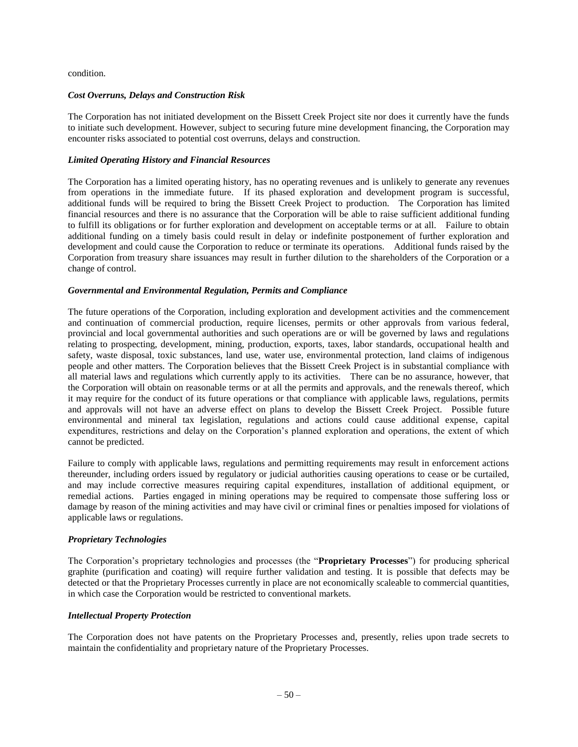condition.

## *Cost Overruns, Delays and Construction Risk*

The Corporation has not initiated development on the Bissett Creek Project site nor does it currently have the funds to initiate such development. However, subject to securing future mine development financing, the Corporation may encounter risks associated to potential cost overruns, delays and construction.

## *Limited Operating History and Financial Resources*

The Corporation has a limited operating history, has no operating revenues and is unlikely to generate any revenues from operations in the immediate future. If its phased exploration and development program is successful, additional funds will be required to bring the Bissett Creek Project to production. The Corporation has limited financial resources and there is no assurance that the Corporation will be able to raise sufficient additional funding to fulfill its obligations or for further exploration and development on acceptable terms or at all. Failure to obtain additional funding on a timely basis could result in delay or indefinite postponement of further exploration and development and could cause the Corporation to reduce or terminate its operations. Additional funds raised by the Corporation from treasury share issuances may result in further dilution to the shareholders of the Corporation or a change of control.

## *Governmental and Environmental Regulation, Permits and Compliance*

The future operations of the Corporation, including exploration and development activities and the commencement and continuation of commercial production, require licenses, permits or other approvals from various federal, provincial and local governmental authorities and such operations are or will be governed by laws and regulations relating to prospecting, development, mining, production, exports, taxes, labor standards, occupational health and safety, waste disposal, toxic substances, land use, water use, environmental protection, land claims of indigenous people and other matters. The Corporation believes that the Bissett Creek Project is in substantial compliance with all material laws and regulations which currently apply to its activities. There can be no assurance, however, that the Corporation will obtain on reasonable terms or at all the permits and approvals, and the renewals thereof, which it may require for the conduct of its future operations or that compliance with applicable laws, regulations, permits and approvals will not have an adverse effect on plans to develop the Bissett Creek Project. Possible future environmental and mineral tax legislation, regulations and actions could cause additional expense, capital expenditures, restrictions and delay on the Corporation's planned exploration and operations, the extent of which cannot be predicted.

Failure to comply with applicable laws, regulations and permitting requirements may result in enforcement actions thereunder, including orders issued by regulatory or judicial authorities causing operations to cease or be curtailed, and may include corrective measures requiring capital expenditures, installation of additional equipment, or remedial actions. Parties engaged in mining operations may be required to compensate those suffering loss or damage by reason of the mining activities and may have civil or criminal fines or penalties imposed for violations of applicable laws or regulations.

## *Proprietary Technologies*

The Corporation's proprietary technologies and processes (the "**Proprietary Processes**") for producing spherical graphite (purification and coating) will require further validation and testing. It is possible that defects may be detected or that the Proprietary Processes currently in place are not economically scaleable to commercial quantities, in which case the Corporation would be restricted to conventional markets.

#### *Intellectual Property Protection*

The Corporation does not have patents on the Proprietary Processes and, presently, relies upon trade secrets to maintain the confidentiality and proprietary nature of the Proprietary Processes.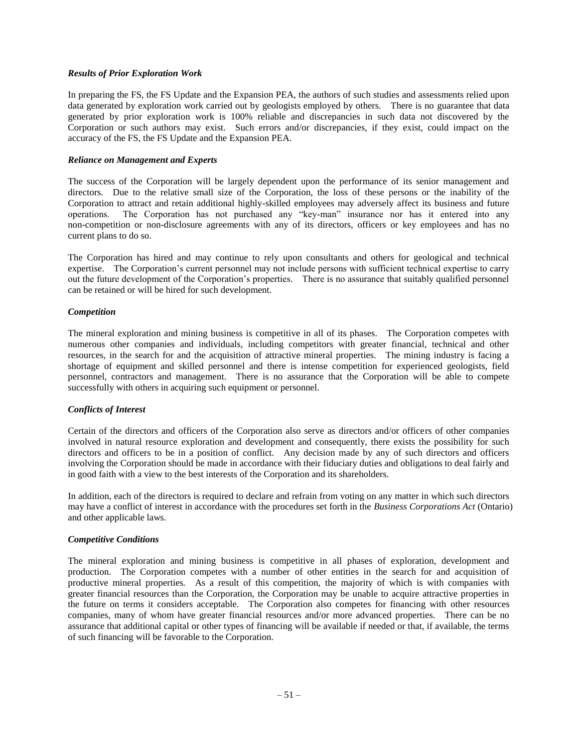### *Results of Prior Exploration Work*

In preparing the FS, the FS Update and the Expansion PEA, the authors of such studies and assessments relied upon data generated by exploration work carried out by geologists employed by others. There is no guarantee that data generated by prior exploration work is 100% reliable and discrepancies in such data not discovered by the Corporation or such authors may exist. Such errors and/or discrepancies, if they exist, could impact on the accuracy of the FS, the FS Update and the Expansion PEA.

## *Reliance on Management and Experts*

The success of the Corporation will be largely dependent upon the performance of its senior management and directors. Due to the relative small size of the Corporation, the loss of these persons or the inability of the Corporation to attract and retain additional highly-skilled employees may adversely affect its business and future operations. The Corporation has not purchased any "key-man" insurance nor has it entered into any non-competition or non-disclosure agreements with any of its directors, officers or key employees and has no current plans to do so.

The Corporation has hired and may continue to rely upon consultants and others for geological and technical expertise. The Corporation's current personnel may not include persons with sufficient technical expertise to carry out the future development of the Corporation's properties. There is no assurance that suitably qualified personnel can be retained or will be hired for such development.

## *Competition*

The mineral exploration and mining business is competitive in all of its phases. The Corporation competes with numerous other companies and individuals, including competitors with greater financial, technical and other resources, in the search for and the acquisition of attractive mineral properties. The mining industry is facing a shortage of equipment and skilled personnel and there is intense competition for experienced geologists, field personnel, contractors and management. There is no assurance that the Corporation will be able to compete successfully with others in acquiring such equipment or personnel.

## *Conflicts of Interest*

Certain of the directors and officers of the Corporation also serve as directors and/or officers of other companies involved in natural resource exploration and development and consequently, there exists the possibility for such directors and officers to be in a position of conflict. Any decision made by any of such directors and officers involving the Corporation should be made in accordance with their fiduciary duties and obligations to deal fairly and in good faith with a view to the best interests of the Corporation and its shareholders.

In addition, each of the directors is required to declare and refrain from voting on any matter in which such directors may have a conflict of interest in accordance with the procedures set forth in the *Business Corporations Act* (Ontario) and other applicable laws.

## *Competitive Conditions*

The mineral exploration and mining business is competitive in all phases of exploration, development and production. The Corporation competes with a number of other entities in the search for and acquisition of productive mineral properties. As a result of this competition, the majority of which is with companies with greater financial resources than the Corporation, the Corporation may be unable to acquire attractive properties in the future on terms it considers acceptable. The Corporation also competes for financing with other resources companies, many of whom have greater financial resources and/or more advanced properties. There can be no assurance that additional capital or other types of financing will be available if needed or that, if available, the terms of such financing will be favorable to the Corporation.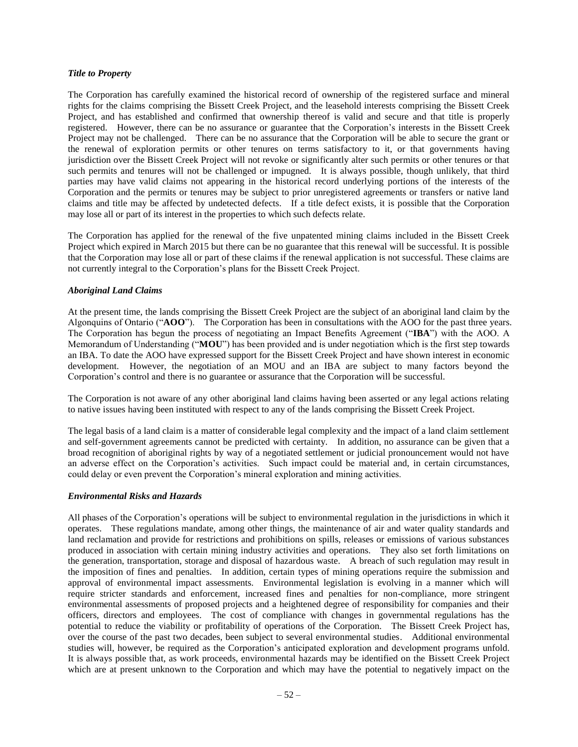### *Title to Property*

The Corporation has carefully examined the historical record of ownership of the registered surface and mineral rights for the claims comprising the Bissett Creek Project, and the leasehold interests comprising the Bissett Creek Project, and has established and confirmed that ownership thereof is valid and secure and that title is properly registered. However, there can be no assurance or guarantee that the Corporation's interests in the Bissett Creek Project may not be challenged. There can be no assurance that the Corporation will be able to secure the grant or the renewal of exploration permits or other tenures on terms satisfactory to it, or that governments having jurisdiction over the Bissett Creek Project will not revoke or significantly alter such permits or other tenures or that such permits and tenures will not be challenged or impugned. It is always possible, though unlikely, that third parties may have valid claims not appearing in the historical record underlying portions of the interests of the Corporation and the permits or tenures may be subject to prior unregistered agreements or transfers or native land claims and title may be affected by undetected defects. If a title defect exists, it is possible that the Corporation may lose all or part of its interest in the properties to which such defects relate.

The Corporation has applied for the renewal of the five unpatented mining claims included in the Bissett Creek Project which expired in March 2015 but there can be no guarantee that this renewal will be successful. It is possible that the Corporation may lose all or part of these claims if the renewal application is not successful. These claims are not currently integral to the Corporation's plans for the Bissett Creek Project.

## *Aboriginal Land Claims*

At the present time, the lands comprising the Bissett Creek Project are the subject of an aboriginal land claim by the Algonquins of Ontario ("**AOO**"). The Corporation has been in consultations with the AOO for the past three years. The Corporation has begun the process of negotiating an Impact Benefits Agreement ("**IBA**") with the AOO. A Memorandum of Understanding ("**MOU**") has been provided and is under negotiation which is the first step towards an IBA. To date the AOO have expressed support for the Bissett Creek Project and have shown interest in economic development. However, the negotiation of an MOU and an IBA are subject to many factors beyond the Corporation's control and there is no guarantee or assurance that the Corporation will be successful.

The Corporation is not aware of any other aboriginal land claims having been asserted or any legal actions relating to native issues having been instituted with respect to any of the lands comprising the Bissett Creek Project.

The legal basis of a land claim is a matter of considerable legal complexity and the impact of a land claim settlement and self-government agreements cannot be predicted with certainty. In addition, no assurance can be given that a broad recognition of aboriginal rights by way of a negotiated settlement or judicial pronouncement would not have an adverse effect on the Corporation's activities. Such impact could be material and, in certain circumstances, could delay or even prevent the Corporation's mineral exploration and mining activities.

## *Environmental Risks and Hazards*

All phases of the Corporation's operations will be subject to environmental regulation in the jurisdictions in which it operates. These regulations mandate, among other things, the maintenance of air and water quality standards and land reclamation and provide for restrictions and prohibitions on spills, releases or emissions of various substances produced in association with certain mining industry activities and operations. They also set forth limitations on the generation, transportation, storage and disposal of hazardous waste. A breach of such regulation may result in the imposition of fines and penalties. In addition, certain types of mining operations require the submission and approval of environmental impact assessments. Environmental legislation is evolving in a manner which will require stricter standards and enforcement, increased fines and penalties for non-compliance, more stringent environmental assessments of proposed projects and a heightened degree of responsibility for companies and their officers, directors and employees. The cost of compliance with changes in governmental regulations has the potential to reduce the viability or profitability of operations of the Corporation. The Bissett Creek Project has, over the course of the past two decades, been subject to several environmental studies. Additional environmental studies will, however, be required as the Corporation's anticipated exploration and development programs unfold. It is always possible that, as work proceeds, environmental hazards may be identified on the Bissett Creek Project which are at present unknown to the Corporation and which may have the potential to negatively impact on the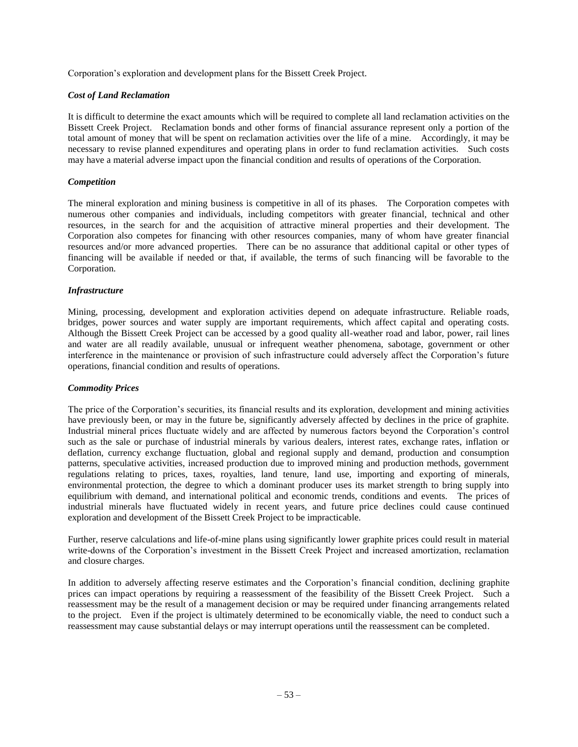Corporation's exploration and development plans for the Bissett Creek Project.

## *Cost of Land Reclamation*

It is difficult to determine the exact amounts which will be required to complete all land reclamation activities on the Bissett Creek Project. Reclamation bonds and other forms of financial assurance represent only a portion of the total amount of money that will be spent on reclamation activities over the life of a mine. Accordingly, it may be necessary to revise planned expenditures and operating plans in order to fund reclamation activities. Such costs may have a material adverse impact upon the financial condition and results of operations of the Corporation.

## *Competition*

The mineral exploration and mining business is competitive in all of its phases. The Corporation competes with numerous other companies and individuals, including competitors with greater financial, technical and other resources, in the search for and the acquisition of attractive mineral properties and their development. The Corporation also competes for financing with other resources companies, many of whom have greater financial resources and/or more advanced properties. There can be no assurance that additional capital or other types of financing will be available if needed or that, if available, the terms of such financing will be favorable to the Corporation.

## *Infrastructure*

Mining, processing, development and exploration activities depend on adequate infrastructure. Reliable roads, bridges, power sources and water supply are important requirements, which affect capital and operating costs. Although the Bissett Creek Project can be accessed by a good quality all-weather road and labor, power, rail lines and water are all readily available, unusual or infrequent weather phenomena, sabotage, government or other interference in the maintenance or provision of such infrastructure could adversely affect the Corporation's future operations, financial condition and results of operations.

## *Commodity Prices*

The price of the Corporation's securities, its financial results and its exploration, development and mining activities have previously been, or may in the future be, significantly adversely affected by declines in the price of graphite. Industrial mineral prices fluctuate widely and are affected by numerous factors beyond the Corporation's control such as the sale or purchase of industrial minerals by various dealers, interest rates, exchange rates, inflation or deflation, currency exchange fluctuation, global and regional supply and demand, production and consumption patterns, speculative activities, increased production due to improved mining and production methods, government regulations relating to prices, taxes, royalties, land tenure, land use, importing and exporting of minerals, environmental protection, the degree to which a dominant producer uses its market strength to bring supply into equilibrium with demand, and international political and economic trends, conditions and events. The prices of industrial minerals have fluctuated widely in recent years, and future price declines could cause continued exploration and development of the Bissett Creek Project to be impracticable.

Further, reserve calculations and life-of-mine plans using significantly lower graphite prices could result in material write-downs of the Corporation's investment in the Bissett Creek Project and increased amortization, reclamation and closure charges.

In addition to adversely affecting reserve estimates and the Corporation's financial condition, declining graphite prices can impact operations by requiring a reassessment of the feasibility of the Bissett Creek Project. Such a reassessment may be the result of a management decision or may be required under financing arrangements related to the project. Even if the project is ultimately determined to be economically viable, the need to conduct such a reassessment may cause substantial delays or may interrupt operations until the reassessment can be completed.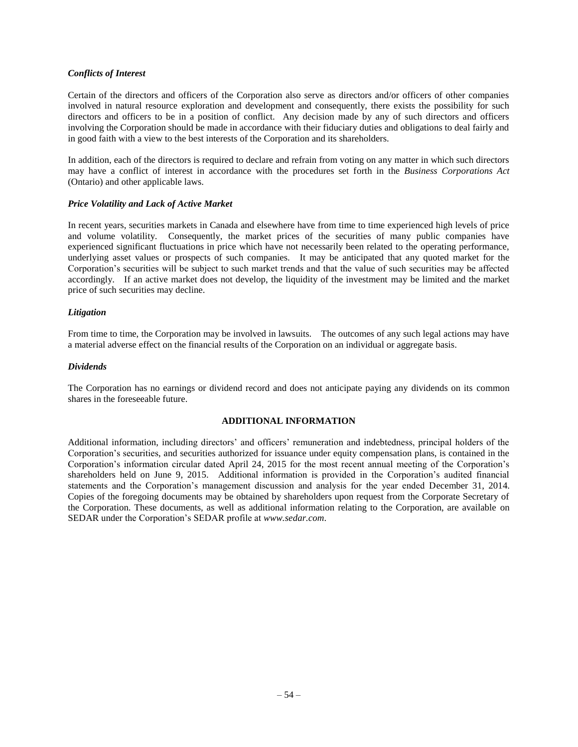### *Conflicts of Interest*

Certain of the directors and officers of the Corporation also serve as directors and/or officers of other companies involved in natural resource exploration and development and consequently, there exists the possibility for such directors and officers to be in a position of conflict. Any decision made by any of such directors and officers involving the Corporation should be made in accordance with their fiduciary duties and obligations to deal fairly and in good faith with a view to the best interests of the Corporation and its shareholders.

In addition, each of the directors is required to declare and refrain from voting on any matter in which such directors may have a conflict of interest in accordance with the procedures set forth in the *Business Corporations Act* (Ontario) and other applicable laws.

## *Price Volatility and Lack of Active Market*

In recent years, securities markets in Canada and elsewhere have from time to time experienced high levels of price and volume volatility. Consequently, the market prices of the securities of many public companies have experienced significant fluctuations in price which have not necessarily been related to the operating performance, underlying asset values or prospects of such companies. It may be anticipated that any quoted market for the Corporation's securities will be subject to such market trends and that the value of such securities may be affected accordingly. If an active market does not develop, the liquidity of the investment may be limited and the market price of such securities may decline.

## *Litigation*

From time to time, the Corporation may be involved in lawsuits. The outcomes of any such legal actions may have a material adverse effect on the financial results of the Corporation on an individual or aggregate basis.

## *Dividends*

The Corporation has no earnings or dividend record and does not anticipate paying any dividends on its common shares in the foreseeable future.

## **ADDITIONAL INFORMATION**

<span id="page-55-1"></span><span id="page-55-0"></span>Additional information, including directors' and officers' remuneration and indebtedness, principal holders of the Corporation's securities, and securities authorized for issuance under equity compensation plans, is contained in the Corporation's information circular dated April 24, 2015 for the most recent annual meeting of the Corporation's shareholders held on June 9, 2015. Additional information is provided in the Corporation's audited financial statements and the Corporation's management discussion and analysis for the year ended December 31, 2014. Copies of the foregoing documents may be obtained by shareholders upon request from the Corporate Secretary of the Corporation. These documents, as well as additional information relating to the Corporation, are available on SEDAR under the Corporation's SEDAR profile at *[www.sedar.com](http://www.sedar.com/)*.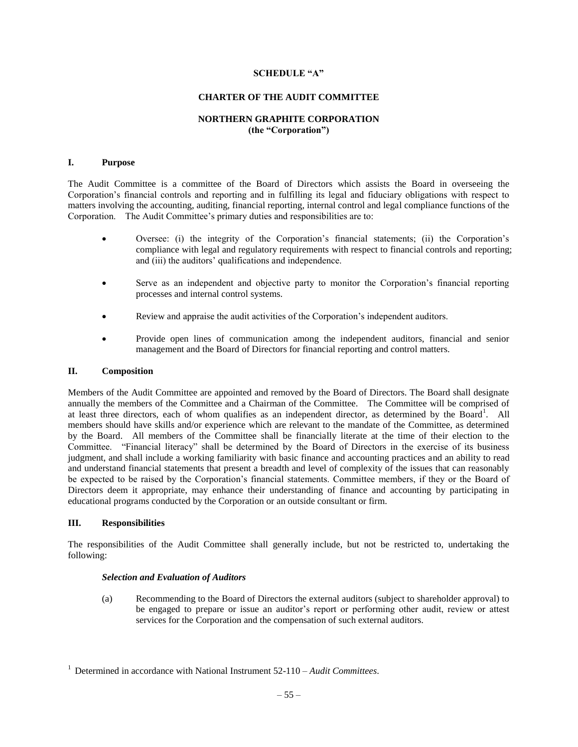### **SCHEDULE "A"**

## **CHARTER OF THE AUDIT COMMITTEE**

## **NORTHERN GRAPHITE CORPORATION (the "Corporation")**

#### **I. Purpose**

The Audit Committee is a committee of the Board of Directors which assists the Board in overseeing the Corporation's financial controls and reporting and in fulfilling its legal and fiduciary obligations with respect to matters involving the accounting, auditing, financial reporting, internal control and legal compliance functions of the Corporation. The Audit Committee's primary duties and responsibilities are to:

- Oversee: (i) the integrity of the Corporation's financial statements; (ii) the Corporation's compliance with legal and regulatory requirements with respect to financial controls and reporting; and (iii) the auditors' qualifications and independence.
- Serve as an independent and objective party to monitor the Corporation's financial reporting processes and internal control systems.
- Review and appraise the audit activities of the Corporation's independent auditors.
- Provide open lines of communication among the independent auditors, financial and senior management and the Board of Directors for financial reporting and control matters.

#### **II. Composition**

Members of the Audit Committee are appointed and removed by the Board of Directors. The Board shall designate annually the members of the Committee and a Chairman of the Committee. The Committee will be comprised of at least three directors, each of whom qualifies as an independent director, as determined by the Board<sup>1</sup>. All members should have skills and/or experience which are relevant to the mandate of the Committee, as determined by the Board. All members of the Committee shall be financially literate at the time of their election to the Committee. "Financial literacy" shall be determined by the Board of Directors in the exercise of its business judgment, and shall include a working familiarity with basic finance and accounting practices and an ability to read and understand financial statements that present a breadth and level of complexity of the issues that can reasonably be expected to be raised by the Corporation's financial statements. Committee members, if they or the Board of Directors deem it appropriate, may enhance their understanding of finance and accounting by participating in educational programs conducted by the Corporation or an outside consultant or firm.

#### **III. Responsibilities**

The responsibilities of the Audit Committee shall generally include, but not be restricted to, undertaking the following:

#### *Selection and Evaluation of Auditors*

(a) Recommending to the Board of Directors the external auditors (subject to shareholder approval) to be engaged to prepare or issue an auditor's report or performing other audit, review or attest services for the Corporation and the compensation of such external auditors.

<sup>1</sup> Determined in accordance with National Instrument 52-110 – *Audit Committees*.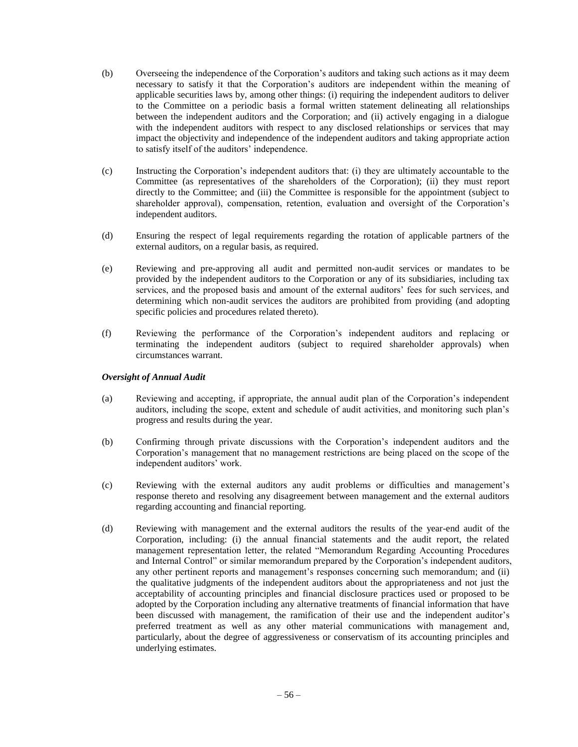- (b) Overseeing the independence of the Corporation's auditors and taking such actions as it may deem necessary to satisfy it that the Corporation's auditors are independent within the meaning of applicable securities laws by, among other things: (i) requiring the independent auditors to deliver to the Committee on a periodic basis a formal written statement delineating all relationships between the independent auditors and the Corporation; and (ii) actively engaging in a dialogue with the independent auditors with respect to any disclosed relationships or services that may impact the objectivity and independence of the independent auditors and taking appropriate action to satisfy itself of the auditors' independence.
- (c) Instructing the Corporation's independent auditors that: (i) they are ultimately accountable to the Committee (as representatives of the shareholders of the Corporation); (ii) they must report directly to the Committee; and (iii) the Committee is responsible for the appointment (subject to shareholder approval), compensation, retention, evaluation and oversight of the Corporation's independent auditors.
- (d) Ensuring the respect of legal requirements regarding the rotation of applicable partners of the external auditors, on a regular basis, as required.
- (e) Reviewing and pre-approving all audit and permitted non-audit services or mandates to be provided by the independent auditors to the Corporation or any of its subsidiaries, including tax services, and the proposed basis and amount of the external auditors' fees for such services, and determining which non-audit services the auditors are prohibited from providing (and adopting specific policies and procedures related thereto).
- (f) Reviewing the performance of the Corporation's independent auditors and replacing or terminating the independent auditors (subject to required shareholder approvals) when circumstances warrant.

## *Oversight of Annual Audit*

- (a) Reviewing and accepting, if appropriate, the annual audit plan of the Corporation's independent auditors, including the scope, extent and schedule of audit activities, and monitoring such plan's progress and results during the year.
- (b) Confirming through private discussions with the Corporation's independent auditors and the Corporation's management that no management restrictions are being placed on the scope of the independent auditors' work.
- (c) Reviewing with the external auditors any audit problems or difficulties and management's response thereto and resolving any disagreement between management and the external auditors regarding accounting and financial reporting.
- (d) Reviewing with management and the external auditors the results of the year-end audit of the Corporation, including: (i) the annual financial statements and the audit report, the related management representation letter, the related "Memorandum Regarding Accounting Procedures and Internal Control" or similar memorandum prepared by the Corporation's independent auditors, any other pertinent reports and management's responses concerning such memorandum; and (ii) the qualitative judgments of the independent auditors about the appropriateness and not just the acceptability of accounting principles and financial disclosure practices used or proposed to be adopted by the Corporation including any alternative treatments of financial information that have been discussed with management, the ramification of their use and the independent auditor's preferred treatment as well as any other material communications with management and, particularly, about the degree of aggressiveness or conservatism of its accounting principles and underlying estimates.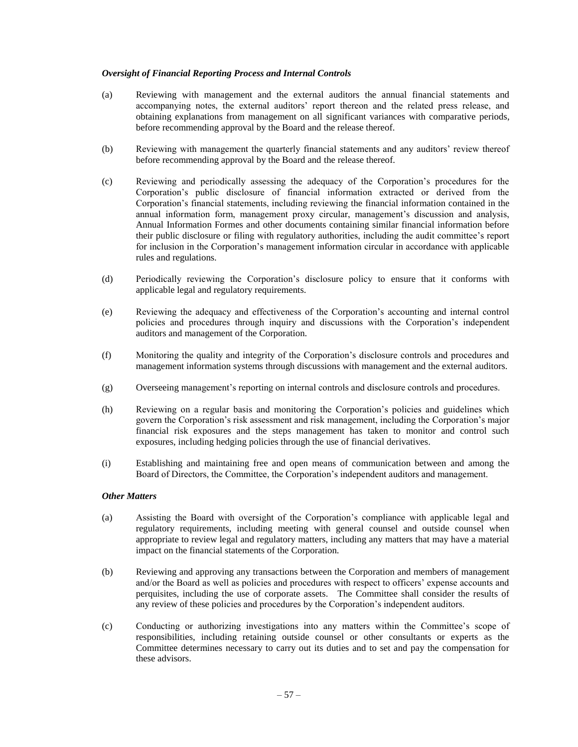## *Oversight of Financial Reporting Process and Internal Controls*

- (a) Reviewing with management and the external auditors the annual financial statements and accompanying notes, the external auditors' report thereon and the related press release, and obtaining explanations from management on all significant variances with comparative periods, before recommending approval by the Board and the release thereof.
- (b) Reviewing with management the quarterly financial statements and any auditors' review thereof before recommending approval by the Board and the release thereof.
- (c) Reviewing and periodically assessing the adequacy of the Corporation's procedures for the Corporation's public disclosure of financial information extracted or derived from the Corporation's financial statements, including reviewing the financial information contained in the annual information form, management proxy circular, management's discussion and analysis, Annual Information Formes and other documents containing similar financial information before their public disclosure or filing with regulatory authorities, including the audit committee's report for inclusion in the Corporation's management information circular in accordance with applicable rules and regulations.
- (d) Periodically reviewing the Corporation's disclosure policy to ensure that it conforms with applicable legal and regulatory requirements.
- (e) Reviewing the adequacy and effectiveness of the Corporation's accounting and internal control policies and procedures through inquiry and discussions with the Corporation's independent auditors and management of the Corporation.
- (f) Monitoring the quality and integrity of the Corporation's disclosure controls and procedures and management information systems through discussions with management and the external auditors.
- (g) Overseeing management's reporting on internal controls and disclosure controls and procedures.
- (h) Reviewing on a regular basis and monitoring the Corporation's policies and guidelines which govern the Corporation's risk assessment and risk management, including the Corporation's major financial risk exposures and the steps management has taken to monitor and control such exposures, including hedging policies through the use of financial derivatives.
- (i) Establishing and maintaining free and open means of communication between and among the Board of Directors, the Committee, the Corporation's independent auditors and management.

#### *Other Matters*

- (a) Assisting the Board with oversight of the Corporation's compliance with applicable legal and regulatory requirements, including meeting with general counsel and outside counsel when appropriate to review legal and regulatory matters, including any matters that may have a material impact on the financial statements of the Corporation.
- (b) Reviewing and approving any transactions between the Corporation and members of management and/or the Board as well as policies and procedures with respect to officers' expense accounts and perquisites, including the use of corporate assets. The Committee shall consider the results of any review of these policies and procedures by the Corporation's independent auditors.
- (c) Conducting or authorizing investigations into any matters within the Committee's scope of responsibilities, including retaining outside counsel or other consultants or experts as the Committee determines necessary to carry out its duties and to set and pay the compensation for these advisors.